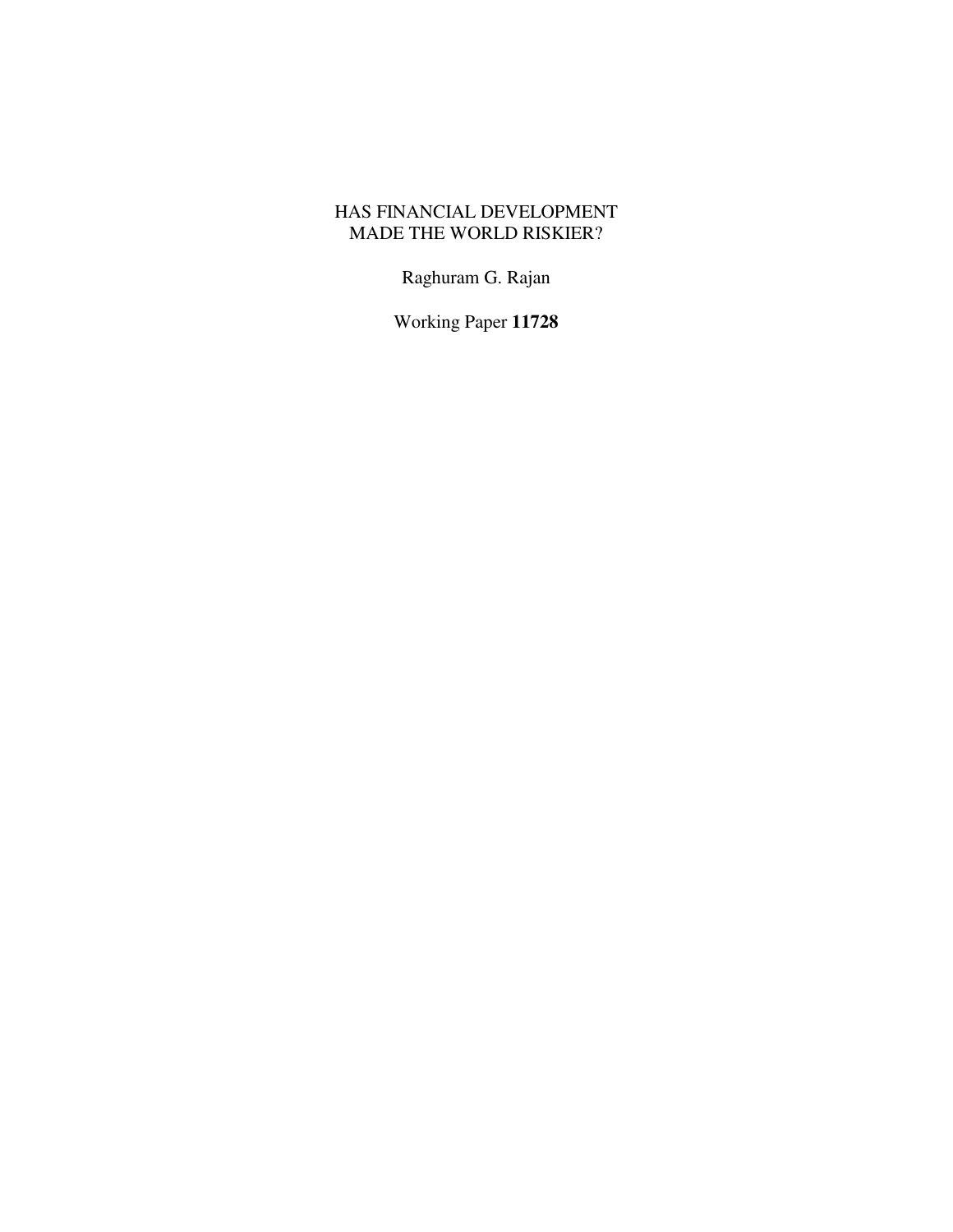# HAS FINANCIAL DEVELOPMENT MADE THE WORLD RISKIER?

Raghuram G. Rajan

Working Paper **11728**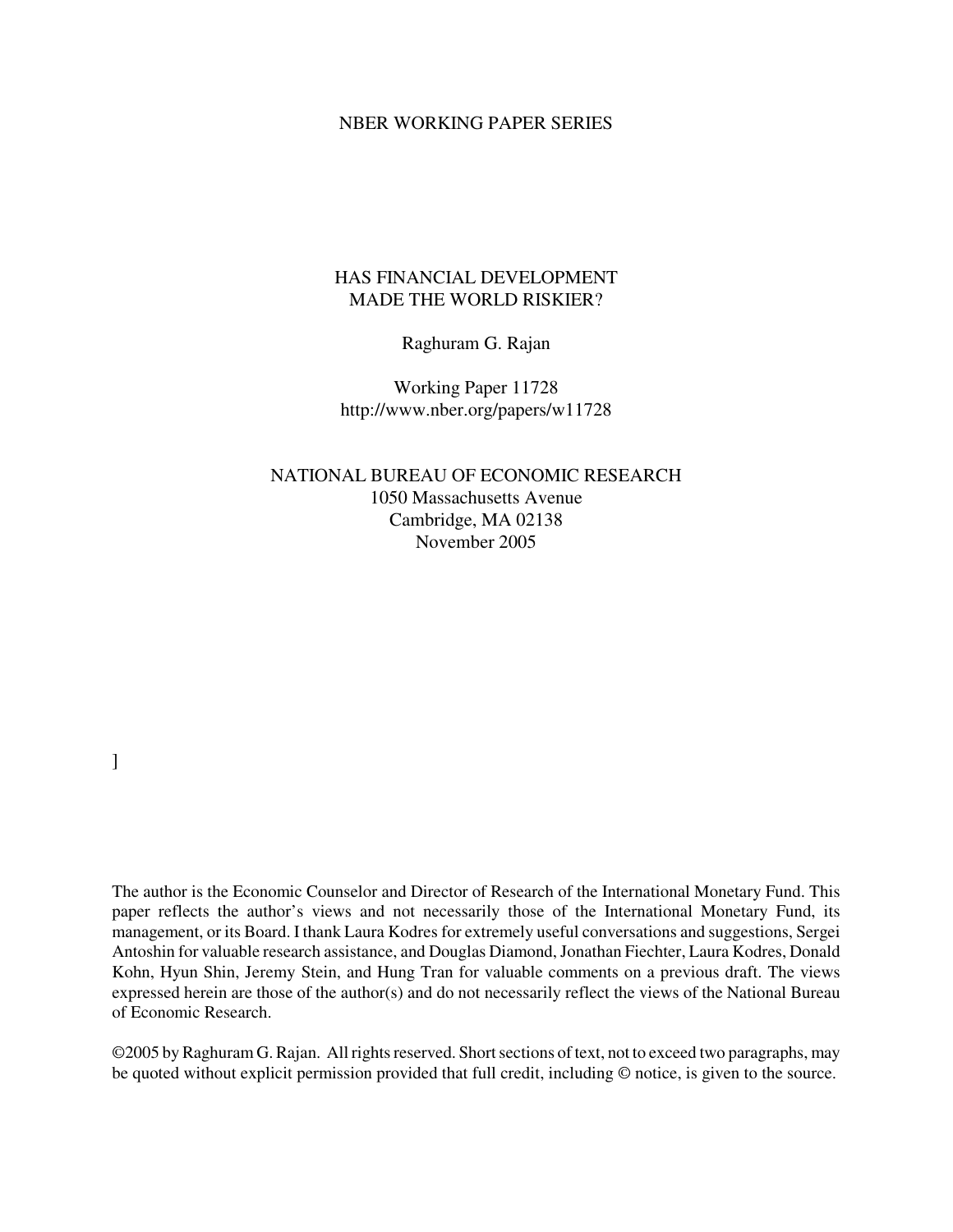#### NBER WORKING PAPER SERIES

## HAS FINANCIAL DEVELOPMENT MADE THE WORLD RISKIER?

Raghuram G. Rajan

Working Paper 11728 http://www.nber.org/papers/w11728

NATIONAL BUREAU OF ECONOMIC RESEARCH 1050 Massachusetts Avenue Cambridge, MA 02138 November 2005

]

The author is the Economic Counselor and Director of Research of the International Monetary Fund. This paper reflects the author's views and not necessarily those of the International Monetary Fund, its management, or its Board. I thank Laura Kodres for extremely useful conversations and suggestions, Sergei Antoshin for valuable research assistance, and Douglas Diamond,Jonathan Fiechter, Laura Kodres, Donald Kohn, Hyun Shin, Jeremy Stein, and Hung Tran for valuable comments on a previous draft. The views expressed herein are those of the author(s) and do not necessarily reflect the views of the National Bureau of Economic Research.

©2005 by Raghuram G. Rajan. All rights reserved. Short sections of text, not to exceed two paragraphs, may be quoted without explicit permission provided that full credit, including © notice, is given to the source.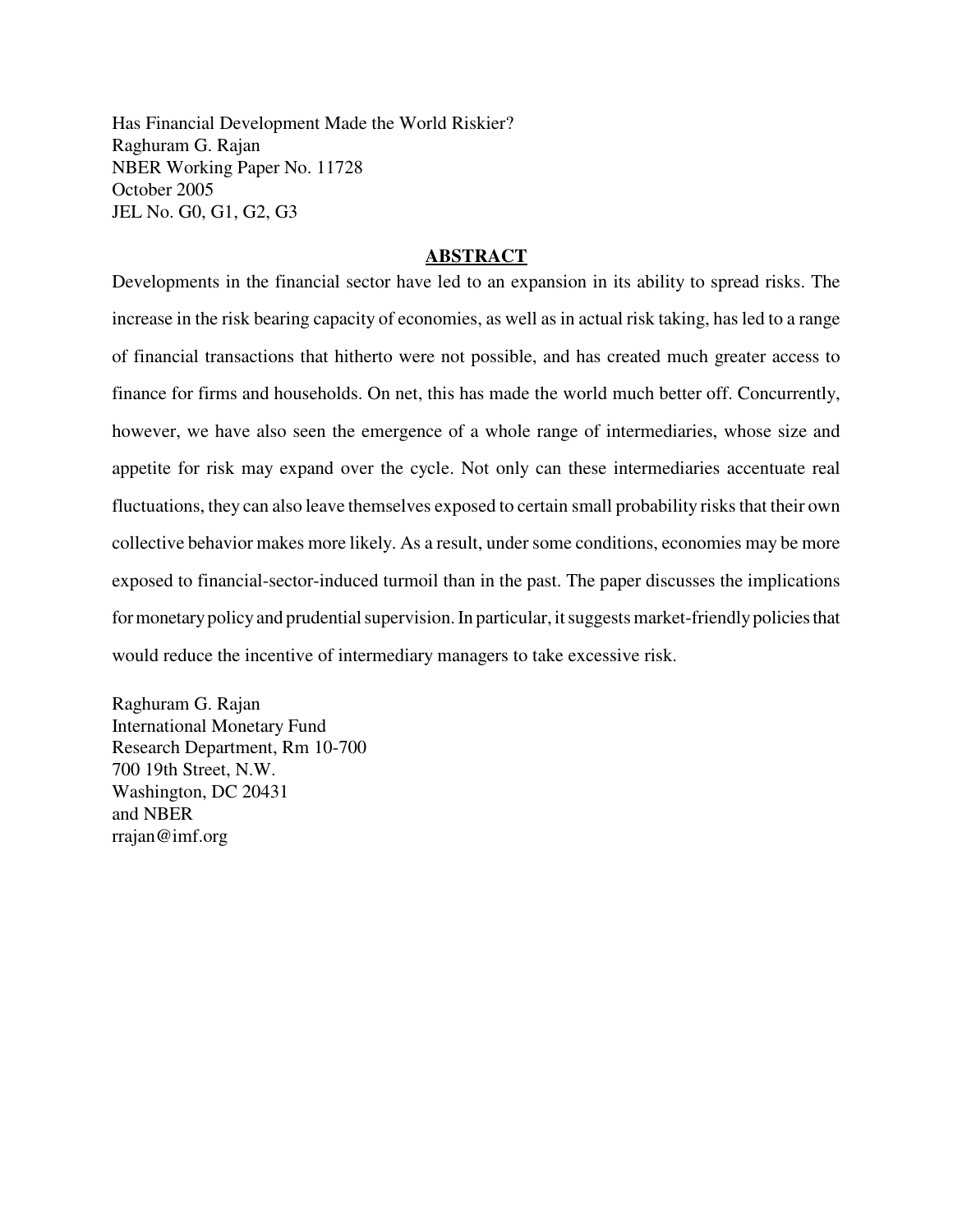Has Financial Development Made the World Riskier? Raghuram G. Rajan NBER Working Paper No. 11728 October 2005 JEL No. G0, G1, G2, G3

#### **ABSTRACT**

Developments in the financial sector have led to an expansion in its ability to spread risks. The increase in the risk bearing capacity of economies, as well as in actual risk taking, has led to a range of financial transactions that hitherto were not possible, and has created much greater access to finance for firms and households. On net, this has made the world much better off. Concurrently, however, we have also seen the emergence of a whole range of intermediaries, whose size and appetite for risk may expand over the cycle. Not only can these intermediaries accentuate real fluctuations, they can also leave themselves exposed to certain small probability risks that their own collective behavior makes more likely. As a result, under some conditions, economies may be more exposed to financial-sector-induced turmoil than in the past. The paper discusses the implications for monetary policy and prudential supervision. In particular, it suggests market-friendly policies that would reduce the incentive of intermediary managers to take excessive risk.

Raghuram G. Rajan International Monetary Fund Research Department, Rm 10-700 700 19th Street, N.W. Washington, DC 20431 and NBER rrajan@imf.org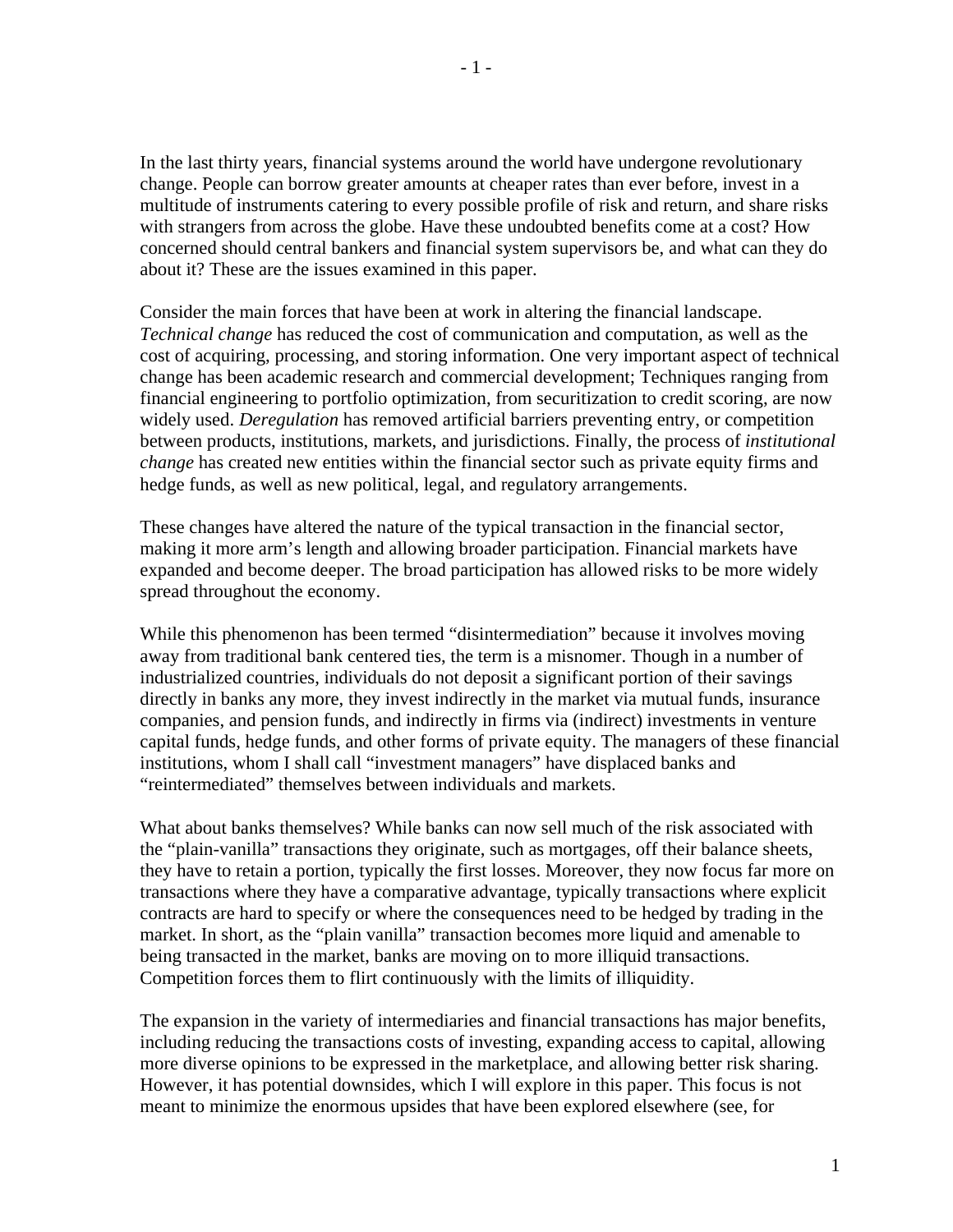In the last thirty years, financial systems around the world have undergone revolutionary change. People can borrow greater amounts at cheaper rates than ever before, invest in a multitude of instruments catering to every possible profile of risk and return, and share risks with strangers from across the globe. Have these undoubted benefits come at a cost? How concerned should central bankers and financial system supervisors be, and what can they do about it? These are the issues examined in this paper.

Consider the main forces that have been at work in altering the financial landscape. *Technical change* has reduced the cost of communication and computation, as well as the cost of acquiring, processing, and storing information. One very important aspect of technical change has been academic research and commercial development; Techniques ranging from financial engineering to portfolio optimization, from securitization to credit scoring, are now widely used. *Deregulation* has removed artificial barriers preventing entry, or competition between products, institutions, markets, and jurisdictions. Finally, the process of *institutional change* has created new entities within the financial sector such as private equity firms and hedge funds, as well as new political, legal, and regulatory arrangements.

These changes have altered the nature of the typical transaction in the financial sector, making it more arm's length and allowing broader participation. Financial markets have expanded and become deeper. The broad participation has allowed risks to be more widely spread throughout the economy.

While this phenomenon has been termed "disintermediation" because it involves moving away from traditional bank centered ties, the term is a misnomer. Though in a number of industrialized countries, individuals do not deposit a significant portion of their savings directly in banks any more, they invest indirectly in the market via mutual funds, insurance companies, and pension funds, and indirectly in firms via (indirect) investments in venture capital funds, hedge funds, and other forms of private equity. The managers of these financial institutions, whom I shall call "investment managers" have displaced banks and "reintermediated" themselves between individuals and markets.

What about banks themselves? While banks can now sell much of the risk associated with the "plain-vanilla" transactions they originate, such as mortgages, off their balance sheets, they have to retain a portion, typically the first losses. Moreover, they now focus far more on transactions where they have a comparative advantage, typically transactions where explicit contracts are hard to specify or where the consequences need to be hedged by trading in the market. In short, as the "plain vanilla" transaction becomes more liquid and amenable to being transacted in the market, banks are moving on to more illiquid transactions. Competition forces them to flirt continuously with the limits of illiquidity.

The expansion in the variety of intermediaries and financial transactions has major benefits, including reducing the transactions costs of investing, expanding access to capital, allowing more diverse opinions to be expressed in the marketplace, and allowing better risk sharing. However, it has potential downsides, which I will explore in this paper. This focus is not meant to minimize the enormous upsides that have been explored elsewhere (see, for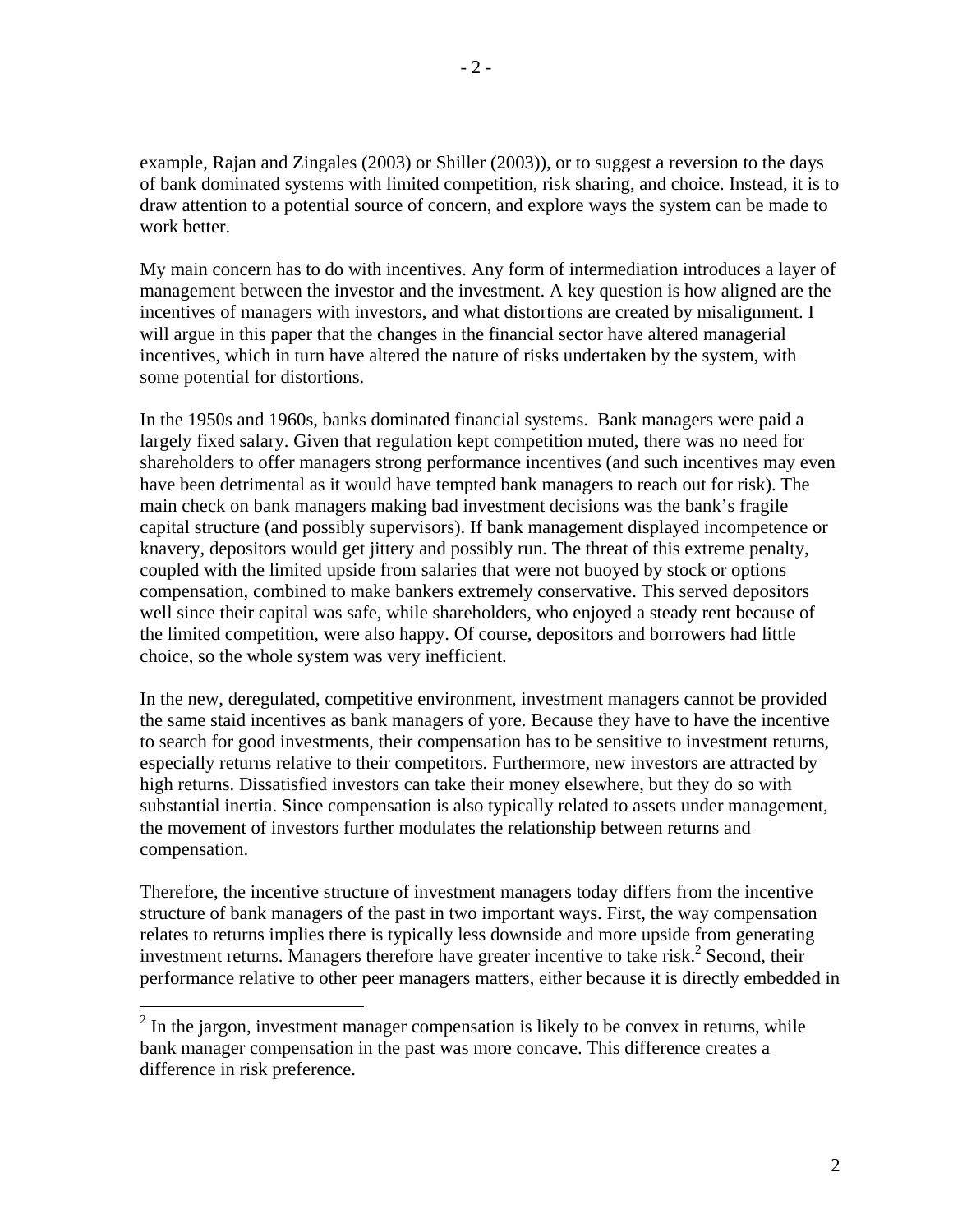example, Rajan and Zingales (2003) or Shiller (2003)), or to suggest a reversion to the days of bank dominated systems with limited competition, risk sharing, and choice. Instead, it is to draw attention to a potential source of concern, and explore ways the system can be made to work better.

My main concern has to do with incentives. Any form of intermediation introduces a layer of management between the investor and the investment. A key question is how aligned are the incentives of managers with investors, and what distortions are created by misalignment. I will argue in this paper that the changes in the financial sector have altered managerial incentives, which in turn have altered the nature of risks undertaken by the system, with some potential for distortions.

In the 1950s and 1960s, banks dominated financial systems. Bank managers were paid a largely fixed salary. Given that regulation kept competition muted, there was no need for shareholders to offer managers strong performance incentives (and such incentives may even have been detrimental as it would have tempted bank managers to reach out for risk). The main check on bank managers making bad investment decisions was the bank's fragile capital structure (and possibly supervisors). If bank management displayed incompetence or knavery, depositors would get jittery and possibly run. The threat of this extreme penalty, coupled with the limited upside from salaries that were not buoyed by stock or options compensation, combined to make bankers extremely conservative. This served depositors well since their capital was safe, while shareholders, who enjoyed a steady rent because of the limited competition, were also happy. Of course, depositors and borrowers had little choice, so the whole system was very inefficient.

In the new, deregulated, competitive environment, investment managers cannot be provided the same staid incentives as bank managers of yore. Because they have to have the incentive to search for good investments, their compensation has to be sensitive to investment returns, especially returns relative to their competitors. Furthermore, new investors are attracted by high returns. Dissatisfied investors can take their money elsewhere, but they do so with substantial inertia. Since compensation is also typically related to assets under management, the movement of investors further modulates the relationship between returns and compensation.

Therefore, the incentive structure of investment managers today differs from the incentive structure of bank managers of the past in two important ways. First, the way compensation relates to returns implies there is typically less downside and more upside from generating investment returns. Managers therefore have greater incentive to take risk.<sup>[2](#page-4-0)</sup> Second, their performance relative to other peer managers matters, either because it is directly embedded in

<span id="page-4-0"></span><sup>&</sup>lt;sup>2</sup> In the jargon, investment manager compensation is likely to be convex in returns, while bank manager compensation in the past was more concave. This difference creates a difference in risk preference.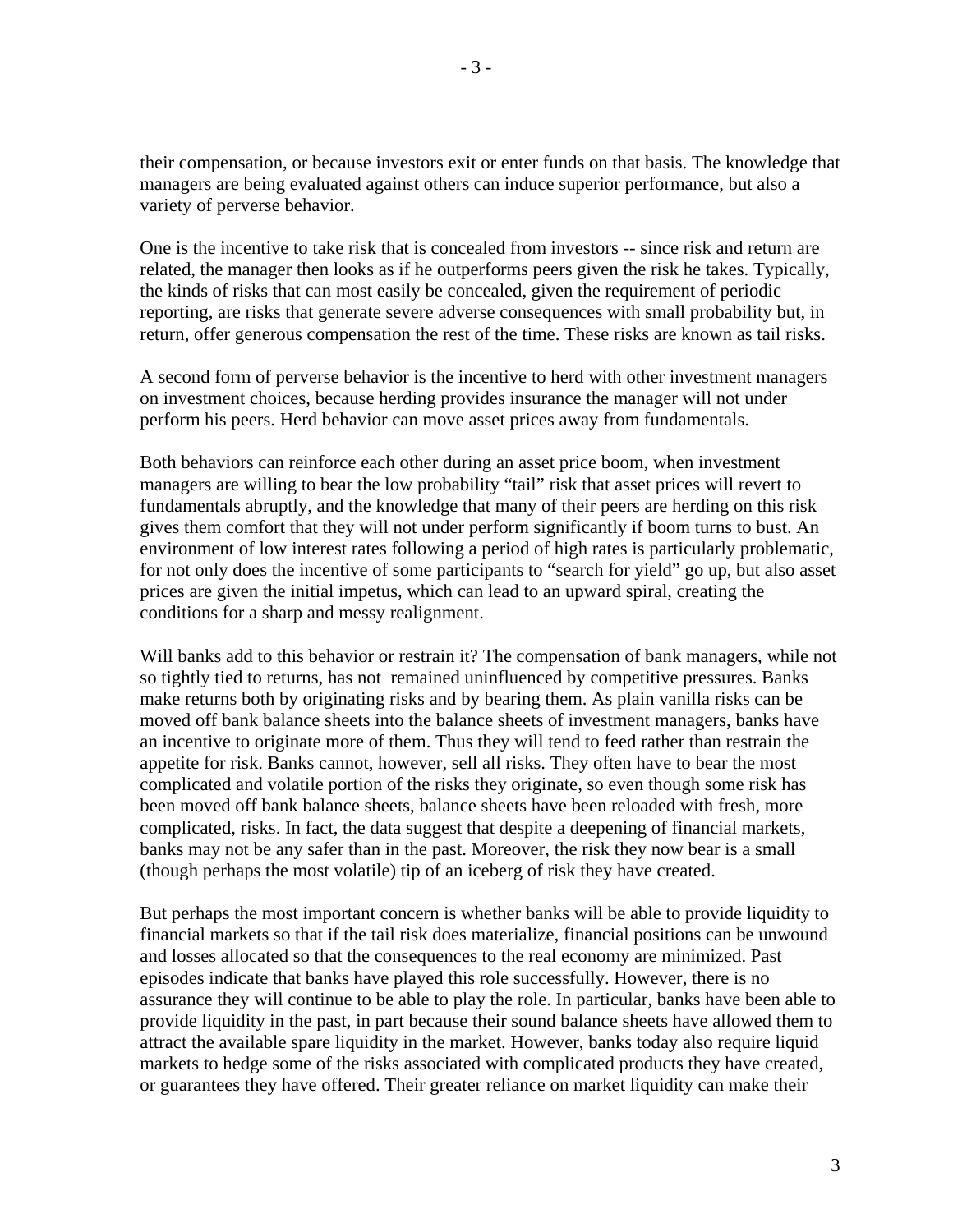their compensation, or because investors exit or enter funds on that basis. The knowledge that managers are being evaluated against others can induce superior performance, but also a variety of perverse behavior.

One is the incentive to take risk that is concealed from investors -- since risk and return are related, the manager then looks as if he outperforms peers given the risk he takes. Typically, the kinds of risks that can most easily be concealed, given the requirement of periodic reporting, are risks that generate severe adverse consequences with small probability but, in return, offer generous compensation the rest of the time. These risks are known as tail risks.

A second form of perverse behavior is the incentive to herd with other investment managers on investment choices, because herding provides insurance the manager will not under perform his peers. Herd behavior can move asset prices away from fundamentals.

Both behaviors can reinforce each other during an asset price boom, when investment managers are willing to bear the low probability "tail" risk that asset prices will revert to fundamentals abruptly, and the knowledge that many of their peers are herding on this risk gives them comfort that they will not under perform significantly if boom turns to bust. An environment of low interest rates following a period of high rates is particularly problematic, for not only does the incentive of some participants to "search for yield" go up, but also asset prices are given the initial impetus, which can lead to an upward spiral, creating the conditions for a sharp and messy realignment.

Will banks add to this behavior or restrain it? The compensation of bank managers, while not so tightly tied to returns, has not remained uninfluenced by competitive pressures. Banks make returns both by originating risks and by bearing them. As plain vanilla risks can be moved off bank balance sheets into the balance sheets of investment managers, banks have an incentive to originate more of them. Thus they will tend to feed rather than restrain the appetite for risk. Banks cannot, however, sell all risks. They often have to bear the most complicated and volatile portion of the risks they originate, so even though some risk has been moved off bank balance sheets, balance sheets have been reloaded with fresh, more complicated, risks. In fact, the data suggest that despite a deepening of financial markets, banks may not be any safer than in the past. Moreover, the risk they now bear is a small (though perhaps the most volatile) tip of an iceberg of risk they have created.

But perhaps the most important concern is whether banks will be able to provide liquidity to financial markets so that if the tail risk does materialize, financial positions can be unwound and losses allocated so that the consequences to the real economy are minimized. Past episodes indicate that banks have played this role successfully. However, there is no assurance they will continue to be able to play the role. In particular, banks have been able to provide liquidity in the past, in part because their sound balance sheets have allowed them to attract the available spare liquidity in the market. However, banks today also require liquid markets to hedge some of the risks associated with complicated products they have created, or guarantees they have offered. Their greater reliance on market liquidity can make their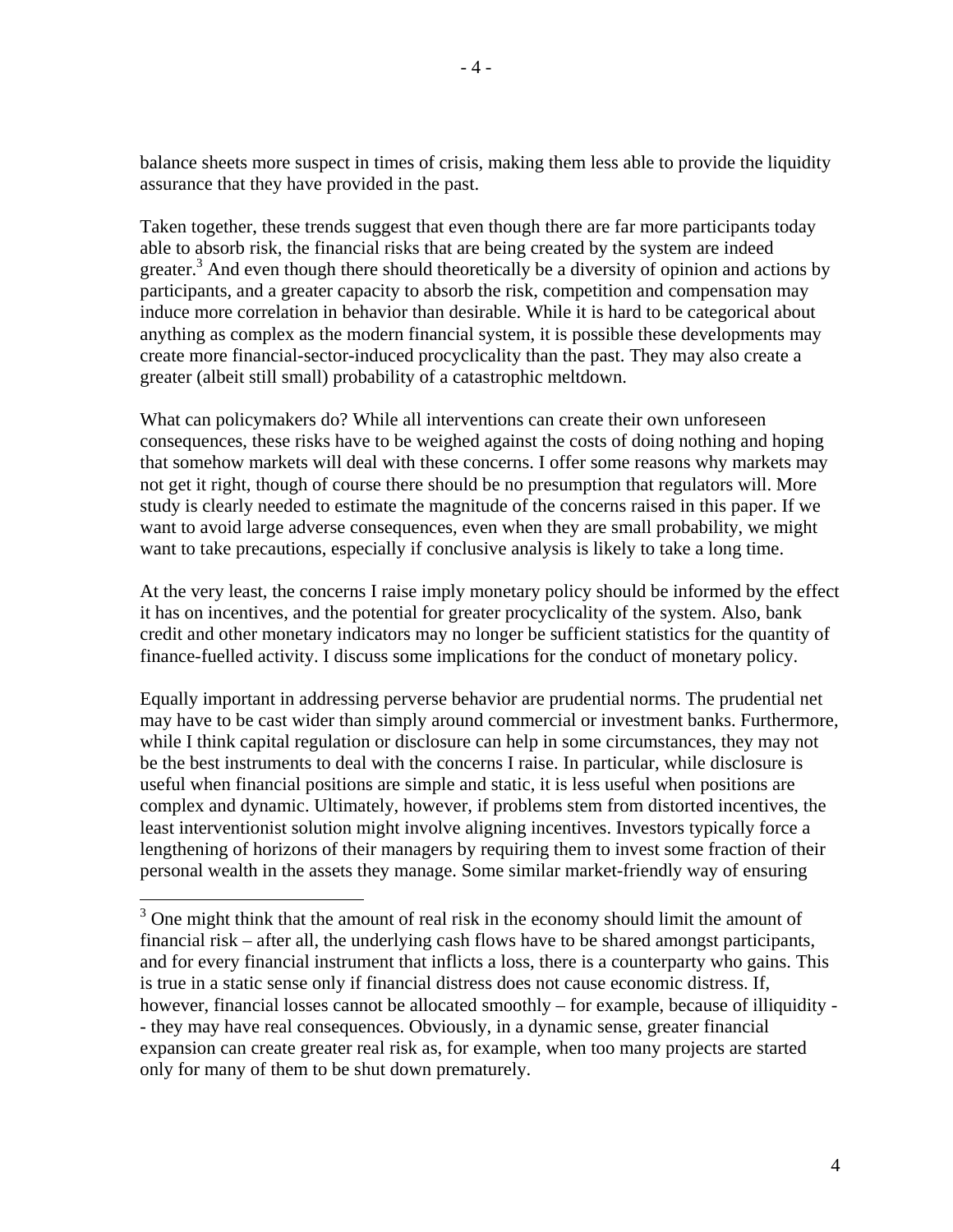balance sheets more suspect in times of crisis, making them less able to provide the liquidity assurance that they have provided in the past.

Taken together, these trends suggest that even though there are far more participants today able to absorb risk, the financial risks that are being created by the system are indeed greater.<sup>3</sup> And even though there should theoretically be a diversity of opinion and actions by participants, and a greater capacity to absorb the risk, competition and compensation may induce more correlation in behavior than desirable. While it is hard to be categorical about anything as complex as the modern financial system, it is possible these developments may create more financial-sector-induced procyclicality than the past. They may also create a greater (albeit still small) probability of a catastrophic meltdown.

What can policymakers do? While all interventions can create their own unforeseen consequences, these risks have to be weighed against the costs of doing nothing and hoping that somehow markets will deal with these concerns. I offer some reasons why markets may not get it right, though of course there should be no presumption that regulators will. More study is clearly needed to estimate the magnitude of the concerns raised in this paper. If we want to avoid large adverse consequences, even when they are small probability, we might want to take precautions, especially if conclusive analysis is likely to take a long time.

At the very least, the concerns I raise imply monetary policy should be informed by the effect it has on incentives, and the potential for greater procyclicality of the system. Also, bank credit and other monetary indicators may no longer be sufficient statistics for the quantity of finance-fuelled activity. I discuss some implications for the conduct of monetary policy.

Equally important in addressing perverse behavior are prudential norms. The prudential net may have to be cast wider than simply around commercial or investment banks. Furthermore, while I think capital regulation or disclosure can help in some circumstances, they may not be the best instruments to deal with the concerns I raise. In particular, while disclosure is useful when financial positions are simple and static, it is less useful when positions are complex and dynamic. Ultimately, however, if problems stem from distorted incentives, the least interventionist solution might involve aligning incentives. Investors typically force a lengthening of horizons of their managers by requiring them to invest some fraction of their personal wealth in the assets they manage. Some similar market-friendly way of ensuring

 $\overline{a}$ 

<span id="page-6-0"></span> $3$  One might think that the amount of real risk in the economy should limit the amount of financial risk – after all, the underlying cash flows have to be shared amongst participants, and for every financial instrument that inflicts a loss, there is a counterparty who gains. This is true in a static sense only if financial distress does not cause economic distress. If, however, financial losses cannot be allocated smoothly – for example, because of illiquidity -- they may have real consequences. Obviously, in a dynamic sense, greater financial expansion can create greater real risk as, for example, when too many projects are started only for many of them to be shut down prematurely.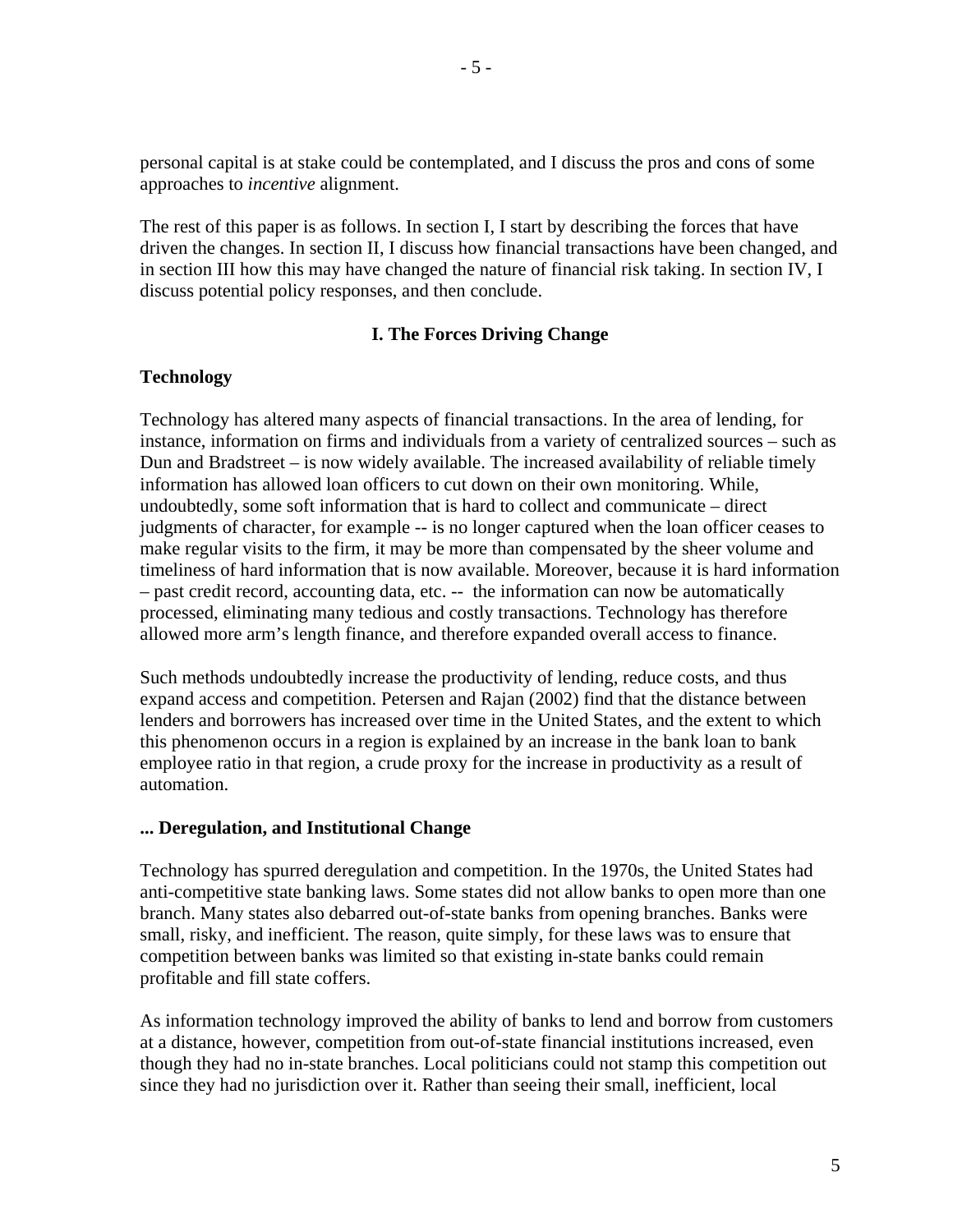personal capital is at stake could be contemplated, and I discuss the pros and cons of some approaches to *incentive* alignment.

The rest of this paper is as follows. In section I, I start by describing the forces that have driven the changes. In section II, I discuss how financial transactions have been changed, and in section III how this may have changed the nature of financial risk taking. In section IV, I discuss potential policy responses, and then conclude.

## **I. The Forces Driving Change**

## **Technology**

Technology has altered many aspects of financial transactions. In the area of lending, for instance, information on firms and individuals from a variety of centralized sources – such as Dun and Bradstreet – is now widely available. The increased availability of reliable timely information has allowed loan officers to cut down on their own monitoring. While, undoubtedly, some soft information that is hard to collect and communicate – direct judgments of character, for example -- is no longer captured when the loan officer ceases to make regular visits to the firm, it may be more than compensated by the sheer volume and timeliness of hard information that is now available. Moreover, because it is hard information – past credit record, accounting data, etc. -- the information can now be automatically processed, eliminating many tedious and costly transactions. Technology has therefore allowed more arm's length finance, and therefore expanded overall access to finance.

Such methods undoubtedly increase the productivity of lending, reduce costs, and thus expand access and competition. Petersen and Rajan (2002) find that the distance between lenders and borrowers has increased over time in the United States, and the extent to which this phenomenon occurs in a region is explained by an increase in the bank loan to bank employee ratio in that region, a crude proxy for the increase in productivity as a result of automation.

### **... Deregulation, and Institutional Change**

Technology has spurred deregulation and competition. In the 1970s, the United States had anti-competitive state banking laws. Some states did not allow banks to open more than one branch. Many states also debarred out-of-state banks from opening branches. Banks were small, risky, and inefficient. The reason, quite simply, for these laws was to ensure that competition between banks was limited so that existing in-state banks could remain profitable and fill state coffers.

As information technology improved the ability of banks to lend and borrow from customers at a distance, however, competition from out-of-state financial institutions increased, even though they had no in-state branches. Local politicians could not stamp this competition out since they had no jurisdiction over it. Rather than seeing their small, inefficient, local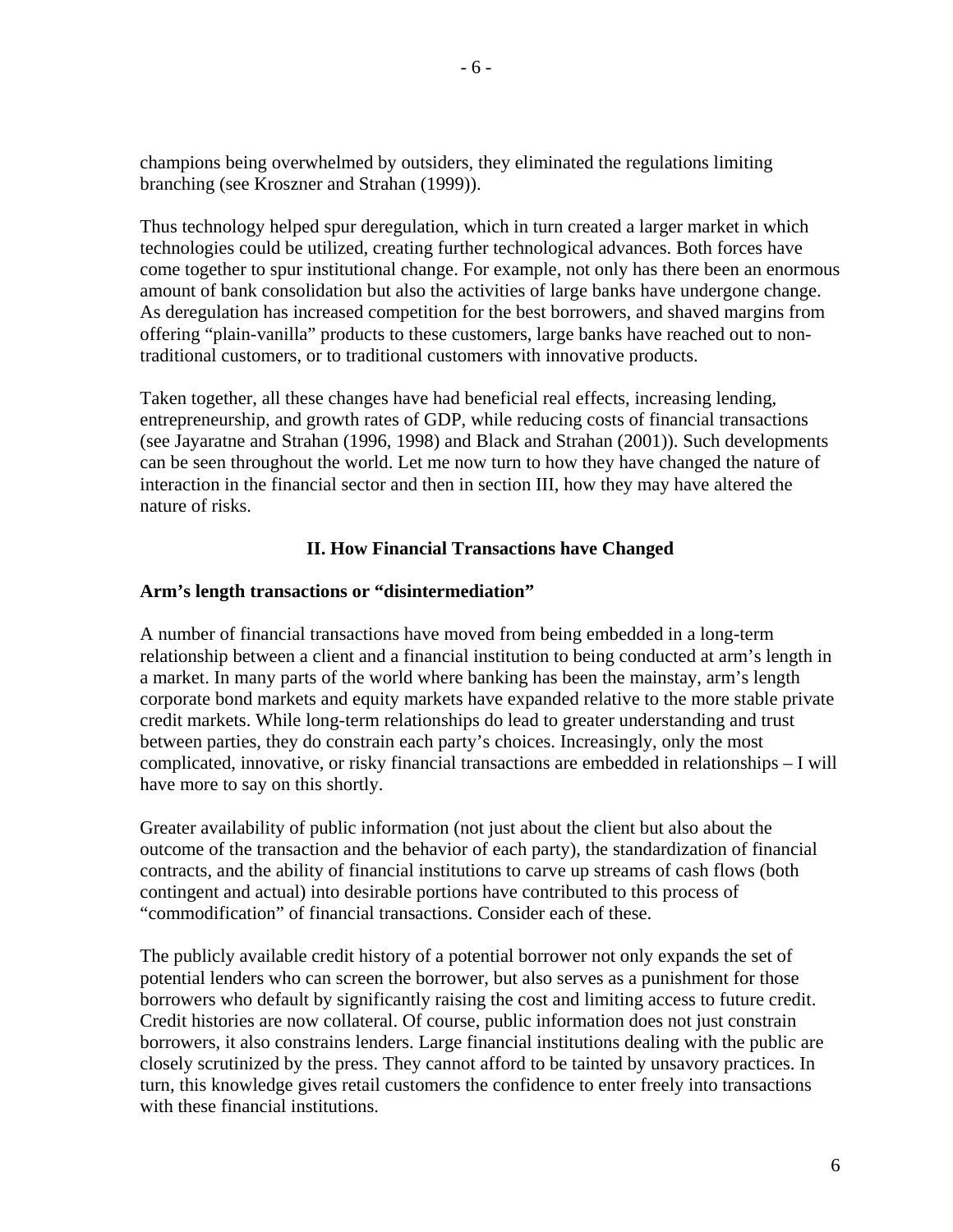champions being overwhelmed by outsiders, they eliminated the regulations limiting branching (see Kroszner and Strahan (1999)).

Thus technology helped spur deregulation, which in turn created a larger market in which technologies could be utilized, creating further technological advances. Both forces have come together to spur institutional change. For example, not only has there been an enormous amount of bank consolidation but also the activities of large banks have undergone change. As deregulation has increased competition for the best borrowers, and shaved margins from offering "plain-vanilla" products to these customers, large banks have reached out to nontraditional customers, or to traditional customers with innovative products.

Taken together, all these changes have had beneficial real effects, increasing lending, entrepreneurship, and growth rates of GDP, while reducing costs of financial transactions (see Jayaratne and Strahan (1996, 1998) and Black and Strahan (2001)). Such developments can be seen throughout the world. Let me now turn to how they have changed the nature of interaction in the financial sector and then in section III, how they may have altered the nature of risks.

## **II. How Financial Transactions have Changed**

### **Arm's length transactions or "disintermediation"**

A number of financial transactions have moved from being embedded in a long-term relationship between a client and a financial institution to being conducted at arm's length in a market. In many parts of the world where banking has been the mainstay, arm's length corporate bond markets and equity markets have expanded relative to the more stable private credit markets. While long-term relationships do lead to greater understanding and trust between parties, they do constrain each party's choices. Increasingly, only the most complicated, innovative, or risky financial transactions are embedded in relationships – I will have more to say on this shortly.

Greater availability of public information (not just about the client but also about the outcome of the transaction and the behavior of each party), the standardization of financial contracts, and the ability of financial institutions to carve up streams of cash flows (both contingent and actual) into desirable portions have contributed to this process of "commodification" of financial transactions. Consider each of these.

The publicly available credit history of a potential borrower not only expands the set of potential lenders who can screen the borrower, but also serves as a punishment for those borrowers who default by significantly raising the cost and limiting access to future credit. Credit histories are now collateral. Of course, public information does not just constrain borrowers, it also constrains lenders. Large financial institutions dealing with the public are closely scrutinized by the press. They cannot afford to be tainted by unsavory practices. In turn, this knowledge gives retail customers the confidence to enter freely into transactions with these financial institutions.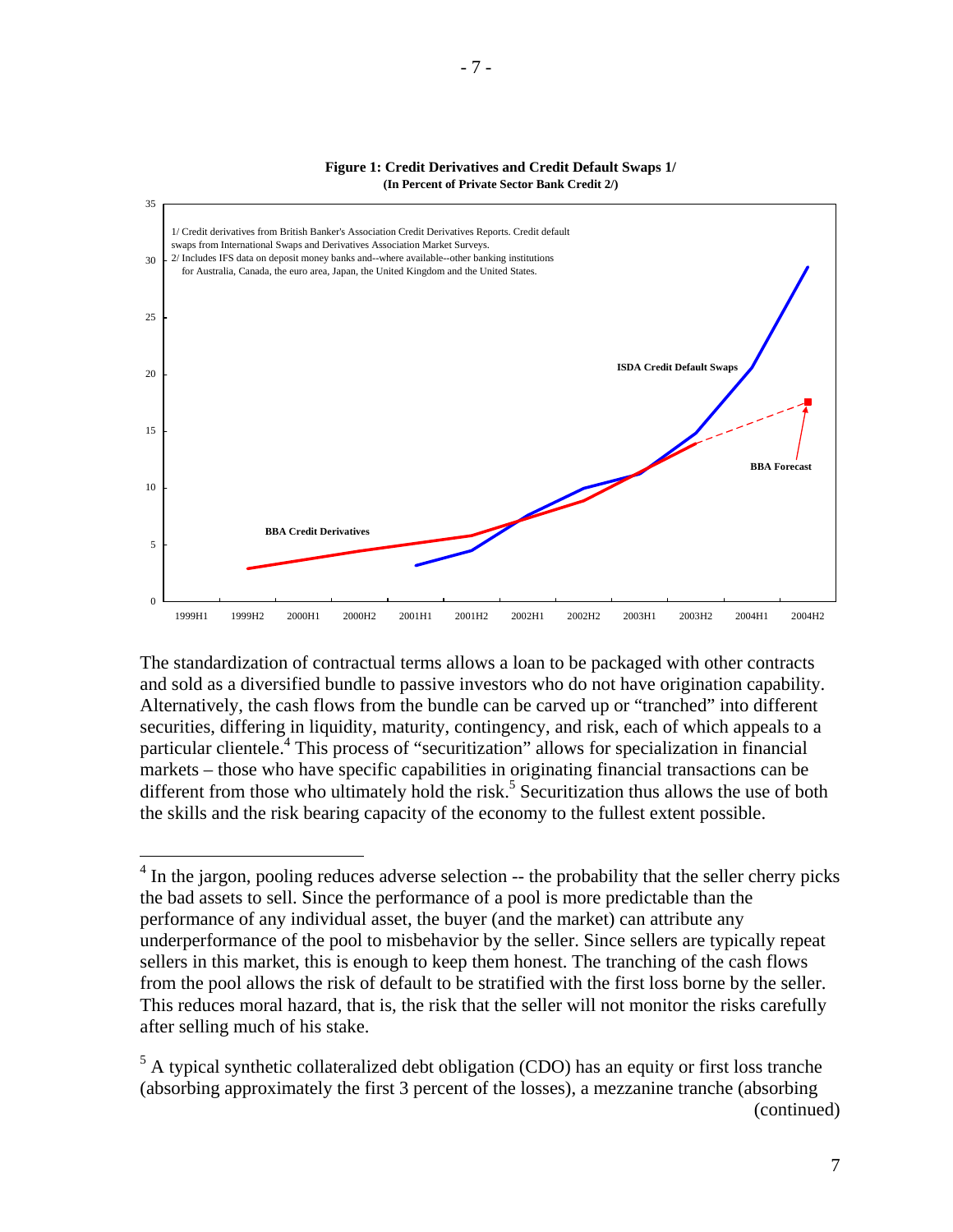

#### **Figure 1: Credit Derivatives and Credit Default Swaps 1/ (In Percent of Private Sector Bank Credit 2/)**

The standardization of contractual terms allows a loan to be packaged with other contracts and sold as a diversified bundle to passive investors who do not have origination capability. Alternatively, the cash flows from the bundle can be carved up or "tranched" into different securities, differing in liquidity, maturity, contingency, and risk, each of which appeals to a particular clientele.<sup>[4](#page-9-0)</sup> This process of "securitization" allows for specialization in financial markets – those who have specific capabilities in originating financial transactions can be different from those who ultimately hold the risk.<sup>5</sup> Securitization thus allows the use of both the skills and the risk bearing capacity of the economy to the fullest extent possible.

<span id="page-9-0"></span><sup>&</sup>lt;sup>4</sup> In the jargon, pooling reduces adverse selection -- the probability that the seller cherry picks the bad assets to sell. Since the performance of a pool is more predictable than the performance of any individual asset, the buyer (and the market) can attribute any underperformance of the pool to misbehavior by the seller. Since sellers are typically repeat sellers in this market, this is enough to keep them honest. The tranching of the cash flows from the pool allows the risk of default to be stratified with the first loss borne by the seller. This reduces moral hazard, that is, the risk that the seller will not monitor the risks carefully after selling much of his stake.

<span id="page-9-1"></span><sup>(</sup>continued)  $<sup>5</sup>$  A typical synthetic collateralized debt obligation (CDO) has an equity or first loss tranche</sup> (absorbing approximately the first 3 percent of the losses), a mezzanine tranche (absorbing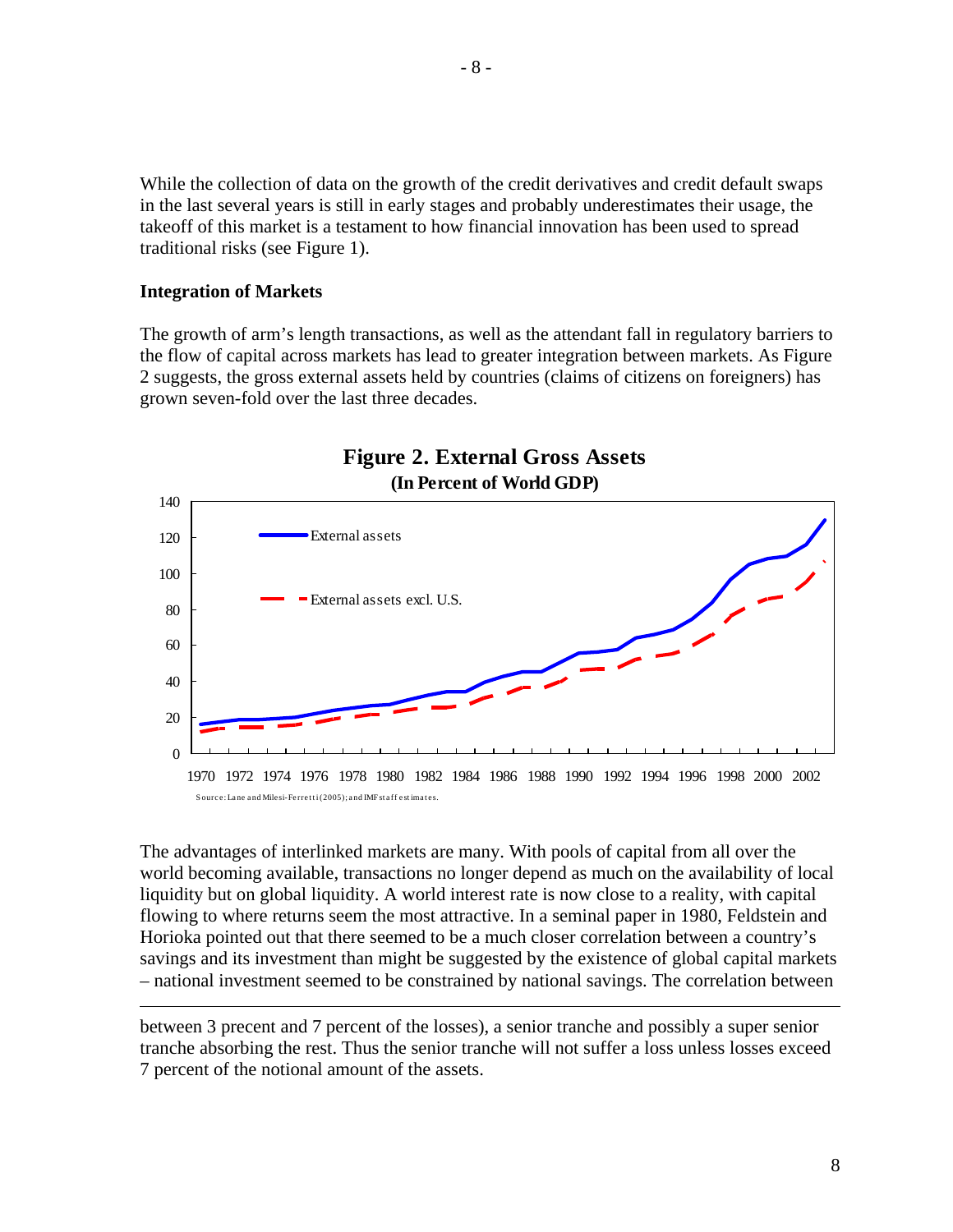While the collection of data on the growth of the credit derivatives and credit default swaps in the last several years is still in early stages and probably underestimates their usage, the takeoff of this market is a testament to how financial innovation has been used to spread traditional risks (see Figure 1).

## **Integration of Markets**

1

The growth of arm's length transactions, as well as the attendant fall in regulatory barriers to the flow of capital across markets has lead to greater integration between markets. As Figure 2 suggests, the gross external assets held by countries (claims of citizens on foreigners) has grown seven-fold over the last three decades.



The advantages of interlinked markets are many. With pools of capital from all over the world becoming available, transactions no longer depend as much on the availability of local liquidity but on global liquidity. A world interest rate is now close to a reality, with capital flowing to where returns seem the most attractive. In a seminal paper in 1980, Feldstein and Horioka pointed out that there seemed to be a much closer correlation between a country's savings and its investment than might be suggested by the existence of global capital markets – national investment seemed to be constrained by national savings. The correlation between

between 3 precent and 7 percent of the losses), a senior tranche and possibly a super senior tranche absorbing the rest. Thus the senior tranche will not suffer a loss unless losses exceed 7 percent of the notional amount of the assets.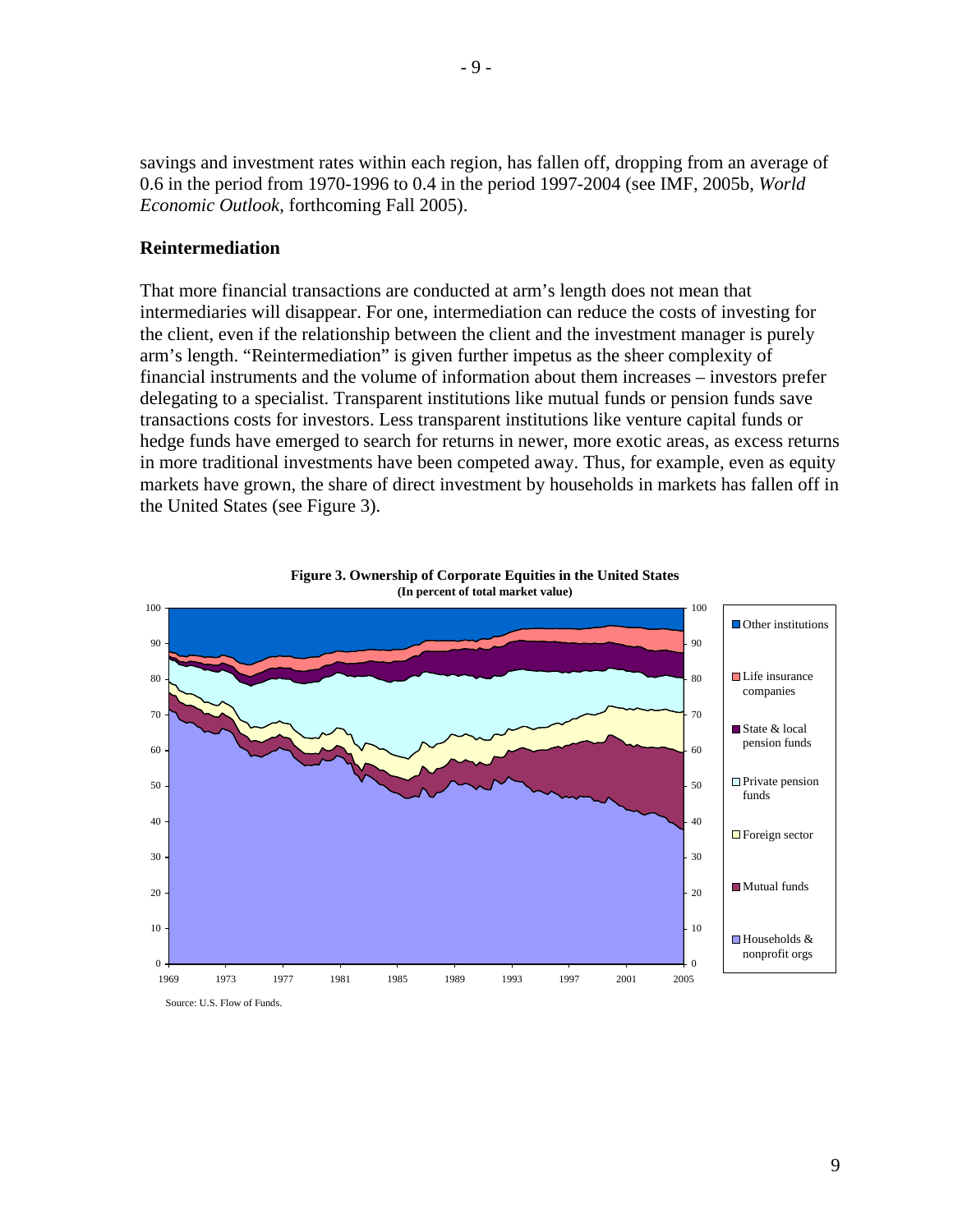savings and investment rates within each region, has fallen off, dropping from an average of 0.6 in the period from 1970-1996 to 0.4 in the period 1997-2004 (see IMF, 2005b, *World Economic Outlook*, forthcoming Fall 2005).

### **Reintermediation**

That more financial transactions are conducted at arm's length does not mean that intermediaries will disappear. For one, intermediation can reduce the costs of investing for the client, even if the relationship between the client and the investment manager is purely arm's length. "Reintermediation" is given further impetus as the sheer complexity of financial instruments and the volume of information about them increases – investors prefer delegating to a specialist. Transparent institutions like mutual funds or pension funds save transactions costs for investors. Less transparent institutions like venture capital funds or hedge funds have emerged to search for returns in newer, more exotic areas, as excess returns in more traditional investments have been competed away. Thus, for example, even as equity markets have grown, the share of direct investment by households in markets has fallen off in the United States (see Figure 3).



**Figure 3. Ownership of Corporate Equities in the United States (In percent of total market value)**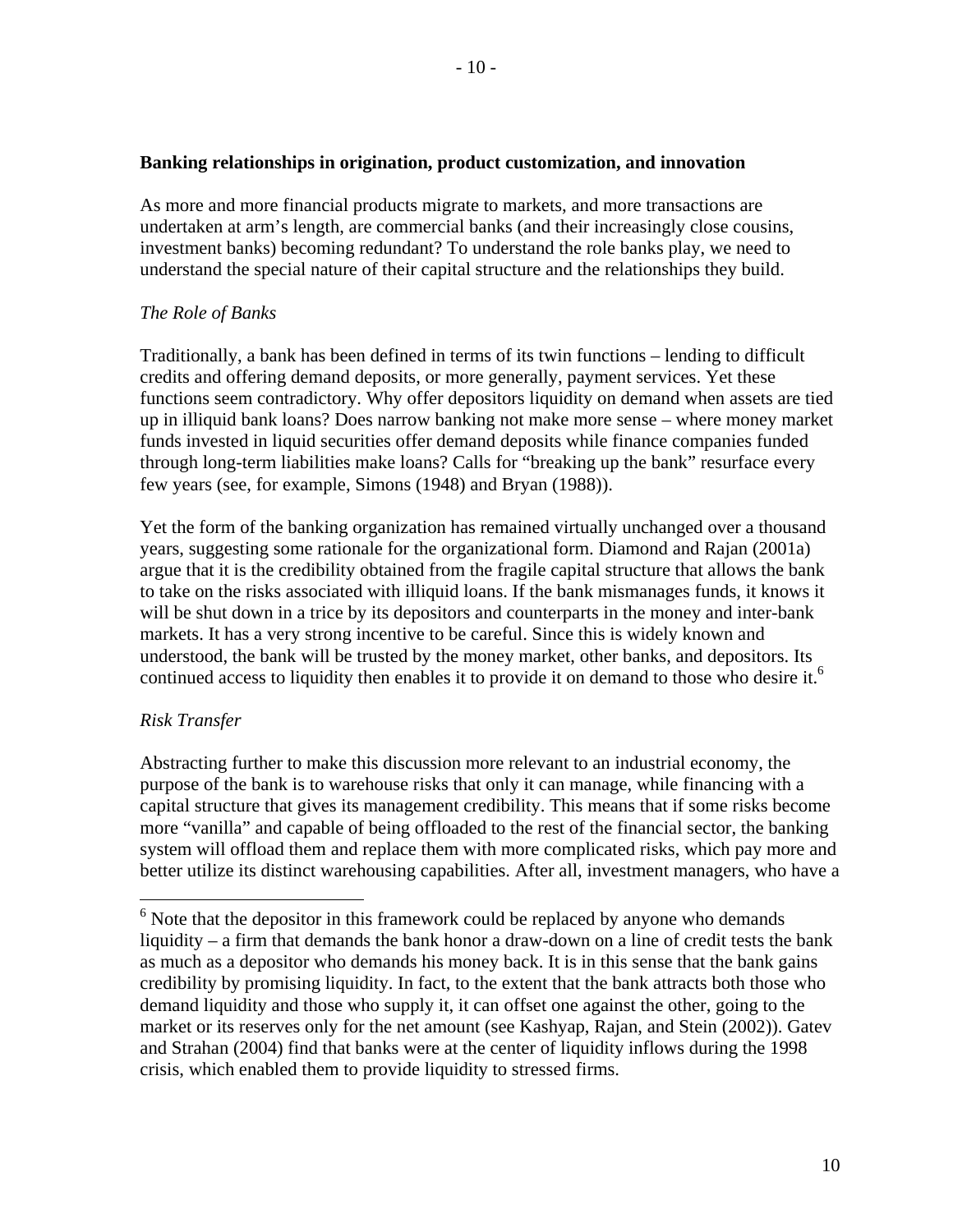### **Banking relationships in origination, product customization, and innovation**

As more and more financial products migrate to markets, and more transactions are undertaken at arm's length, are commercial banks (and their increasingly close cousins, investment banks) becoming redundant? To understand the role banks play, we need to understand the special nature of their capital structure and the relationships they build.

### *The Role of Banks*

Traditionally, a bank has been defined in terms of its twin functions – lending to difficult credits and offering demand deposits, or more generally, payment services. Yet these functions seem contradictory. Why offer depositors liquidity on demand when assets are tied up in illiquid bank loans? Does narrow banking not make more sense – where money market funds invested in liquid securities offer demand deposits while finance companies funded through long-term liabilities make loans? Calls for "breaking up the bank" resurface every few years (see, for example, Simons (1948) and Bryan (1988)).

Yet the form of the banking organization has remained virtually unchanged over a thousand years, suggesting some rationale for the organizational form. Diamond and Rajan (2001a) argue that it is the credibility obtained from the fragile capital structure that allows the bank to take on the risks associated with illiquid loans. If the bank mismanages funds, it knows it will be shut down in a trice by its depositors and counterparts in the money and inter-bank markets. It has a very strong incentive to be careful. Since this is widely known and understood, the bank will be trusted by the money market, other banks, and depositors. Its continued access to liquidity then enables it to provide it on demand to those who desire it.<sup>[6](#page-12-0)</sup>

### *Risk Transfer*

1

Abstracting further to make this discussion more relevant to an industrial economy, the purpose of the bank is to warehouse risks that only it can manage, while financing with a capital structure that gives its management credibility. This means that if some risks become more "vanilla" and capable of being offloaded to the rest of the financial sector, the banking system will offload them and replace them with more complicated risks, which pay more and better utilize its distinct warehousing capabilities. After all, investment managers, who have a

<span id="page-12-0"></span><sup>&</sup>lt;sup>6</sup> Note that the depositor in this framework could be replaced by anyone who demands liquidity – a firm that demands the bank honor a draw-down on a line of credit tests the bank as much as a depositor who demands his money back. It is in this sense that the bank gains credibility by promising liquidity. In fact, to the extent that the bank attracts both those who demand liquidity and those who supply it, it can offset one against the other, going to the market or its reserves only for the net amount (see Kashyap, Rajan, and Stein (2002)). Gatev and Strahan (2004) find that banks were at the center of liquidity inflows during the 1998 crisis, which enabled them to provide liquidity to stressed firms.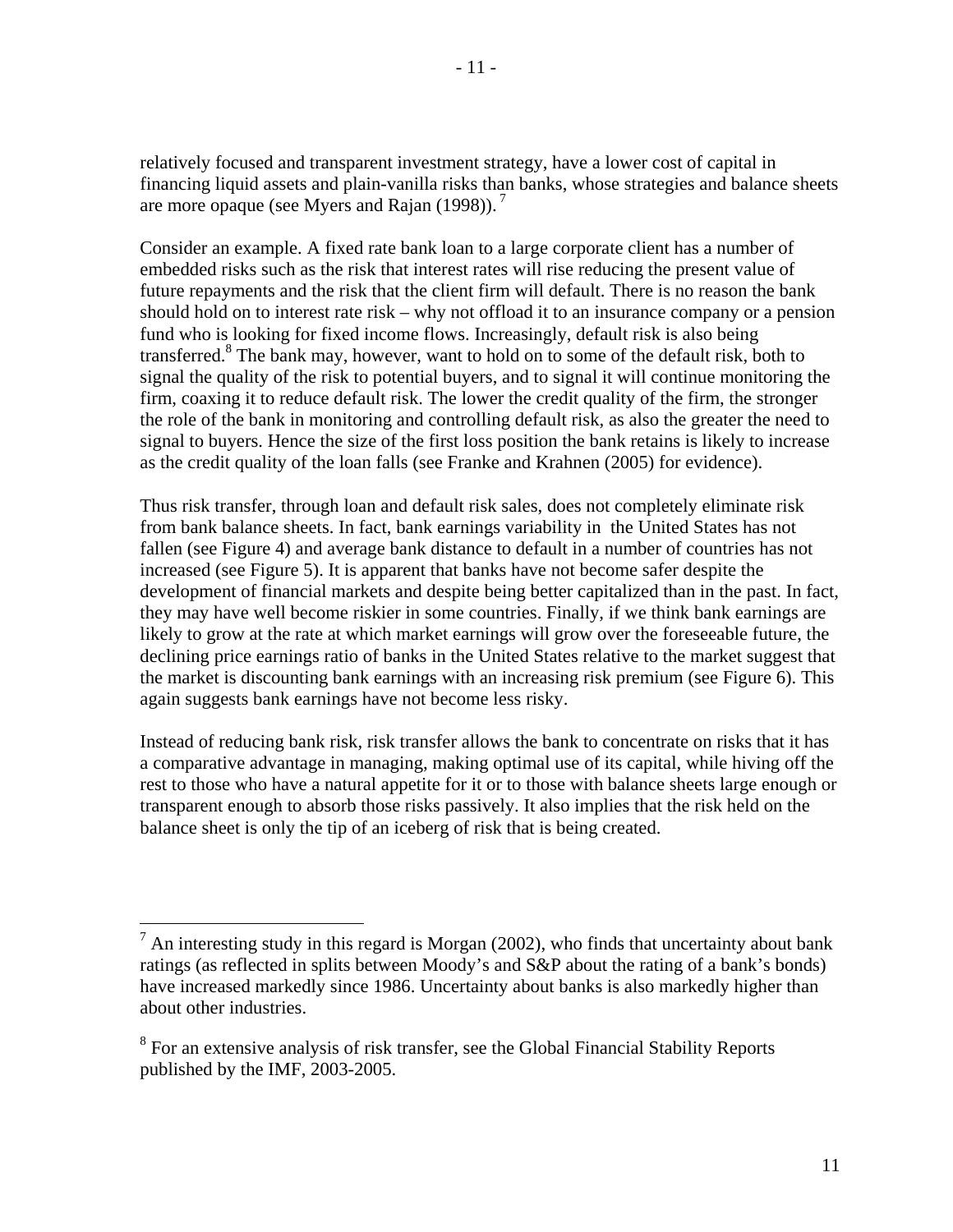relatively focused and transparent investment strategy, have a lower cost of capital in financing liquid assets and plain-vanilla risks than banks, whose strategies and balance sheets are more opaque (see Myers and Rajan  $(1998)$ ).<sup>7</sup>

Consider an example. A fixed rate bank loan to a large corporate client has a number of embedded risks such as the risk that interest rates will rise reducing the present value of future repayments and the risk that the client firm will default. There is no reason the bank should hold on to interest rate risk – why not offload it to an insurance company or a pension fund who is looking for fixed income flows. Increasingly, default risk is also being transferred.<sup>8</sup> The bank may, however, want to hold on to some of the default risk, both to signal the quality of the risk to potential buyers, and to signal it will continue monitoring the firm, coaxing it to reduce default risk. The lower the credit quality of the firm, the stronger the role of the bank in monitoring and controlling default risk, as also the greater the need to signal to buyers. Hence the size of the first loss position the bank retains is likely to increase as the credit quality of the loan falls (see Franke and Krahnen (2005) for evidence).

Thus risk transfer, through loan and default risk sales, does not completely eliminate risk from bank balance sheets. In fact, bank earnings variability in the United States has not fallen (see Figure 4) and average bank distance to default in a number of countries has not increased (see Figure 5). It is apparent that banks have not become safer despite the development of financial markets and despite being better capitalized than in the past. In fact, they may have well become riskier in some countries. Finally, if we think bank earnings are likely to grow at the rate at which market earnings will grow over the foreseeable future, the declining price earnings ratio of banks in the United States relative to the market suggest that the market is discounting bank earnings with an increasing risk premium (see Figure 6). This again suggests bank earnings have not become less risky.

Instead of reducing bank risk, risk transfer allows the bank to concentrate on risks that it has a comparative advantage in managing, making optimal use of its capital, while hiving off the rest to those who have a natural appetite for it or to those with balance sheets large enough or transparent enough to absorb those risks passively. It also implies that the risk held on the balance sheet is only the tip of an iceberg of risk that is being created.

<span id="page-13-0"></span><sup>&</sup>lt;sup>7</sup> An interesting study in this regard is Morgan (2002), who finds that uncertainty about bank ratings (as reflected in splits between Moody's and S&P about the rating of a bank's bonds) have increased markedly since 1986. Uncertainty about banks is also markedly higher than about other industries.

<span id="page-13-1"></span><sup>&</sup>lt;sup>8</sup> For an extensive analysis of risk transfer, see the Global Financial Stability Reports published by the IMF, 2003-2005.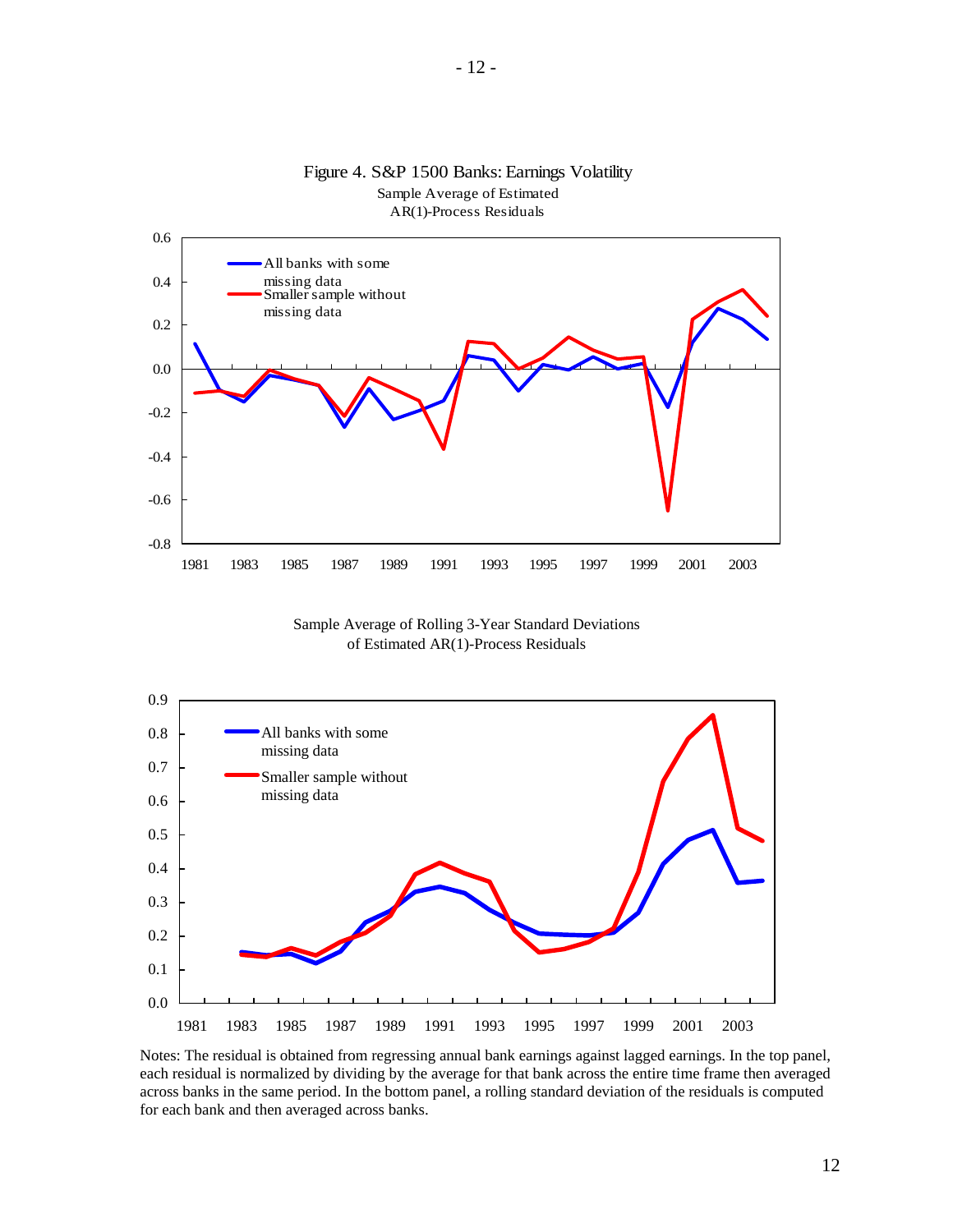

# Figure 4. S&P 1500 Banks: Earnings Volatility Sample Average of Estimated

Sample Average of Rolling 3-Year Standard Deviations of Estimated AR(1)-Process Residuals



Notes: The residual is obtained from regressing annual bank earnings against lagged earnings. In the top panel, each residual is normalized by dividing by the average for that bank across the entire time frame then averaged across banks in the same period. In the bottom panel, a rolling standard deviation of the residuals is computed for each bank and then averaged across banks.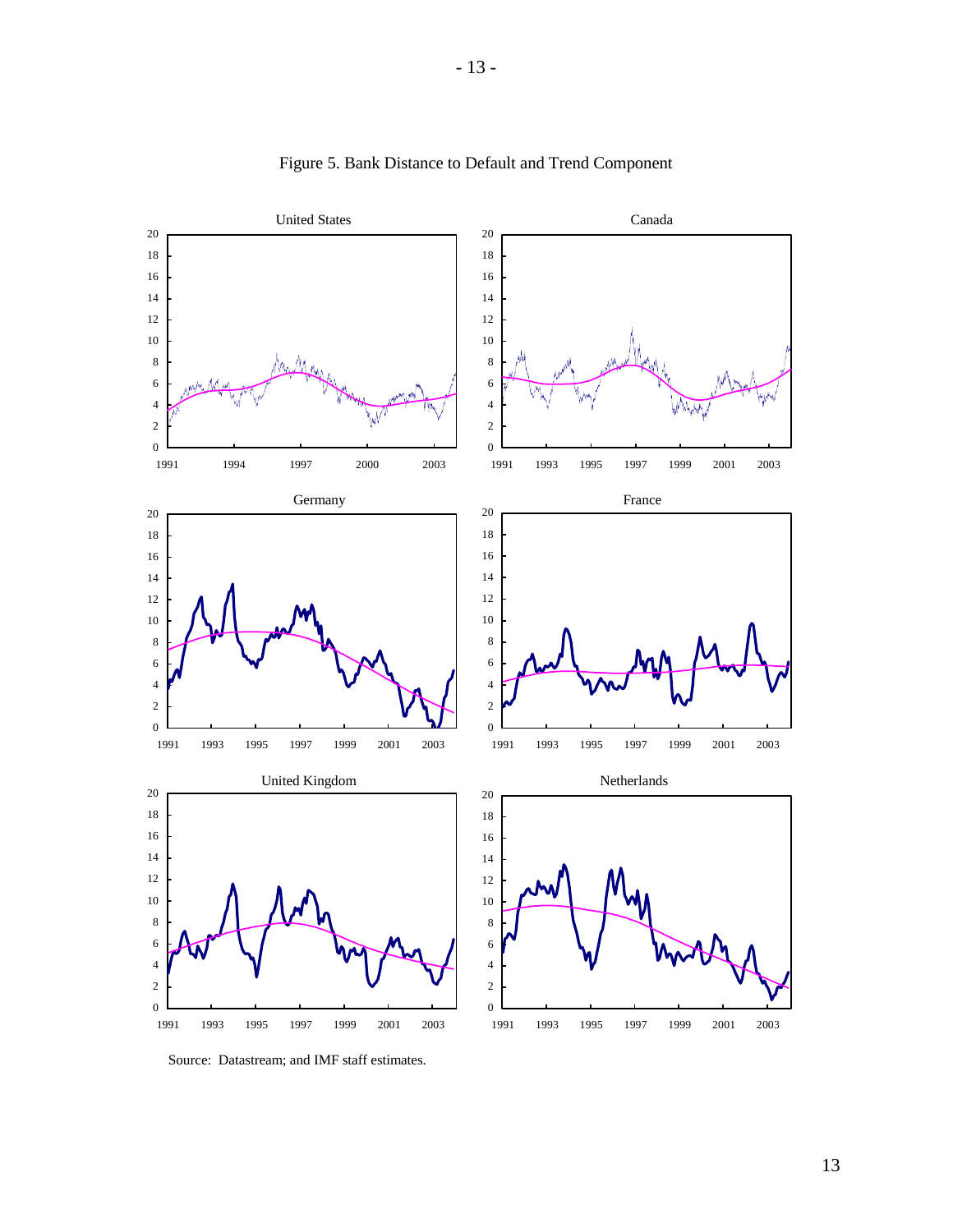

#### Figure 5. Bank Distance to Default and Trend Component

Source: Datastream; and IMF staff estimates.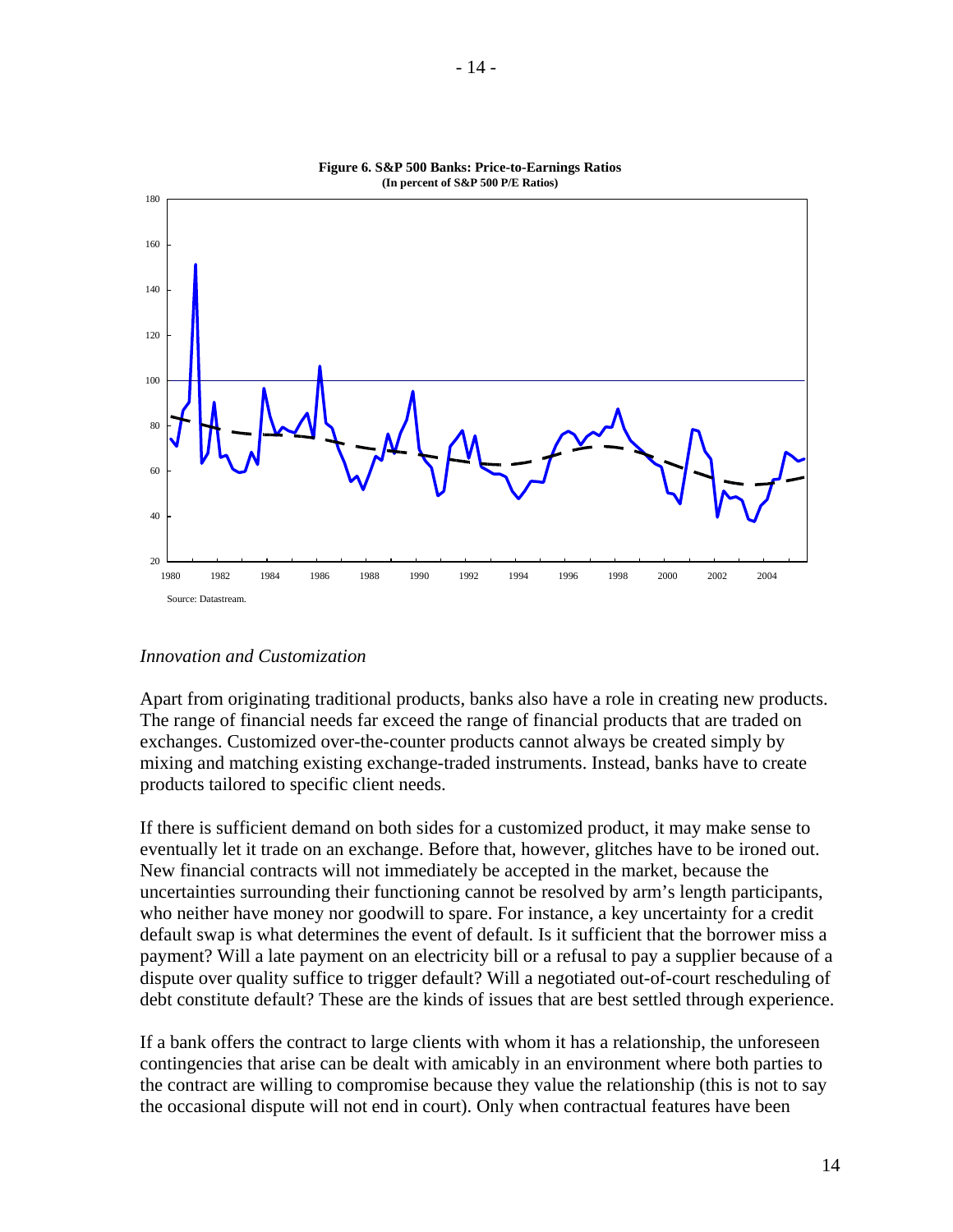

#### **Figure 6. S&P 500 Banks: Price-to-Earnings Ratios (In percent of S&P 500 P/E Ratios)**

### *Innovation and Customization*

Apart from originating traditional products, banks also have a role in creating new products. The range of financial needs far exceed the range of financial products that are traded on exchanges. Customized over-the-counter products cannot always be created simply by mixing and matching existing exchange-traded instruments. Instead, banks have to create products tailored to specific client needs.

If there is sufficient demand on both sides for a customized product, it may make sense to eventually let it trade on an exchange. Before that, however, glitches have to be ironed out. New financial contracts will not immediately be accepted in the market, because the uncertainties surrounding their functioning cannot be resolved by arm's length participants, who neither have money nor goodwill to spare. For instance, a key uncertainty for a credit default swap is what determines the event of default. Is it sufficient that the borrower miss a payment? Will a late payment on an electricity bill or a refusal to pay a supplier because of a dispute over quality suffice to trigger default? Will a negotiated out-of-court rescheduling of debt constitute default? These are the kinds of issues that are best settled through experience.

If a bank offers the contract to large clients with whom it has a relationship, the unforeseen contingencies that arise can be dealt with amicably in an environment where both parties to the contract are willing to compromise because they value the relationship (this is not to say the occasional dispute will not end in court). Only when contractual features have been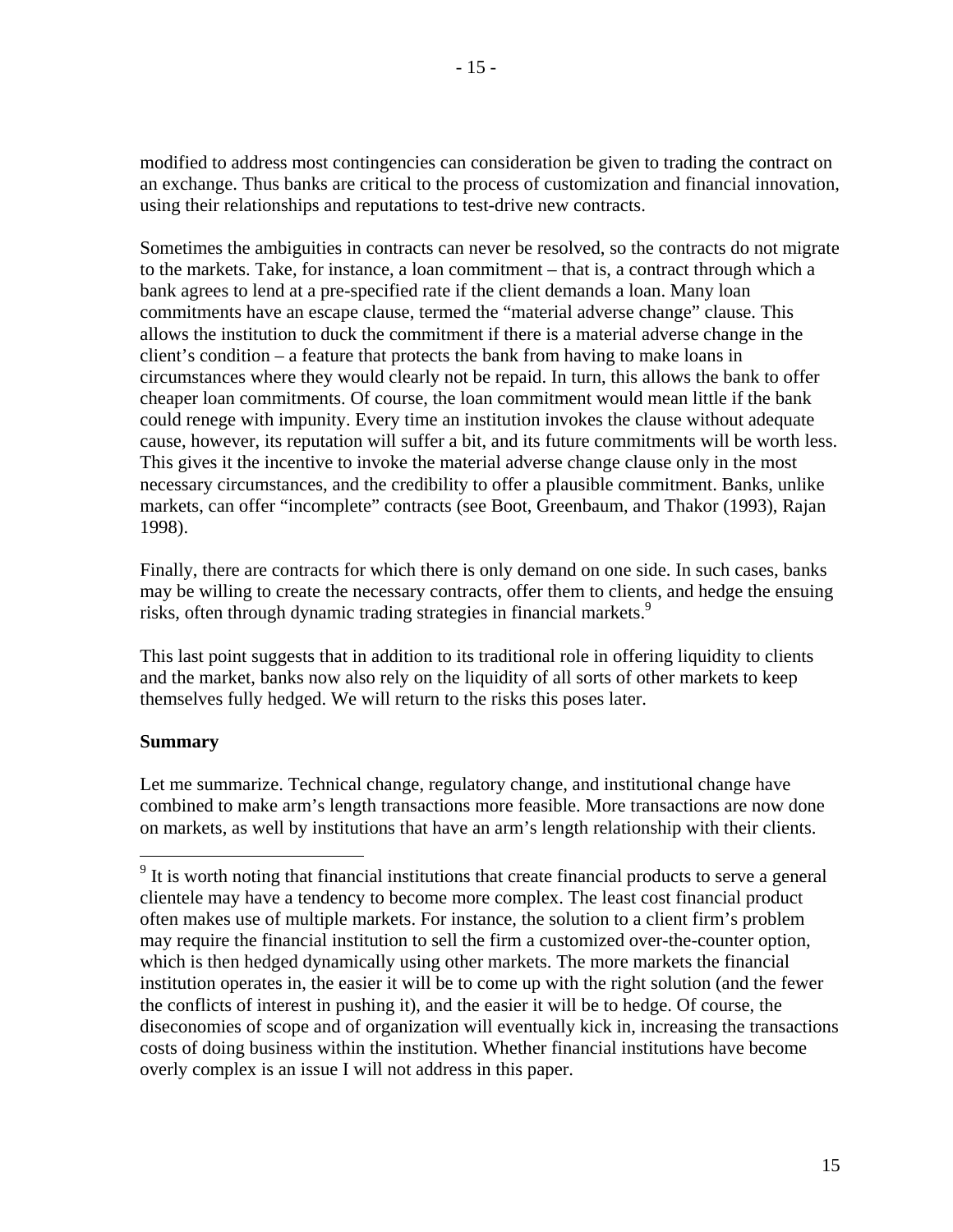modified to address most contingencies can consideration be given to trading the contract on an exchange. Thus banks are critical to the process of customization and financial innovation, using their relationships and reputations to test-drive new contracts.

Sometimes the ambiguities in contracts can never be resolved, so the contracts do not migrate to the markets. Take, for instance, a loan commitment – that is, a contract through which a bank agrees to lend at a pre-specified rate if the client demands a loan. Many loan commitments have an escape clause, termed the "material adverse change" clause. This allows the institution to duck the commitment if there is a material adverse change in the client's condition – a feature that protects the bank from having to make loans in circumstances where they would clearly not be repaid. In turn, this allows the bank to offer cheaper loan commitments. Of course, the loan commitment would mean little if the bank could renege with impunity. Every time an institution invokes the clause without adequate cause, however, its reputation will suffer a bit, and its future commitments will be worth less. This gives it the incentive to invoke the material adverse change clause only in the most necessary circumstances, and the credibility to offer a plausible commitment. Banks, unlike markets, can offer "incomplete" contracts (see Boot, Greenbaum, and Thakor (1993), Rajan 1998).

Finally, there are contracts for which there is only demand on one side. In such cases, banks may be willing to create the necessary contracts, offer them to clients, and hedge the ensuing risks, often through dynamic trading strategies in financial markets.<sup>[9](#page-17-0)</sup>

This last point suggests that in addition to its traditional role in offering liquidity to clients and the market, banks now also rely on the liquidity of all sorts of other markets to keep themselves fully hedged. We will return to the risks this poses later.

# **Summary**

 $\overline{a}$ 

Let me summarize. Technical change, regulatory change, and institutional change have combined to make arm's length transactions more feasible. More transactions are now done on markets, as well by institutions that have an arm's length relationship with their clients.

<span id="page-17-0"></span> $9<sup>9</sup>$  It is worth noting that financial institutions that create financial products to serve a general clientele may have a tendency to become more complex. The least cost financial product often makes use of multiple markets. For instance, the solution to a client firm's problem may require the financial institution to sell the firm a customized over-the-counter option, which is then hedged dynamically using other markets. The more markets the financial institution operates in, the easier it will be to come up with the right solution (and the fewer the conflicts of interest in pushing it), and the easier it will be to hedge. Of course, the diseconomies of scope and of organization will eventually kick in, increasing the transactions costs of doing business within the institution. Whether financial institutions have become overly complex is an issue I will not address in this paper.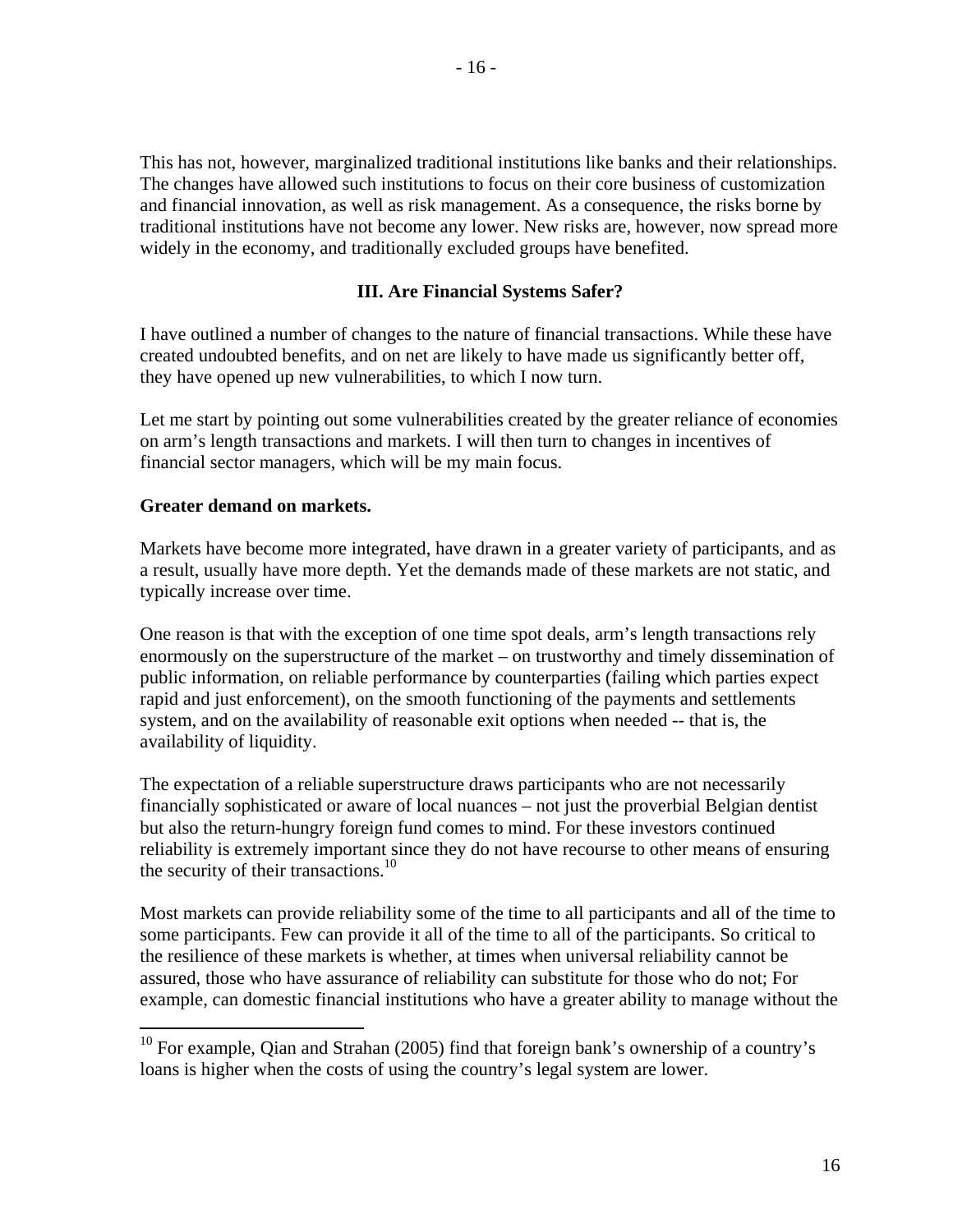This has not, however, marginalized traditional institutions like banks and their relationships. The changes have allowed such institutions to focus on their core business of customization and financial innovation, as well as risk management. As a consequence, the risks borne by traditional institutions have not become any lower. New risks are, however, now spread more widely in the economy, and traditionally excluded groups have benefited.

## **III. Are Financial Systems Safer?**

I have outlined a number of changes to the nature of financial transactions. While these have created undoubted benefits, and on net are likely to have made us significantly better off, they have opened up new vulnerabilities, to which I now turn.

Let me start by pointing out some vulnerabilities created by the greater reliance of economies on arm's length transactions and markets. I will then turn to changes in incentives of financial sector managers, which will be my main focus.

### **Greater demand on markets.**

 $\overline{a}$ 

Markets have become more integrated, have drawn in a greater variety of participants, and as a result, usually have more depth. Yet the demands made of these markets are not static, and typically increase over time.

One reason is that with the exception of one time spot deals, arm's length transactions rely enormously on the superstructure of the market – on trustworthy and timely dissemination of public information, on reliable performance by counterparties (failing which parties expect rapid and just enforcement), on the smooth functioning of the payments and settlements system, and on the availability of reasonable exit options when needed -- that is, the availability of liquidity.

The expectation of a reliable superstructure draws participants who are not necessarily financially sophisticated or aware of local nuances – not just the proverbial Belgian dentist but also the return-hungry foreign fund comes to mind. For these investors continued reliability is extremely important since they do not have recourse to other means of ensuring the security of their transactions.<sup>10</sup>

Most markets can provide reliability some of the time to all participants and all of the time to some participants. Few can provide it all of the time to all of the participants. So critical to the resilience of these markets is whether, at times when universal reliability cannot be assured, those who have assurance of reliability can substitute for those who do not; For example, can domestic financial institutions who have a greater ability to manage without the

<span id="page-18-0"></span><sup>&</sup>lt;sup>10</sup> For example, Qian and Strahan (2005) find that foreign bank's ownership of a country's loans is higher when the costs of using the country's legal system are lower.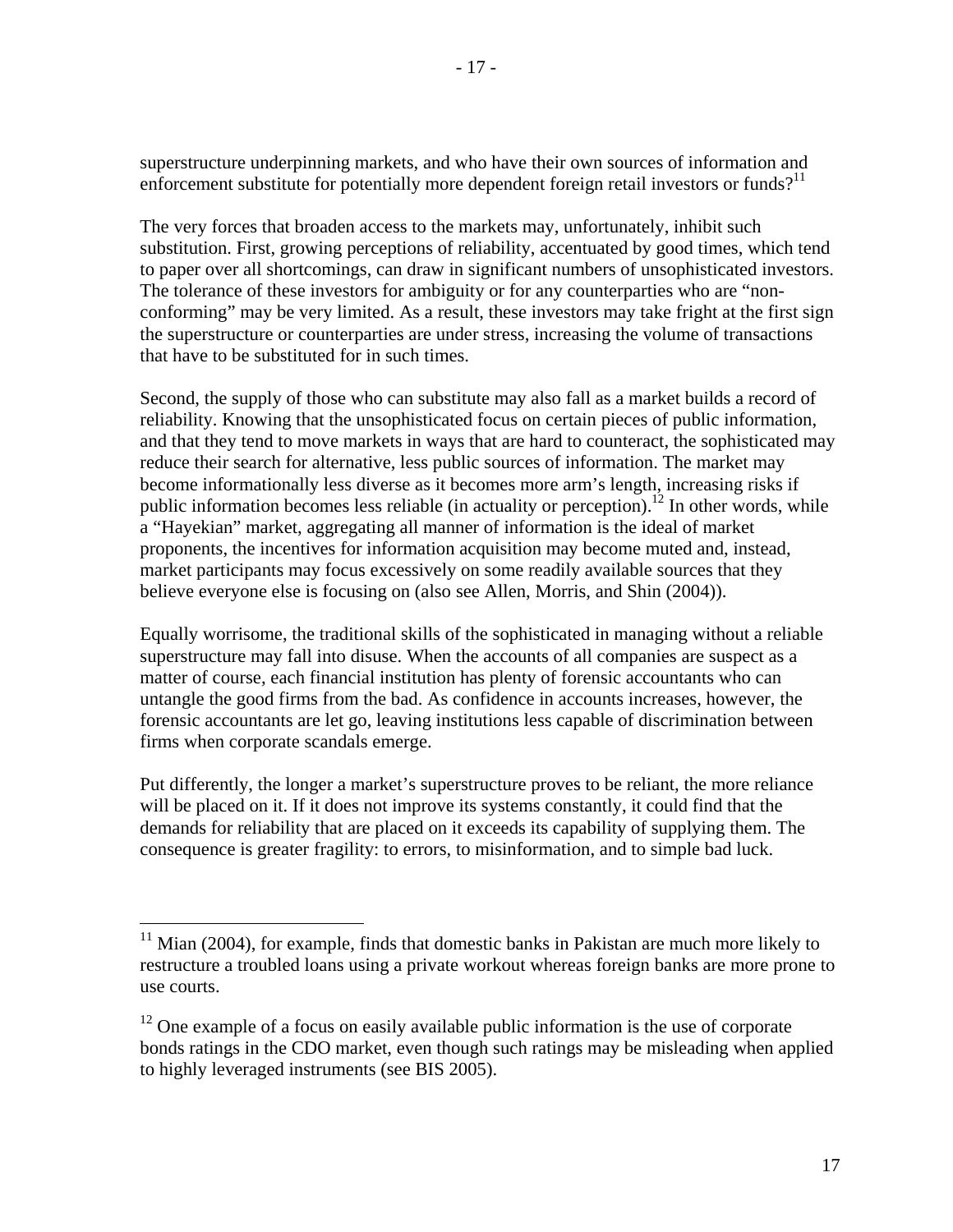superstructure underpinning markets, and who have their own sources of information and enforcement substitute for potentially more dependent foreign retail investors or funds?<sup>[11](#page-19-0)</sup>

The very forces that broaden access to the markets may, unfortunately, inhibit such substitution. First, growing perceptions of reliability, accentuated by good times, which tend to paper over all shortcomings, can draw in significant numbers of unsophisticated investors. The tolerance of these investors for ambiguity or for any counterparties who are "nonconforming" may be very limited. As a result, these investors may take fright at the first sign the superstructure or counterparties are under stress, increasing the volume of transactions that have to be substituted for in such times.

Second, the supply of those who can substitute may also fall as a market builds a record of reliability. Knowing that the unsophisticated focus on certain pieces of public information, and that they tend to move markets in ways that are hard to counteract, the sophisticated may reduce their search for alternative, less public sources of information. The market may become informationally less diverse as it becomes more arm's length, increasing risks if public information becomes less reliable (in actuality or perception).<sup>12</sup> In other words, while a "Hayekian" market, aggregating all manner of information is the ideal of market proponents, the incentives for information acquisition may become muted and, instead, market participants may focus excessively on some readily available sources that they believe everyone else is focusing on (also see Allen, Morris, and Shin (2004)).

Equally worrisome, the traditional skills of the sophisticated in managing without a reliable superstructure may fall into disuse. When the accounts of all companies are suspect as a matter of course, each financial institution has plenty of forensic accountants who can untangle the good firms from the bad. As confidence in accounts increases, however, the forensic accountants are let go, leaving institutions less capable of discrimination between firms when corporate scandals emerge.

Put differently, the longer a market's superstructure proves to be reliant, the more reliance will be placed on it. If it does not improve its systems constantly, it could find that the demands for reliability that are placed on it exceeds its capability of supplying them. The consequence is greater fragility: to errors, to misinformation, and to simple bad luck.

1

<span id="page-19-0"></span> $11$  Mian (2004), for example, finds that domestic banks in Pakistan are much more likely to restructure a troubled loans using a private workout whereas foreign banks are more prone to use courts.

<span id="page-19-1"></span><sup>&</sup>lt;sup>12</sup> One example of a focus on easily available public information is the use of corporate bonds ratings in the CDO market, even though such ratings may be misleading when applied to highly leveraged instruments (see BIS 2005).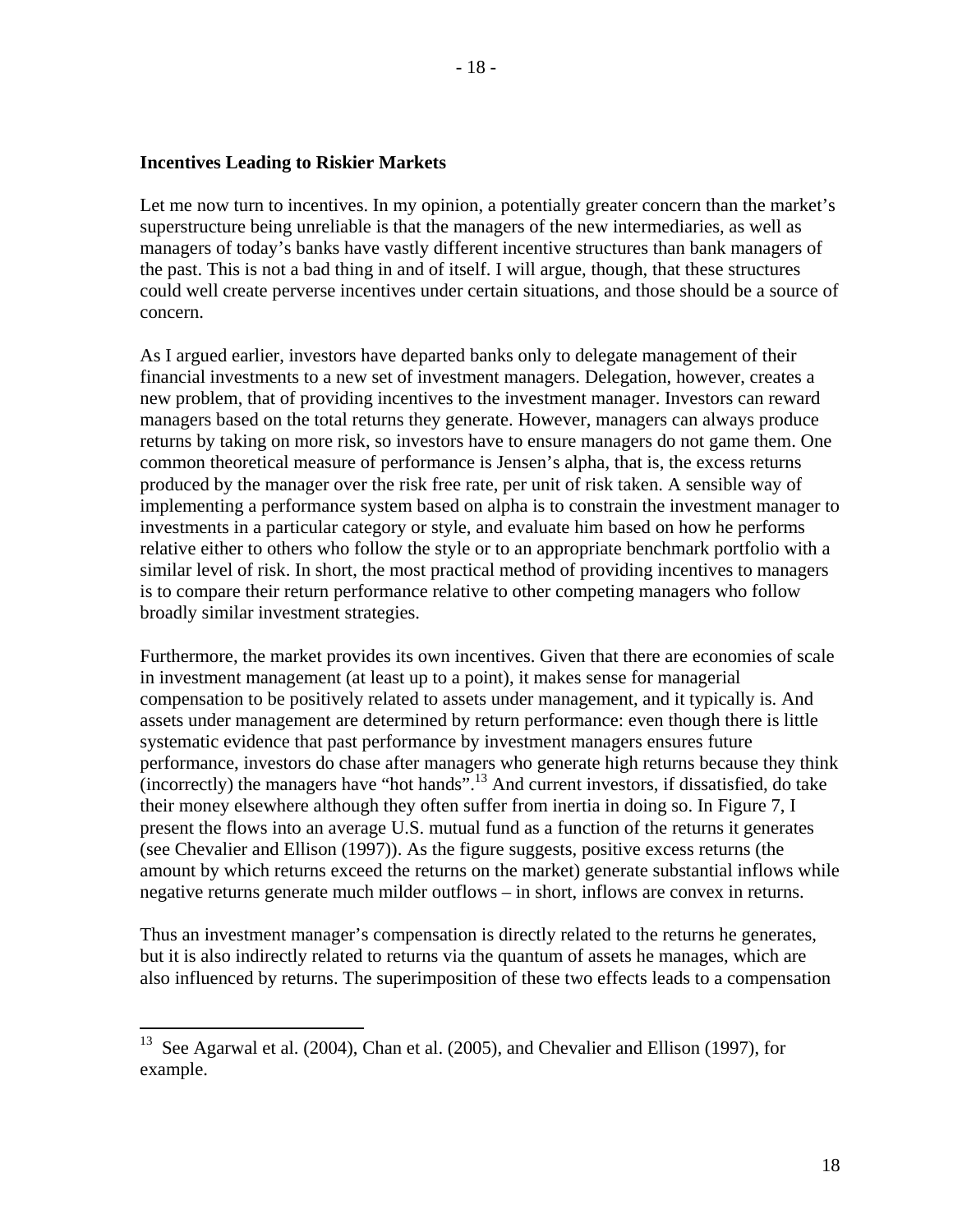#### **Incentives Leading to Riskier Markets**

1

Let me now turn to incentives. In my opinion, a potentially greater concern than the market's superstructure being unreliable is that the managers of the new intermediaries, as well as managers of today's banks have vastly different incentive structures than bank managers of the past. This is not a bad thing in and of itself. I will argue, though, that these structures could well create perverse incentives under certain situations, and those should be a source of concern.

As I argued earlier, investors have departed banks only to delegate management of their financial investments to a new set of investment managers. Delegation, however, creates a new problem, that of providing incentives to the investment manager. Investors can reward managers based on the total returns they generate. However, managers can always produce returns by taking on more risk, so investors have to ensure managers do not game them. One common theoretical measure of performance is Jensen's alpha, that is, the excess returns produced by the manager over the risk free rate, per unit of risk taken. A sensible way of implementing a performance system based on alpha is to constrain the investment manager to investments in a particular category or style, and evaluate him based on how he performs relative either to others who follow the style or to an appropriate benchmark portfolio with a similar level of risk. In short, the most practical method of providing incentives to managers is to compare their return performance relative to other competing managers who follow broadly similar investment strategies.

Furthermore, the market provides its own incentives. Given that there are economies of scale in investment management (at least up to a point), it makes sense for managerial compensation to be positively related to assets under management, and it typically is. And assets under management are determined by return performance: even though there is little systematic evidence that past performance by investment managers ensures future performance, investors do chase after managers who generate high returns because they think  $\frac{1}{2}$  (incorrectly) the managers have "hot hands".<sup>13</sup> And current investors, if dissatisfied, do take their money elsewhere although they often suffer from inertia in doing so. In Figure 7, I present the flows into an average U.S. mutual fund as a function of the returns it generates (see Chevalier and Ellison (1997)). As the figure suggests, positive excess returns (the amount by which returns exceed the returns on the market) generate substantial inflows while negative returns generate much milder outflows – in short, inflows are convex in returns.

Thus an investment manager's compensation is directly related to the returns he generates, but it is also indirectly related to returns via the quantum of assets he manages, which are also influenced by returns. The superimposition of these two effects leads to a compensation

<span id="page-20-0"></span><sup>&</sup>lt;sup>13</sup> See Agarwal et al. (2004), Chan et al. (2005), and Chevalier and Ellison (1997), for example.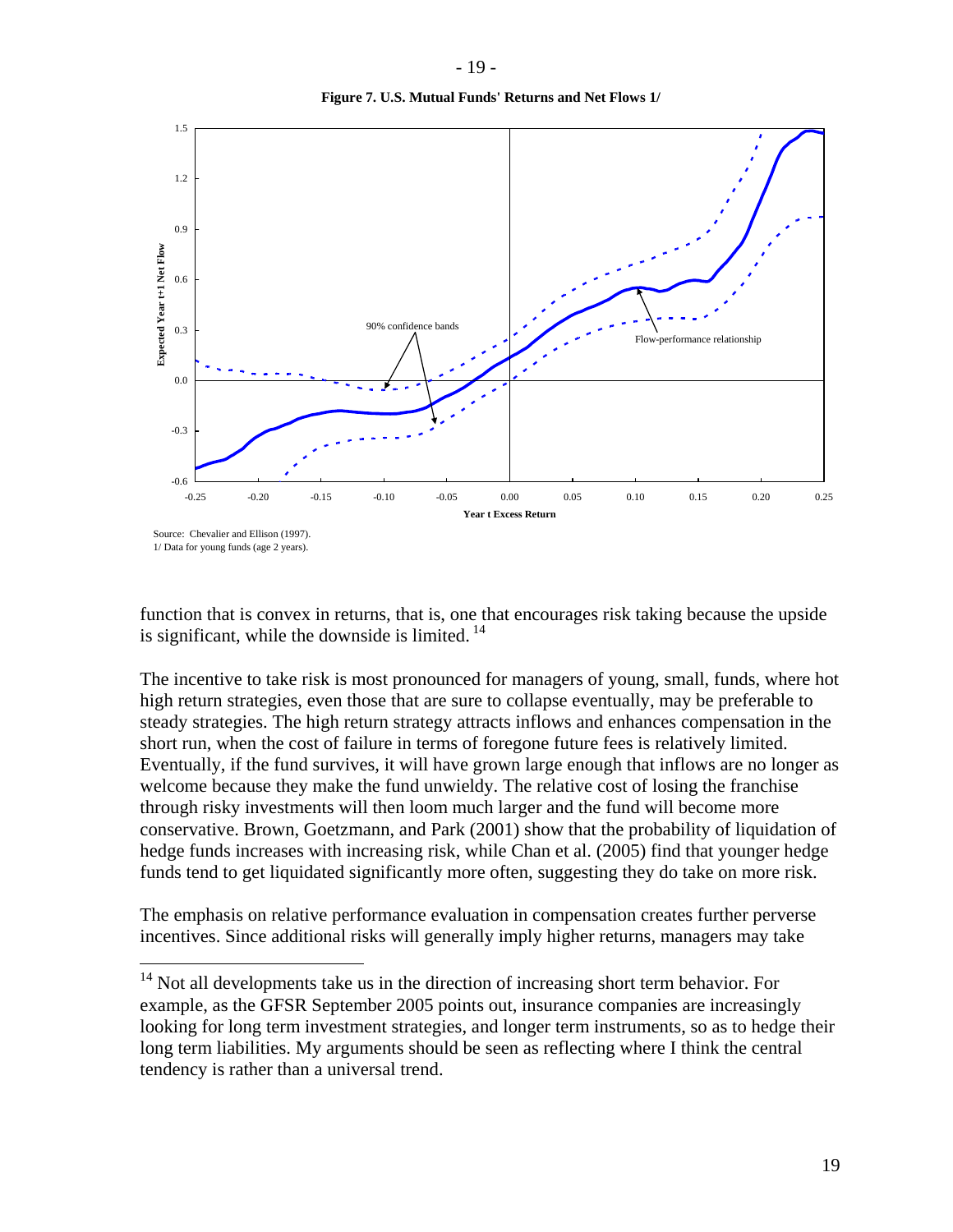

<sup>- 19 -</sup> 

**Figure 7. U.S. Mutual Funds' Returns and Net Flows 1/**

 $\overline{a}$ 

function that is convex in returns, that is, one that encourages risk taking because the upside is significant, while the downside is limited.  $^{14}$ 

The incentive to take risk is most pronounced for managers of young, small, funds, where hot high return strategies, even those that are sure to collapse eventually, may be preferable to steady strategies. The high return strategy attracts inflows and enhances compensation in the short run, when the cost of failure in terms of foregone future fees is relatively limited. Eventually, if the fund survives, it will have grown large enough that inflows are no longer as welcome because they make the fund unwieldy. The relative cost of losing the franchise through risky investments will then loom much larger and the fund will become more conservative. Brown, Goetzmann, and Park (2001) show that the probability of liquidation of hedge funds increases with increasing risk, while Chan et al. (2005) find that younger hedge funds tend to get liquidated significantly more often, suggesting they do take on more risk.

The emphasis on relative performance evaluation in compensation creates further perverse incentives. Since additional risks will generally imply higher returns, managers may take

Source: Chevalier and Ellison (1997). 1/ Data for young funds (age 2 years).

<span id="page-21-0"></span> $14$  Not all developments take us in the direction of increasing short term behavior. For example, as the GFSR September 2005 points out, insurance companies are increasingly looking for long term investment strategies, and longer term instruments, so as to hedge their long term liabilities. My arguments should be seen as reflecting where I think the central tendency is rather than a universal trend.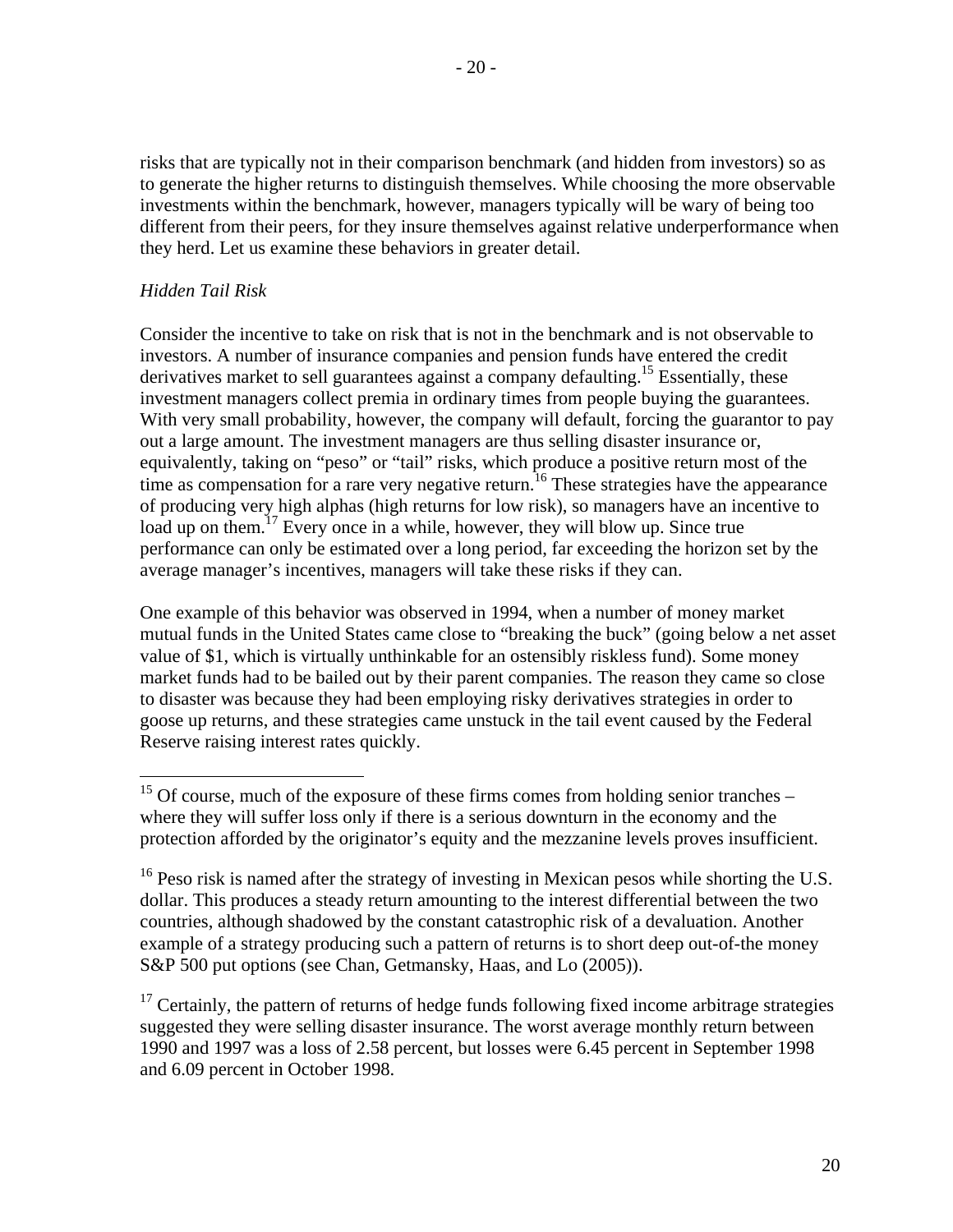risks that are typically not in their comparison benchmark (and hidden from investors) so as to generate the higher returns to distinguish themselves. While choosing the more observable investments within the benchmark, however, managers typically will be wary of being too different from their peers, for they insure themselves against relative underperformance when they herd. Let us examine these behaviors in greater detail.

## *Hidden Tail Risk*

1

Consider the incentive to take on risk that is not in the benchmark and is not observable to investors. A number of insurance companies and pension funds have entered the credit derivatives market to sell guarantees against a company defaulting.<sup>15</sup> Essentially, these investment managers collect premia in ordinary times from people buying the guarantees. With very small probability, however, the company will default, forcing the guarantor to pay out a large amount. The investment managers are thus selling disaster insurance or, equivalently, taking on "peso" or "tail" risks, which produce a positive return most of the time as compensation for a rare very negative return.<sup>16</sup> These strategies have the appearance of producing very high alphas (high returns for low risk), so managers have an incentive to load up on them.<sup>17</sup> Every once in a while, however, they will blow up. Since true performance can only be estimated over a long period, far exceeding the horizon set by the average manager's incentives, managers will take these risks if they can.

One example of this behavior was observed in 1994, when a number of money market mutual funds in the United States came close to "breaking the buck" (going below a net asset value of \$1, which is virtually unthinkable for an ostensibly riskless fund). Some money market funds had to be bailed out by their parent companies. The reason they came so close to disaster was because they had been employing risky derivatives strategies in order to goose up returns, and these strategies came unstuck in the tail event caused by the Federal Reserve raising interest rates quickly.

<span id="page-22-0"></span> $15$  Of course, much of the exposure of these firms comes from holding senior tranches – where they will suffer loss only if there is a serious downturn in the economy and the protection afforded by the originator's equity and the mezzanine levels proves insufficient.

<span id="page-22-1"></span><sup>&</sup>lt;sup>16</sup> Peso risk is named after the strategy of investing in Mexican pesos while shorting the U.S. dollar. This produces a steady return amounting to the interest differential between the two countries, although shadowed by the constant catastrophic risk of a devaluation. Another example of a strategy producing such a pattern of returns is to short deep out-of-the money S&P 500 put options (see Chan, Getmansky, Haas, and Lo (2005)).

<span id="page-22-2"></span> $17$  Certainly, the pattern of returns of hedge funds following fixed income arbitrage strategies suggested they were selling disaster insurance. The worst average monthly return between 1990 and 1997 was a loss of 2.58 percent, but losses were 6.45 percent in September 1998 and 6.09 percent in October 1998.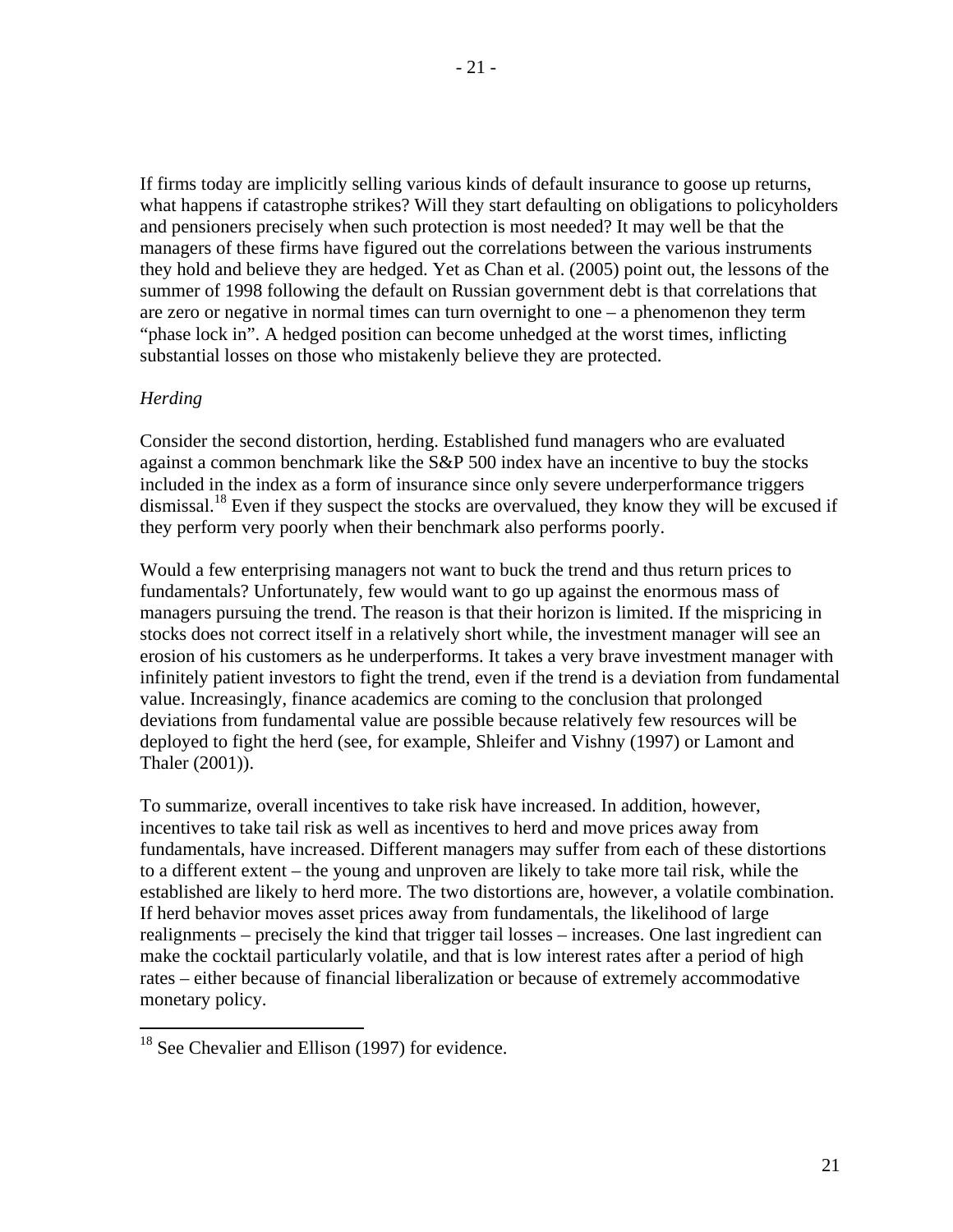If firms today are implicitly selling various kinds of default insurance to goose up returns, what happens if catastrophe strikes? Will they start defaulting on obligations to policyholders and pensioners precisely when such protection is most needed? It may well be that the managers of these firms have figured out the correlations between the various instruments they hold and believe they are hedged. Yet as Chan et al. (2005) point out, the lessons of the summer of 1998 following the default on Russian government debt is that correlations that are zero or negative in normal times can turn overnight to one – a phenomenon they term "phase lock in". A hedged position can become unhedged at the worst times, inflicting substantial losses on those who mistakenly believe they are protected.

### *Herding*

1

Consider the second distortion, herding. Established fund managers who are evaluated against a common benchmark like the S&P 500 index have an incentive to buy the stocks included in the index as a form of insurance since only severe underperformance triggers dismissal.<sup>18</sup> Even if they suspect the stocks are overvalued, they know they will be excused if they perform very poorly when their benchmark also performs poorly.

Would a few enterprising managers not want to buck the trend and thus return prices to fundamentals? Unfortunately, few would want to go up against the enormous mass of managers pursuing the trend. The reason is that their horizon is limited. If the mispricing in stocks does not correct itself in a relatively short while, the investment manager will see an erosion of his customers as he underperforms. It takes a very brave investment manager with infinitely patient investors to fight the trend, even if the trend is a deviation from fundamental value. Increasingly, finance academics are coming to the conclusion that prolonged deviations from fundamental value are possible because relatively few resources will be deployed to fight the herd (see, for example, Shleifer and Vishny (1997) or Lamont and Thaler (2001)).

To summarize, overall incentives to take risk have increased. In addition, however, incentives to take tail risk as well as incentives to herd and move prices away from fundamentals, have increased. Different managers may suffer from each of these distortions to a different extent – the young and unproven are likely to take more tail risk, while the established are likely to herd more. The two distortions are, however, a volatile combination. If herd behavior moves asset prices away from fundamentals, the likelihood of large realignments – precisely the kind that trigger tail losses – increases. One last ingredient can make the cocktail particularly volatile, and that is low interest rates after a period of high rates – either because of financial liberalization or because of extremely accommodative monetary policy.

<span id="page-23-0"></span> $18$  See Chevalier and Ellison (1997) for evidence.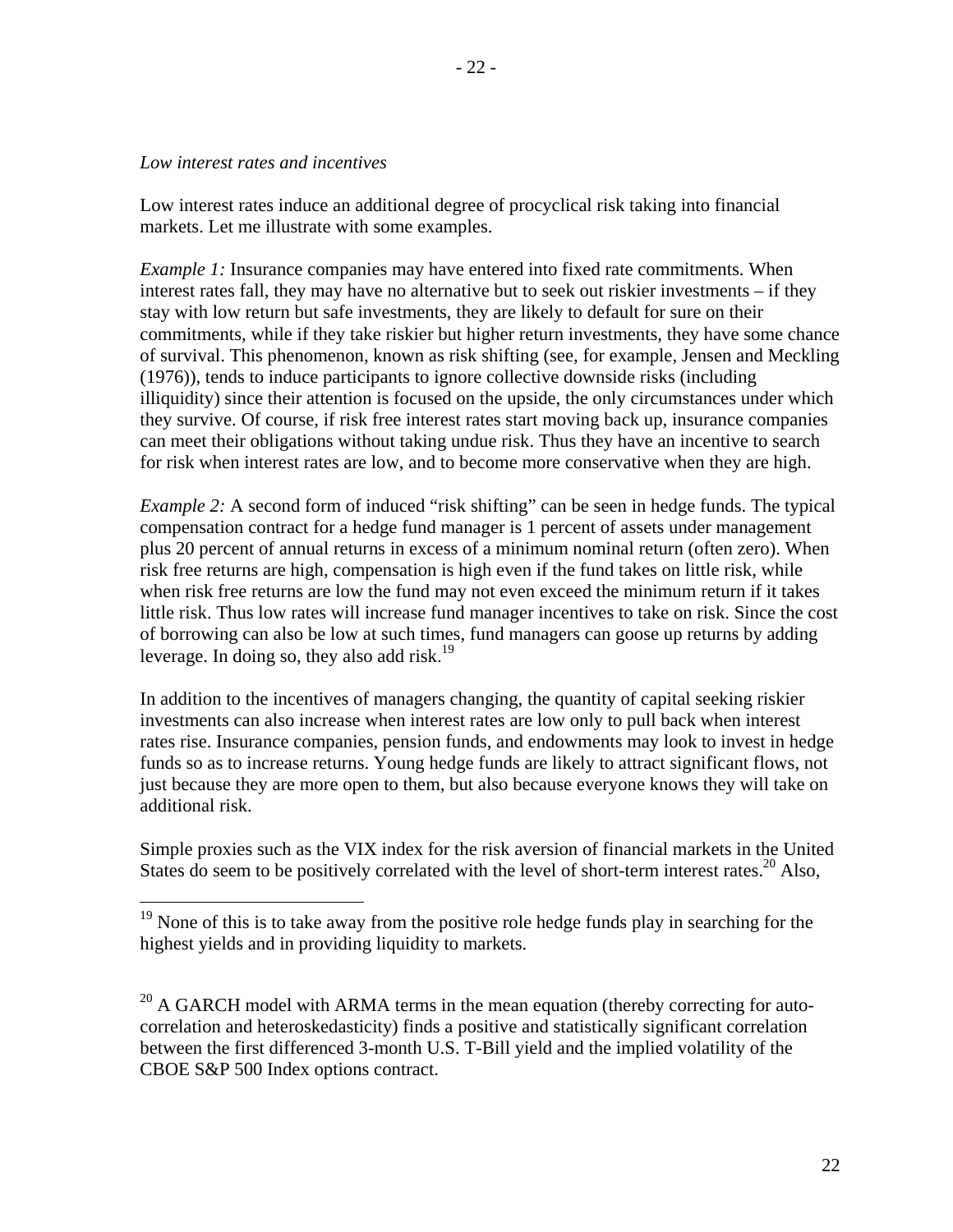### *Low interest rates and incentives*

1

Low interest rates induce an additional degree of procyclical risk taking into financial markets. Let me illustrate with some examples.

*Example 1:* Insurance companies may have entered into fixed rate commitments. When interest rates fall, they may have no alternative but to seek out riskier investments – if they stay with low return but safe investments, they are likely to default for sure on their commitments, while if they take riskier but higher return investments, they have some chance of survival. This phenomenon, known as risk shifting (see, for example, Jensen and Meckling (1976)), tends to induce participants to ignore collective downside risks (including illiquidity) since their attention is focused on the upside, the only circumstances under which they survive. Of course, if risk free interest rates start moving back up, insurance companies can meet their obligations without taking undue risk. Thus they have an incentive to search for risk when interest rates are low, and to become more conservative when they are high.

*Example 2:* A second form of induced "risk shifting" can be seen in hedge funds. The typical compensation contract for a hedge fund manager is 1 percent of assets under management plus 20 percent of annual returns in excess of a minimum nominal return (often zero). When risk free returns are high, compensation is high even if the fund takes on little risk, while when risk free returns are low the fund may not even exceed the minimum return if it takes little risk. Thus low rates will increase fund manager incentives to take on risk. Since the cost of borrowing can also be low at such times, fund managers can goose up returns by adding leverage. In doing so, they also add risk.<sup>19</sup>

In addition to the incentives of managers changing, the quantity of capital seeking riskier investments can also increase when interest rates are low only to pull back when interest rates rise. Insurance companies, pension funds, and endowments may look to invest in hedge funds so as to increase returns. Young hedge funds are likely to attract significant flows, not just because they are more open to them, but also because everyone knows they will take on additional risk.

Simple proxies such as the VIX index for the risk aversion of financial markets in the United States do seem to be positively correlated with the level of short-term interest rates.<sup>20</sup> Also.

<span id="page-24-0"></span> $19$  None of this is to take away from the positive role hedge funds play in searching for the highest yields and in providing liquidity to markets.

<span id="page-24-1"></span> $20$  A GARCH model with ARMA terms in the mean equation (thereby correcting for autocorrelation and heteroskedasticity) finds a positive and statistically significant correlation between the first differenced 3-month U.S. T-Bill yield and the implied volatility of the CBOE S&P 500 Index options contract.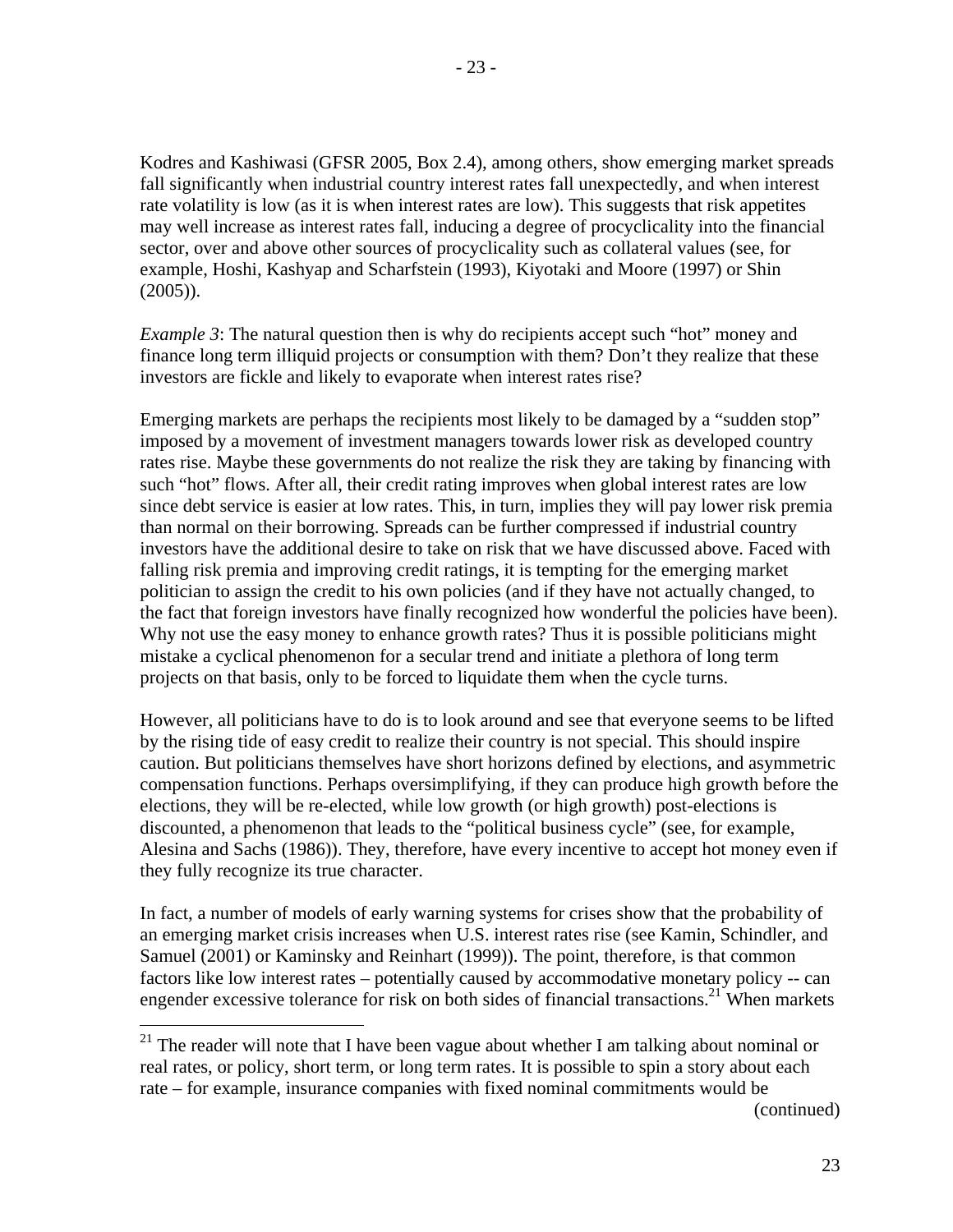Kodres and Kashiwasi (GFSR 2005, Box 2.4), among others, show emerging market spreads fall significantly when industrial country interest rates fall unexpectedly, and when interest rate volatility is low (as it is when interest rates are low). This suggests that risk appetites may well increase as interest rates fall, inducing a degree of procyclicality into the financial sector, over and above other sources of procyclicality such as collateral values (see, for example, Hoshi, Kashyap and Scharfstein (1993), Kiyotaki and Moore (1997) or Shin  $(2005)$ ).

*Example 3*: The natural question then is why do recipients accept such "hot" money and finance long term illiquid projects or consumption with them? Don't they realize that these investors are fickle and likely to evaporate when interest rates rise?

Emerging markets are perhaps the recipients most likely to be damaged by a "sudden stop" imposed by a movement of investment managers towards lower risk as developed country rates rise. Maybe these governments do not realize the risk they are taking by financing with such "hot" flows. After all, their credit rating improves when global interest rates are low since debt service is easier at low rates. This, in turn, implies they will pay lower risk premia than normal on their borrowing. Spreads can be further compressed if industrial country investors have the additional desire to take on risk that we have discussed above. Faced with falling risk premia and improving credit ratings, it is tempting for the emerging market politician to assign the credit to his own policies (and if they have not actually changed, to the fact that foreign investors have finally recognized how wonderful the policies have been). Why not use the easy money to enhance growth rates? Thus it is possible politicians might mistake a cyclical phenomenon for a secular trend and initiate a plethora of long term projects on that basis, only to be forced to liquidate them when the cycle turns.

However, all politicians have to do is to look around and see that everyone seems to be lifted by the rising tide of easy credit to realize their country is not special. This should inspire caution. But politicians themselves have short horizons defined by elections, and asymmetric compensation functions. Perhaps oversimplifying, if they can produce high growth before the elections, they will be re-elected, while low growth (or high growth) post-elections is discounted, a phenomenon that leads to the "political business cycle" (see, for example, Alesina and Sachs (1986)). They, therefore, have every incentive to accept hot money even if they fully recognize its true character.

In fact, a number of models of early warning systems for crises show that the probability of an emerging market crisis increases when U.S. interest rates rise (see Kamin, Schindler, and Samuel (2001) or Kaminsky and Reinhart (1999)). The point, therefore, is that common factors like low interest rates – potentially caused by accommodative monetary policy -- can engender excessive tolerance for risk on both sides of financial transactions.<sup>21</sup> When markets

1

(continued)

<span id="page-25-0"></span> $21$  The reader will note that I have been vague about whether I am talking about nominal or real rates, or policy, short term, or long term rates. It is possible to spin a story about each rate – for example, insurance companies with fixed nominal commitments would be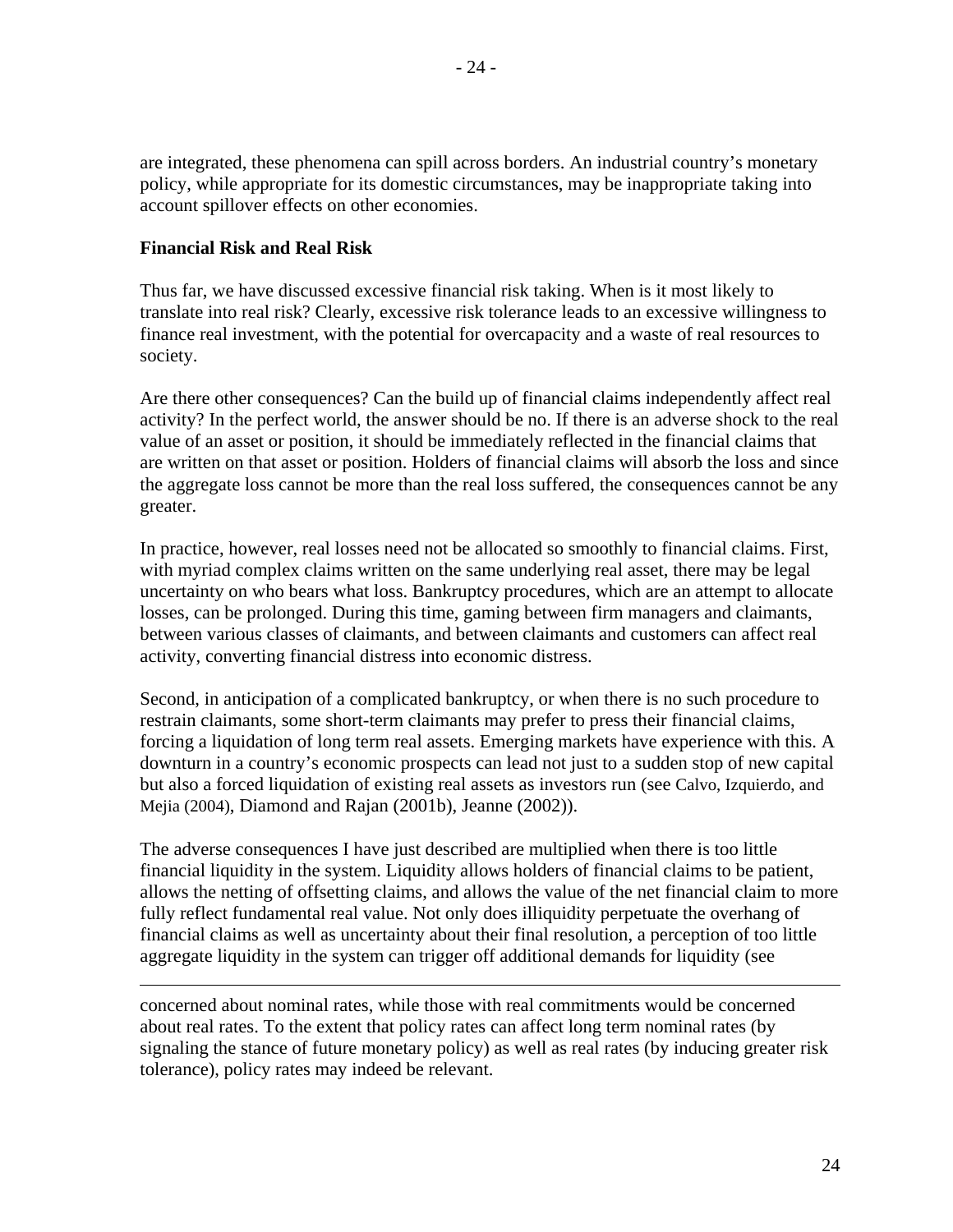are integrated, these phenomena can spill across borders. An industrial country's monetary policy, while appropriate for its domestic circumstances, may be inappropriate taking into account spillover effects on other economies.

# **Financial Risk and Real Risk**

1

Thus far, we have discussed excessive financial risk taking. When is it most likely to translate into real risk? Clearly, excessive risk tolerance leads to an excessive willingness to finance real investment, with the potential for overcapacity and a waste of real resources to society.

Are there other consequences? Can the build up of financial claims independently affect real activity? In the perfect world, the answer should be no. If there is an adverse shock to the real value of an asset or position, it should be immediately reflected in the financial claims that are written on that asset or position. Holders of financial claims will absorb the loss and since the aggregate loss cannot be more than the real loss suffered, the consequences cannot be any greater.

In practice, however, real losses need not be allocated so smoothly to financial claims. First, with myriad complex claims written on the same underlying real asset, there may be legal uncertainty on who bears what loss. Bankruptcy procedures, which are an attempt to allocate losses, can be prolonged. During this time, gaming between firm managers and claimants, between various classes of claimants, and between claimants and customers can affect real activity, converting financial distress into economic distress.

Second, in anticipation of a complicated bankruptcy, or when there is no such procedure to restrain claimants, some short-term claimants may prefer to press their financial claims, forcing a liquidation of long term real assets. Emerging markets have experience with this. A downturn in a country's economic prospects can lead not just to a sudden stop of new capital but also a forced liquidation of existing real assets as investors run (see Calvo, Izquierdo, and Mejia (2004), Diamond and Rajan (2001b), Jeanne (2002)).

The adverse consequences I have just described are multiplied when there is too little financial liquidity in the system. Liquidity allows holders of financial claims to be patient, allows the netting of offsetting claims, and allows the value of the net financial claim to more fully reflect fundamental real value. Not only does illiquidity perpetuate the overhang of financial claims as well as uncertainty about their final resolution, a perception of too little aggregate liquidity in the system can trigger off additional demands for liquidity (see

concerned about nominal rates, while those with real commitments would be concerned about real rates. To the extent that policy rates can affect long term nominal rates (by signaling the stance of future monetary policy) as well as real rates (by inducing greater risk tolerance), policy rates may indeed be relevant.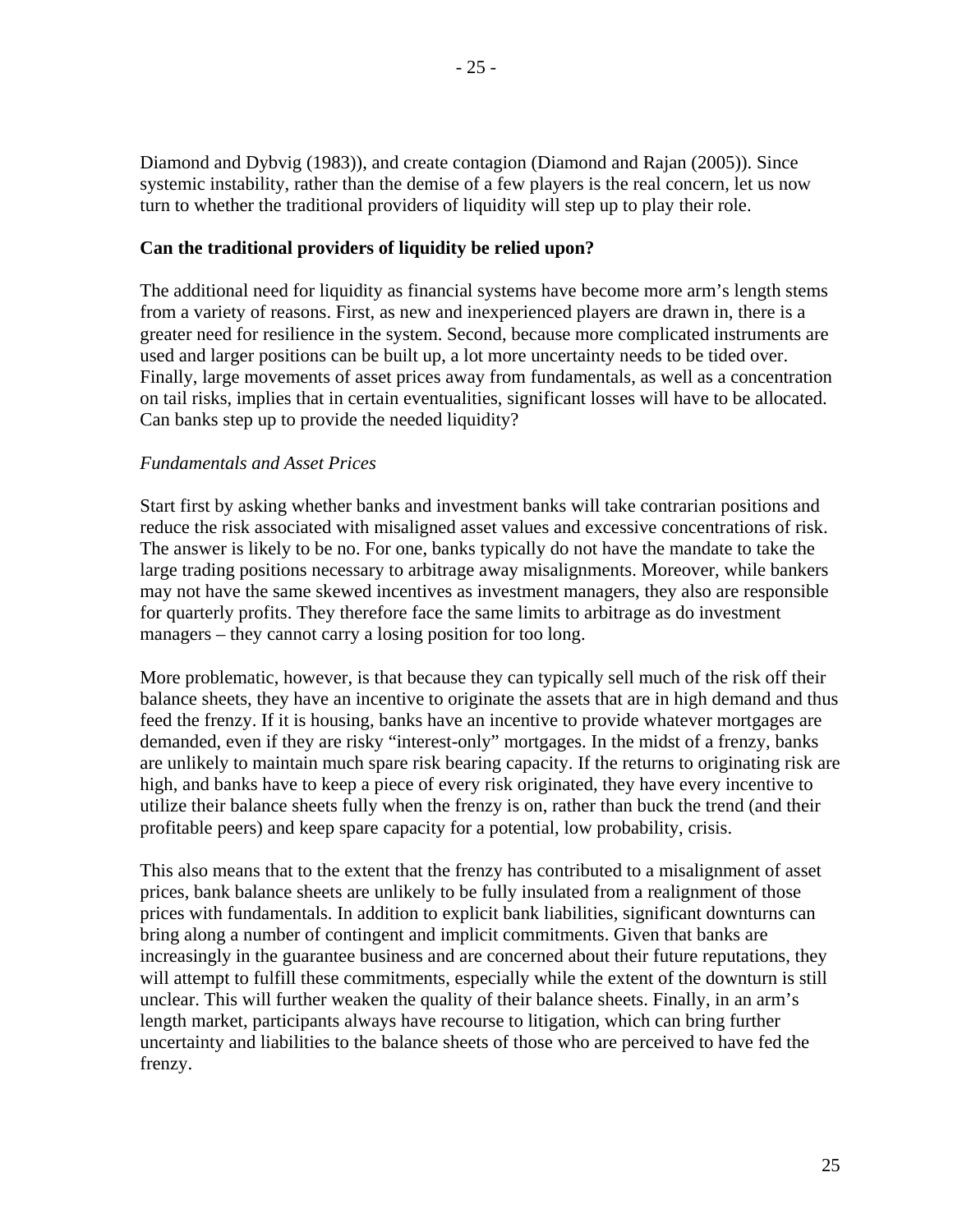Diamond and Dybvig (1983)), and create contagion (Diamond and Rajan (2005)). Since systemic instability, rather than the demise of a few players is the real concern, let us now turn to whether the traditional providers of liquidity will step up to play their role.

## **Can the traditional providers of liquidity be relied upon?**

The additional need for liquidity as financial systems have become more arm's length stems from a variety of reasons. First, as new and inexperienced players are drawn in, there is a greater need for resilience in the system. Second, because more complicated instruments are used and larger positions can be built up, a lot more uncertainty needs to be tided over. Finally, large movements of asset prices away from fundamentals, as well as a concentration on tail risks, implies that in certain eventualities, significant losses will have to be allocated. Can banks step up to provide the needed liquidity?

### *Fundamentals and Asset Prices*

Start first by asking whether banks and investment banks will take contrarian positions and reduce the risk associated with misaligned asset values and excessive concentrations of risk. The answer is likely to be no. For one, banks typically do not have the mandate to take the large trading positions necessary to arbitrage away misalignments. Moreover, while bankers may not have the same skewed incentives as investment managers, they also are responsible for quarterly profits. They therefore face the same limits to arbitrage as do investment managers – they cannot carry a losing position for too long.

More problematic, however, is that because they can typically sell much of the risk off their balance sheets, they have an incentive to originate the assets that are in high demand and thus feed the frenzy. If it is housing, banks have an incentive to provide whatever mortgages are demanded, even if they are risky "interest-only" mortgages. In the midst of a frenzy, banks are unlikely to maintain much spare risk bearing capacity. If the returns to originating risk are high, and banks have to keep a piece of every risk originated, they have every incentive to utilize their balance sheets fully when the frenzy is on, rather than buck the trend (and their profitable peers) and keep spare capacity for a potential, low probability, crisis.

This also means that to the extent that the frenzy has contributed to a misalignment of asset prices, bank balance sheets are unlikely to be fully insulated from a realignment of those prices with fundamentals. In addition to explicit bank liabilities, significant downturns can bring along a number of contingent and implicit commitments. Given that banks are increasingly in the guarantee business and are concerned about their future reputations, they will attempt to fulfill these commitments, especially while the extent of the downturn is still unclear. This will further weaken the quality of their balance sheets. Finally, in an arm's length market, participants always have recourse to litigation, which can bring further uncertainty and liabilities to the balance sheets of those who are perceived to have fed the frenzy.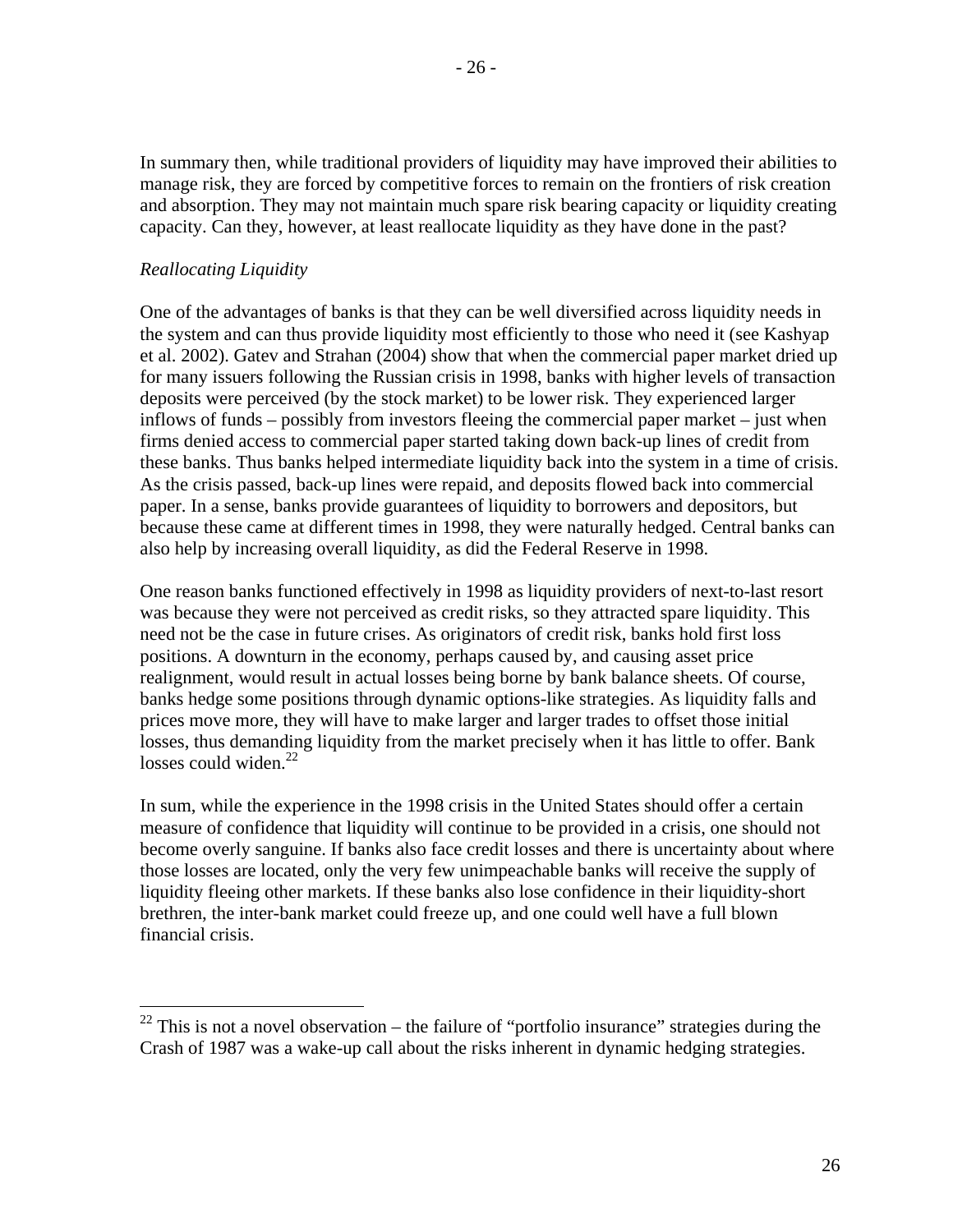In summary then, while traditional providers of liquidity may have improved their abilities to manage risk, they are forced by competitive forces to remain on the frontiers of risk creation and absorption. They may not maintain much spare risk bearing capacity or liquidity creating capacity. Can they, however, at least reallocate liquidity as they have done in the past?

## *Reallocating Liquidity*

1

One of the advantages of banks is that they can be well diversified across liquidity needs in the system and can thus provide liquidity most efficiently to those who need it (see Kashyap et al. 2002). Gatev and Strahan (2004) show that when the commercial paper market dried up for many issuers following the Russian crisis in 1998, banks with higher levels of transaction deposits were perceived (by the stock market) to be lower risk. They experienced larger inflows of funds – possibly from investors fleeing the commercial paper market – just when firms denied access to commercial paper started taking down back-up lines of credit from these banks. Thus banks helped intermediate liquidity back into the system in a time of crisis. As the crisis passed, back-up lines were repaid, and deposits flowed back into commercial paper. In a sense, banks provide guarantees of liquidity to borrowers and depositors, but because these came at different times in 1998, they were naturally hedged. Central banks can also help by increasing overall liquidity, as did the Federal Reserve in 1998.

One reason banks functioned effectively in 1998 as liquidity providers of next-to-last resort was because they were not perceived as credit risks, so they attracted spare liquidity. This need not be the case in future crises. As originators of credit risk, banks hold first loss positions. A downturn in the economy, perhaps caused by, and causing asset price realignment, would result in actual losses being borne by bank balance sheets. Of course, banks hedge some positions through dynamic options-like strategies. As liquidity falls and prices move more, they will have to make larger and larger trades to offset those initial losses, thus demanding liquidity from the market precisely when it has little to offer. Bank losses could widen. $^{22}$ 

In sum, while the experience in the 1998 crisis in the United States should offer a certain measure of confidence that liquidity will continue to be provided in a crisis, one should not become overly sanguine. If banks also face credit losses and there is uncertainty about where those losses are located, only the very few unimpeachable banks will receive the supply of liquidity fleeing other markets. If these banks also lose confidence in their liquidity-short brethren, the inter-bank market could freeze up, and one could well have a full blown financial crisis.

<span id="page-28-0"></span> $22$  This is not a novel observation – the failure of "portfolio insurance" strategies during the Crash of 1987 was a wake-up call about the risks inherent in dynamic hedging strategies.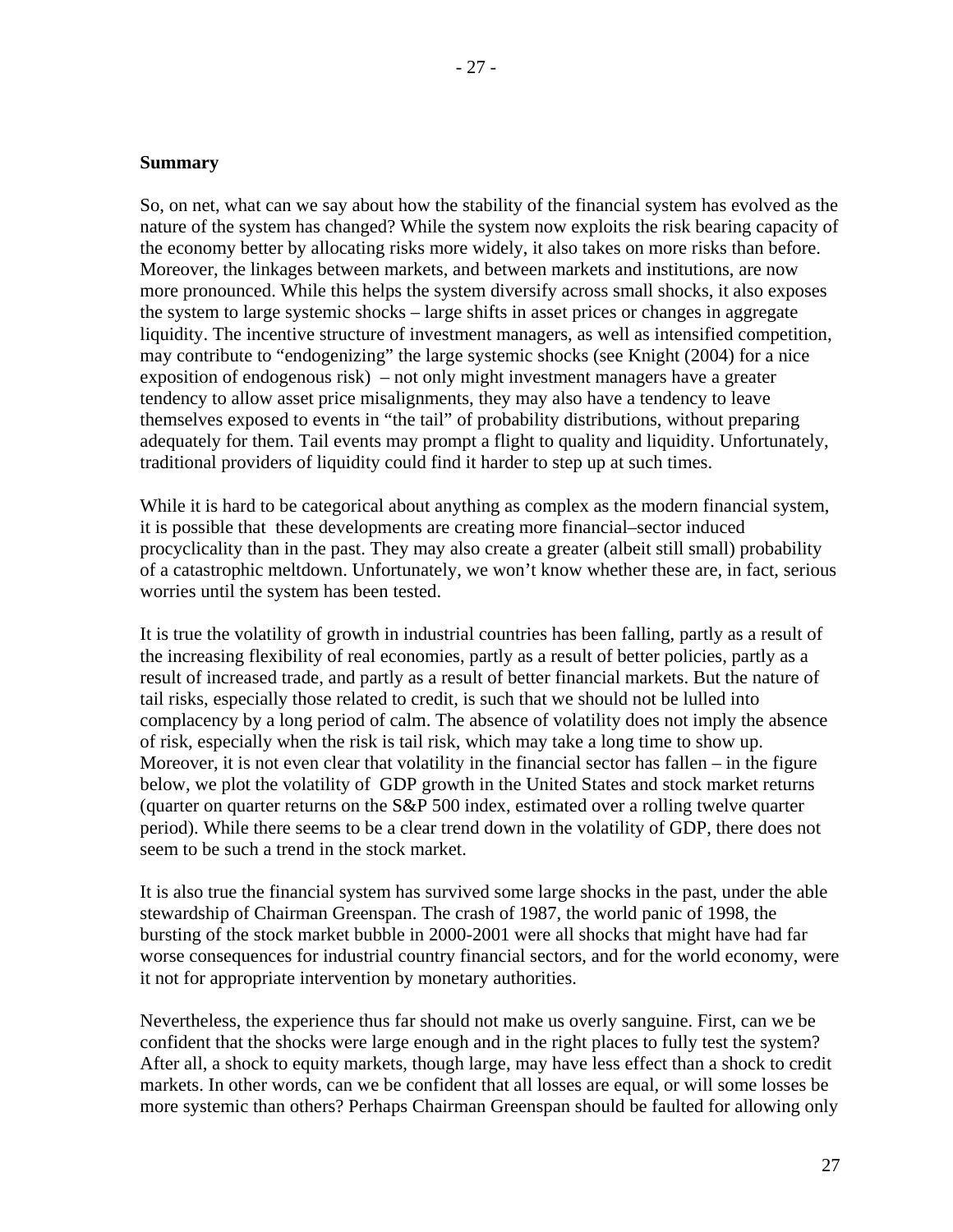So, on net, what can we say about how the stability of the financial system has evolved as the nature of the system has changed? While the system now exploits the risk bearing capacity of the economy better by allocating risks more widely, it also takes on more risks than before. Moreover, the linkages between markets, and between markets and institutions, are now more pronounced. While this helps the system diversify across small shocks, it also exposes the system to large systemic shocks – large shifts in asset prices or changes in aggregate liquidity. The incentive structure of investment managers, as well as intensified competition, may contribute to "endogenizing" the large systemic shocks (see Knight (2004) for a nice exposition of endogenous risk) – not only might investment managers have a greater tendency to allow asset price misalignments, they may also have a tendency to leave themselves exposed to events in "the tail" of probability distributions, without preparing adequately for them. Tail events may prompt a flight to quality and liquidity. Unfortunately, traditional providers of liquidity could find it harder to step up at such times.

While it is hard to be categorical about anything as complex as the modern financial system, it is possible that these developments are creating more financial–sector induced procyclicality than in the past. They may also create a greater (albeit still small) probability of a catastrophic meltdown. Unfortunately, we won't know whether these are, in fact, serious worries until the system has been tested.

It is true the volatility of growth in industrial countries has been falling, partly as a result of the increasing flexibility of real economies, partly as a result of better policies, partly as a result of increased trade, and partly as a result of better financial markets. But the nature of tail risks, especially those related to credit, is such that we should not be lulled into complacency by a long period of calm. The absence of volatility does not imply the absence of risk, especially when the risk is tail risk, which may take a long time to show up. Moreover, it is not even clear that volatility in the financial sector has fallen – in the figure below, we plot the volatility of GDP growth in the United States and stock market returns (quarter on quarter returns on the S&P 500 index, estimated over a rolling twelve quarter period). While there seems to be a clear trend down in the volatility of GDP, there does not seem to be such a trend in the stock market.

It is also true the financial system has survived some large shocks in the past, under the able stewardship of Chairman Greenspan. The crash of 1987, the world panic of 1998, the bursting of the stock market bubble in 2000-2001 were all shocks that might have had far worse consequences for industrial country financial sectors, and for the world economy, were it not for appropriate intervention by monetary authorities.

Nevertheless, the experience thus far should not make us overly sanguine. First, can we be confident that the shocks were large enough and in the right places to fully test the system? After all, a shock to equity markets, though large, may have less effect than a shock to credit markets. In other words, can we be confident that all losses are equal, or will some losses be more systemic than others? Perhaps Chairman Greenspan should be faulted for allowing only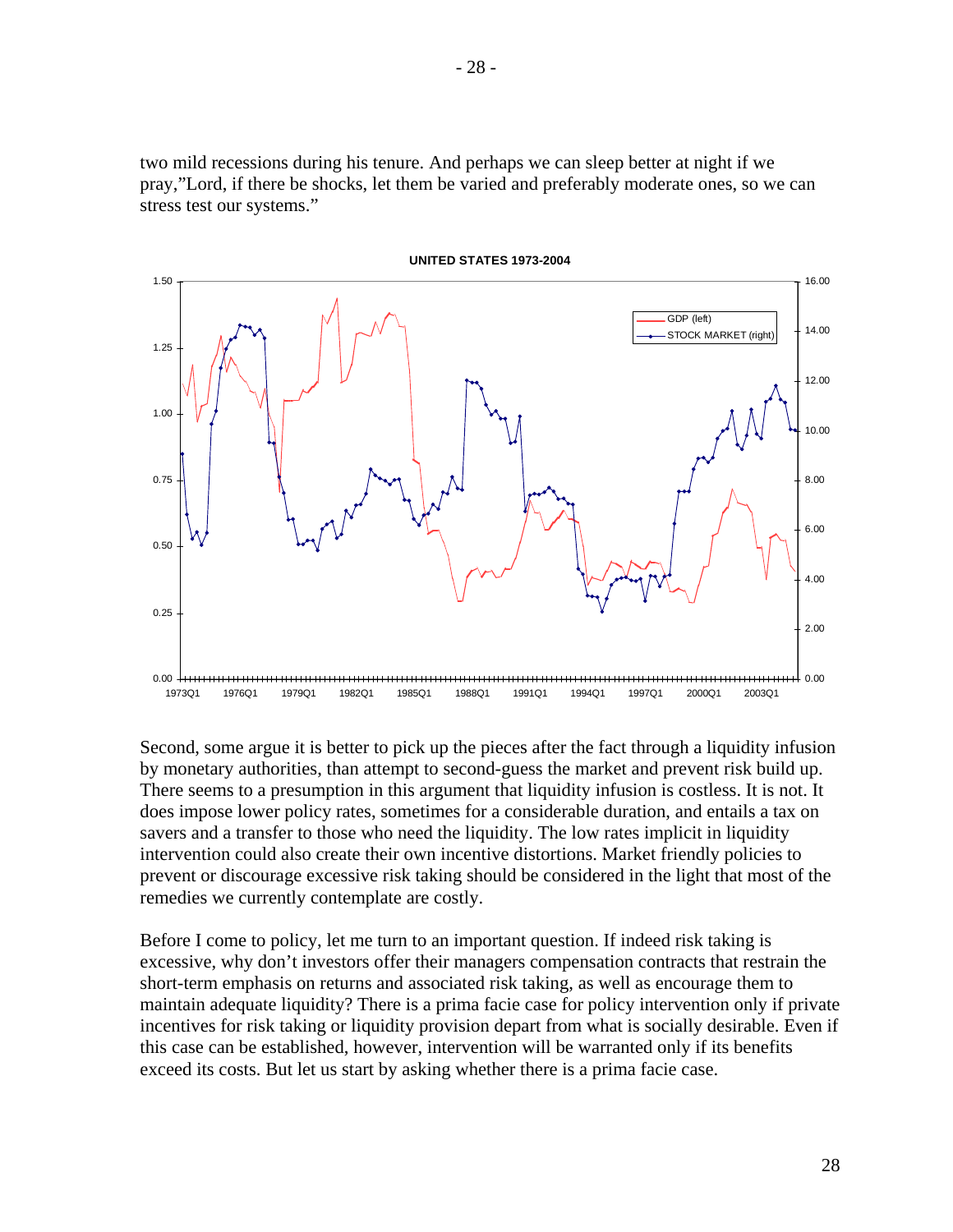two mild recessions during his tenure. And perhaps we can sleep better at night if we pray,"Lord, if there be shocks, let them be varied and preferably moderate ones, so we can stress test our systems."



Second, some argue it is better to pick up the pieces after the fact through a liquidity infusion by monetary authorities, than attempt to second-guess the market and prevent risk build up. There seems to a presumption in this argument that liquidity infusion is costless. It is not. It does impose lower policy rates, sometimes for a considerable duration, and entails a tax on savers and a transfer to those who need the liquidity. The low rates implicit in liquidity intervention could also create their own incentive distortions. Market friendly policies to prevent or discourage excessive risk taking should be considered in the light that most of the remedies we currently contemplate are costly.

Before I come to policy, let me turn to an important question. If indeed risk taking is excessive, why don't investors offer their managers compensation contracts that restrain the short-term emphasis on returns and associated risk taking, as well as encourage them to maintain adequate liquidity? There is a prima facie case for policy intervention only if private incentives for risk taking or liquidity provision depart from what is socially desirable. Even if this case can be established, however, intervention will be warranted only if its benefits exceed its costs. But let us start by asking whether there is a prima facie case.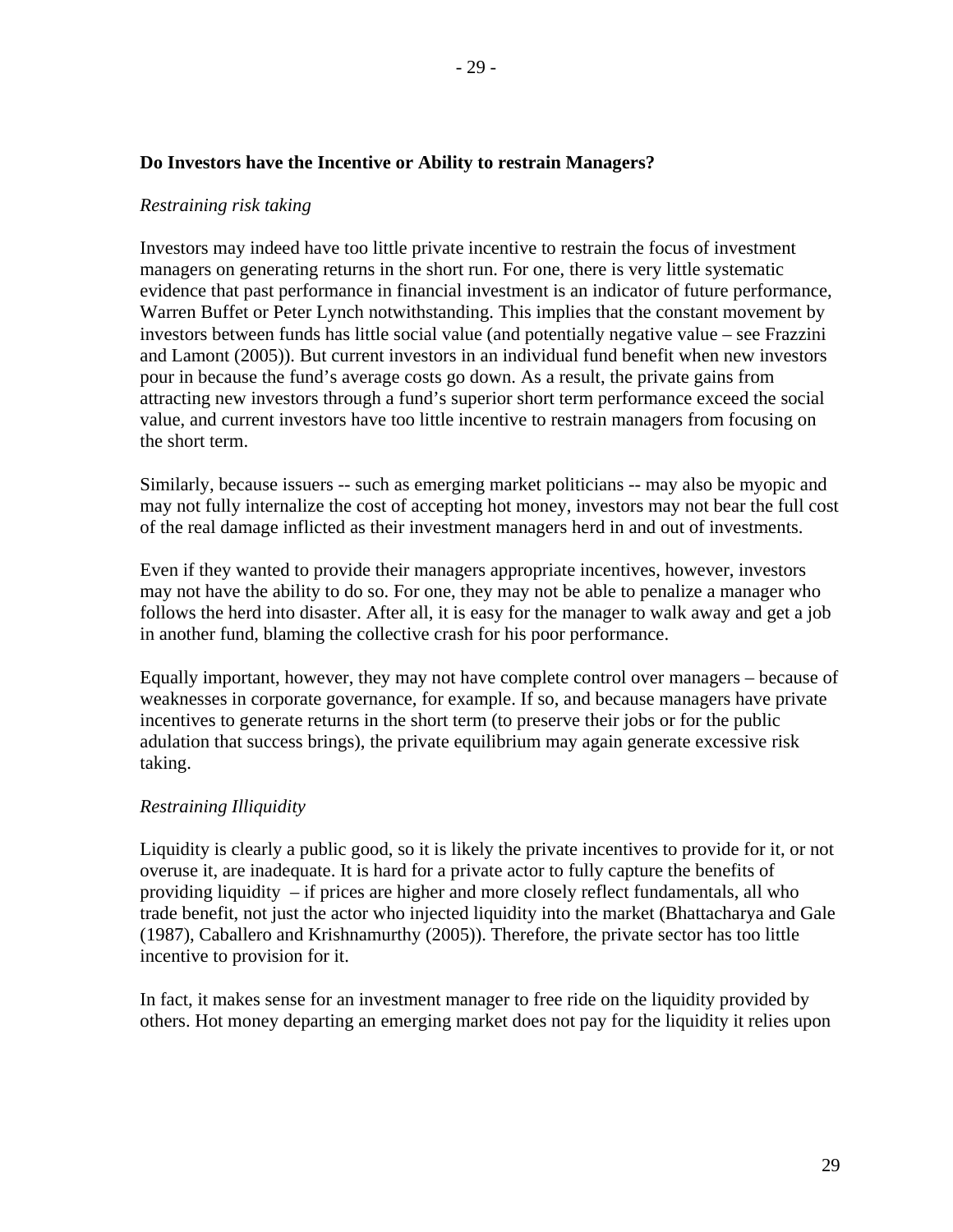## **Do Investors have the Incentive or Ability to restrain Managers?**

## *Restraining risk taking*

Investors may indeed have too little private incentive to restrain the focus of investment managers on generating returns in the short run. For one, there is very little systematic evidence that past performance in financial investment is an indicator of future performance, Warren Buffet or Peter Lynch notwithstanding. This implies that the constant movement by investors between funds has little social value (and potentially negative value – see Frazzini and Lamont (2005)). But current investors in an individual fund benefit when new investors pour in because the fund's average costs go down. As a result, the private gains from attracting new investors through a fund's superior short term performance exceed the social value, and current investors have too little incentive to restrain managers from focusing on the short term.

Similarly, because issuers -- such as emerging market politicians -- may also be myopic and may not fully internalize the cost of accepting hot money, investors may not bear the full cost of the real damage inflicted as their investment managers herd in and out of investments.

Even if they wanted to provide their managers appropriate incentives, however, investors may not have the ability to do so. For one, they may not be able to penalize a manager who follows the herd into disaster. After all, it is easy for the manager to walk away and get a job in another fund, blaming the collective crash for his poor performance.

Equally important, however, they may not have complete control over managers – because of weaknesses in corporate governance, for example. If so, and because managers have private incentives to generate returns in the short term (to preserve their jobs or for the public adulation that success brings), the private equilibrium may again generate excessive risk taking.

# *Restraining Illiquidity*

Liquidity is clearly a public good, so it is likely the private incentives to provide for it, or not overuse it, are inadequate. It is hard for a private actor to fully capture the benefits of providing liquidity – if prices are higher and more closely reflect fundamentals, all who trade benefit, not just the actor who injected liquidity into the market (Bhattacharya and Gale (1987), Caballero and Krishnamurthy (2005)). Therefore, the private sector has too little incentive to provision for it.

In fact, it makes sense for an investment manager to free ride on the liquidity provided by others. Hot money departing an emerging market does not pay for the liquidity it relies upon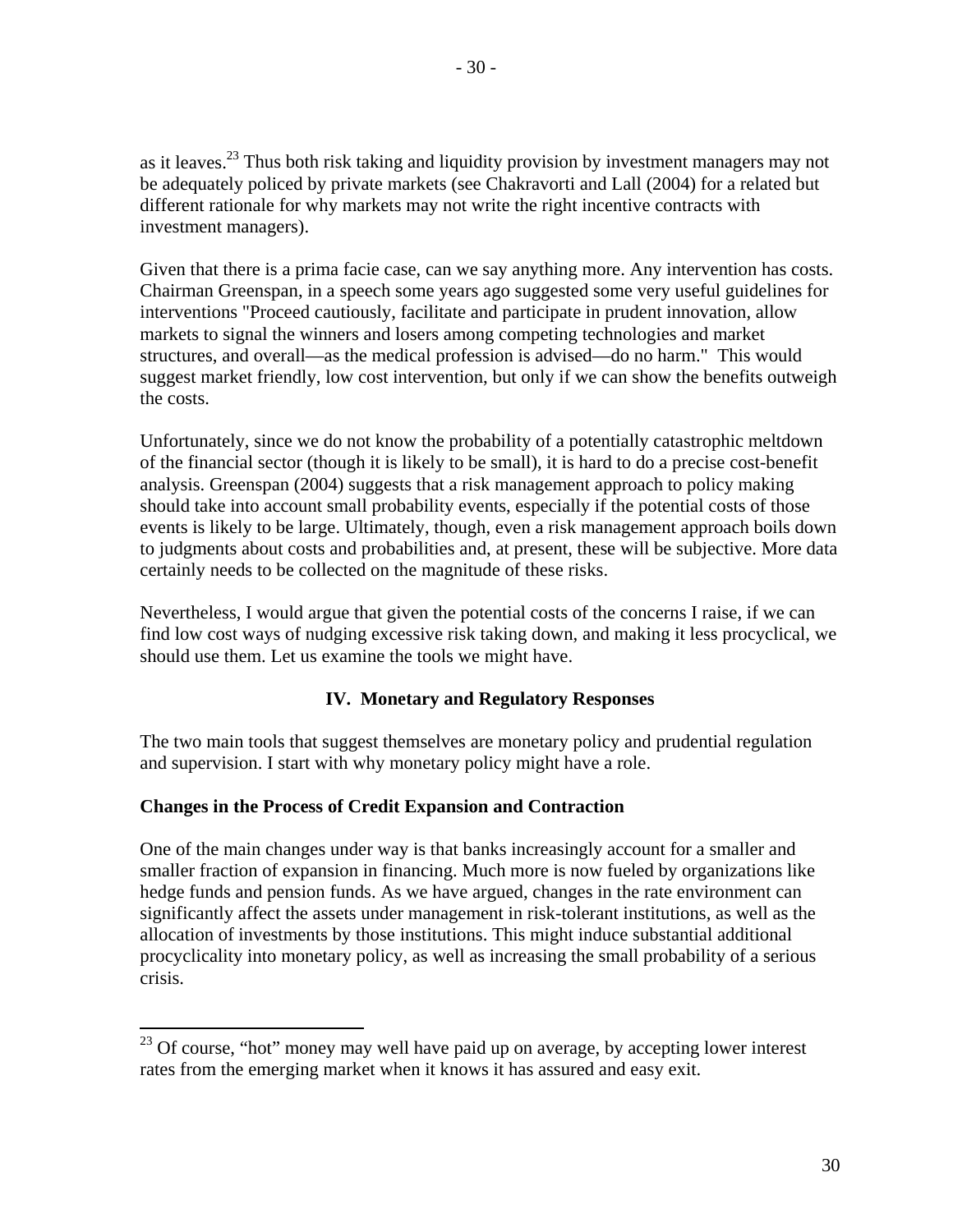as it leaves.<sup>23</sup> Thus both risk taking and liquidity provision by investment managers may not be adequately policed by private markets (see Chakravorti and Lall (2004) for a related but different rationale for why markets may not write the right incentive contracts with investment managers).

Given that there is a prima facie case, can we say anything more. Any intervention has costs. Chairman Greenspan, in a speech some years ago suggested some very useful guidelines for interventions "Proceed cautiously, facilitate and participate in prudent innovation, allow markets to signal the winners and losers among competing technologies and market structures, and overall—as the medical profession is advised—do no harm." This would suggest market friendly, low cost intervention, but only if we can show the benefits outweigh the costs.

Unfortunately, since we do not know the probability of a potentially catastrophic meltdown of the financial sector (though it is likely to be small), it is hard to do a precise cost-benefit analysis. Greenspan (2004) suggests that a risk management approach to policy making should take into account small probability events, especially if the potential costs of those events is likely to be large. Ultimately, though, even a risk management approach boils down to judgments about costs and probabilities and, at present, these will be subjective. More data certainly needs to be collected on the magnitude of these risks.

Nevertheless, I would argue that given the potential costs of the concerns I raise, if we can find low cost ways of nudging excessive risk taking down, and making it less procyclical, we should use them. Let us examine the tools we might have.

# **IV. Monetary and Regulatory Responses**

The two main tools that suggest themselves are monetary policy and prudential regulation and supervision. I start with why monetary policy might have a role.

# **Changes in the Process of Credit Expansion and Contraction**

1

One of the main changes under way is that banks increasingly account for a smaller and smaller fraction of expansion in financing. Much more is now fueled by organizations like hedge funds and pension funds. As we have argued, changes in the rate environment can significantly affect the assets under management in risk-tolerant institutions, as well as the allocation of investments by those institutions. This might induce substantial additional procyclicality into monetary policy, as well as increasing the small probability of a serious crisis.

<span id="page-32-0"></span> $2<sup>23</sup>$  Of course, "hot" money may well have paid up on average, by accepting lower interest rates from the emerging market when it knows it has assured and easy exit.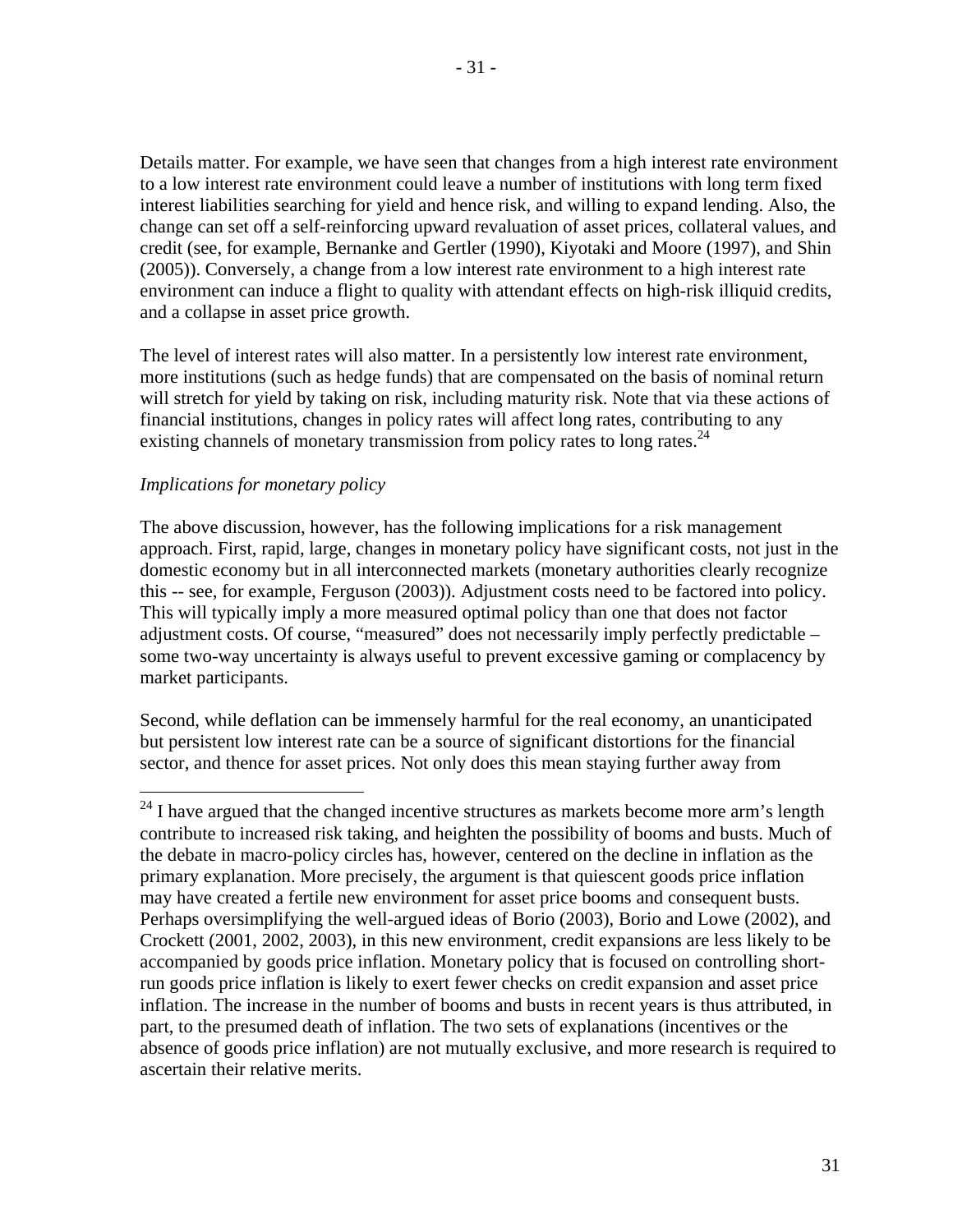Details matter. For example, we have seen that changes from a high interest rate environment to a low interest rate environment could leave a number of institutions with long term fixed interest liabilities searching for yield and hence risk, and willing to expand lending. Also, the change can set off a self-reinforcing upward revaluation of asset prices, collateral values, and credit (see, for example, Bernanke and Gertler (1990), Kiyotaki and Moore (1997), and Shin (2005)). Conversely, a change from a low interest rate environment to a high interest rate environment can induce a flight to quality with attendant effects on high-risk illiquid credits, and a collapse in asset price growth.

The level of interest rates will also matter. In a persistently low interest rate environment, more institutions (such as hedge funds) that are compensated on the basis of nominal return will stretch for yield by taking on risk, including maturity risk. Note that via these actions of financial institutions, changes in policy rates will affect long rates, contributing to any existing channels of monetary transmission from policy rates to long rates.<sup>24</sup>

## *Implications for monetary policy*

1

The above discussion, however, has the following implications for a risk management approach. First, rapid, large, changes in monetary policy have significant costs, not just in the domestic economy but in all interconnected markets (monetary authorities clearly recognize this -- see, for example, Ferguson (2003)). Adjustment costs need to be factored into policy. This will typically imply a more measured optimal policy than one that does not factor adjustment costs. Of course, "measured" does not necessarily imply perfectly predictable – some two-way uncertainty is always useful to prevent excessive gaming or complacency by market participants.

Second, while deflation can be immensely harmful for the real economy, an unanticipated but persistent low interest rate can be a source of significant distortions for the financial sector, and thence for asset prices. Not only does this mean staying further away from

<span id="page-33-0"></span> $24$  I have argued that the changed incentive structures as markets become more arm's length contribute to increased risk taking, and heighten the possibility of booms and busts. Much of the debate in macro-policy circles has, however, centered on the decline in inflation as the primary explanation. More precisely, the argument is that quiescent goods price inflation may have created a fertile new environment for asset price booms and consequent busts. Perhaps oversimplifying the well-argued ideas of Borio (2003), Borio and Lowe (2002), and Crockett (2001, 2002, 2003), in this new environment, credit expansions are less likely to be accompanied by goods price inflation. Monetary policy that is focused on controlling shortrun goods price inflation is likely to exert fewer checks on credit expansion and asset price inflation. The increase in the number of booms and busts in recent years is thus attributed, in part, to the presumed death of inflation. The two sets of explanations (incentives or the absence of goods price inflation) are not mutually exclusive, and more research is required to ascertain their relative merits.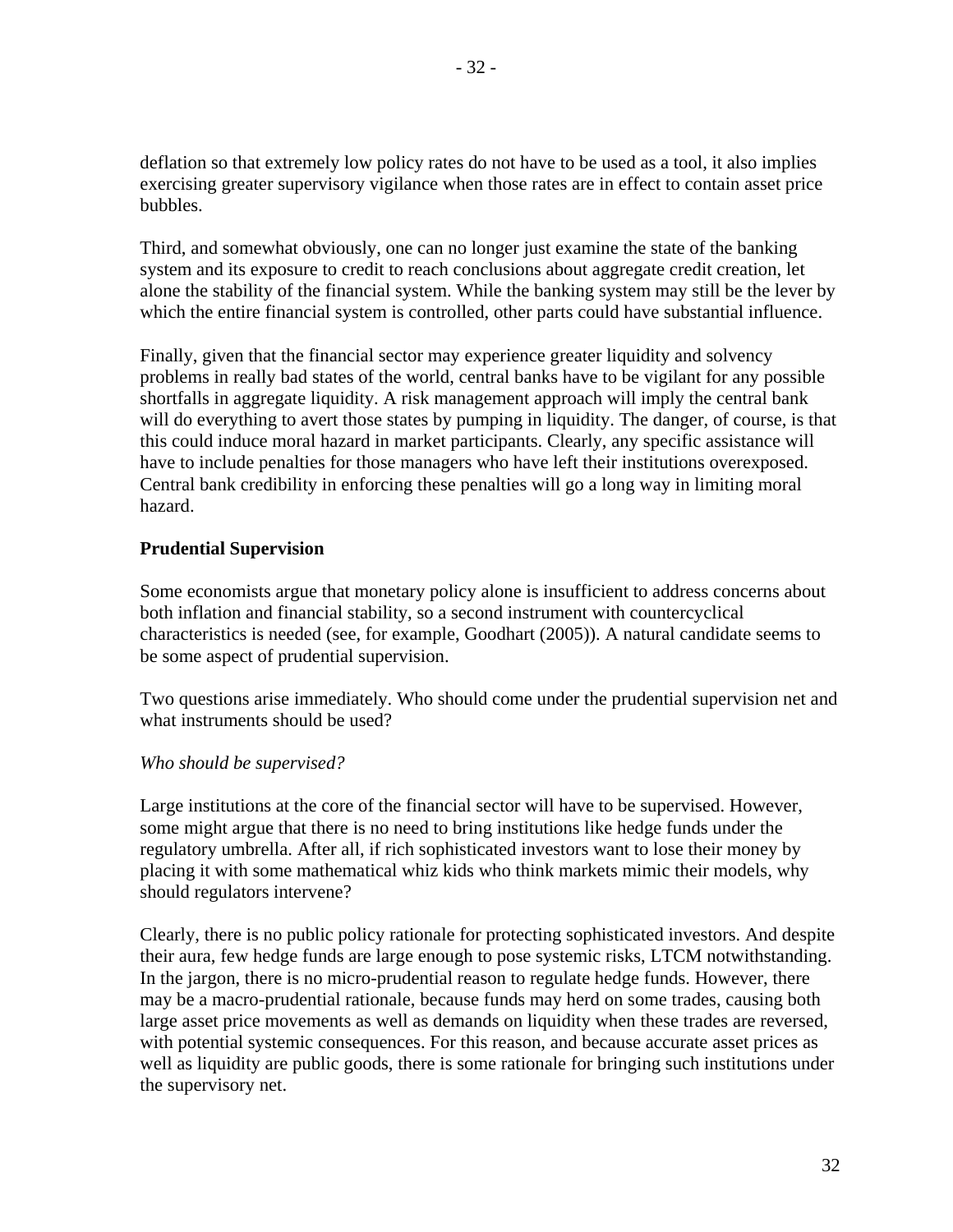deflation so that extremely low policy rates do not have to be used as a tool, it also implies exercising greater supervisory vigilance when those rates are in effect to contain asset price bubbles.

Third, and somewhat obviously, one can no longer just examine the state of the banking system and its exposure to credit to reach conclusions about aggregate credit creation, let alone the stability of the financial system. While the banking system may still be the lever by which the entire financial system is controlled, other parts could have substantial influence.

Finally, given that the financial sector may experience greater liquidity and solvency problems in really bad states of the world, central banks have to be vigilant for any possible shortfalls in aggregate liquidity. A risk management approach will imply the central bank will do everything to avert those states by pumping in liquidity. The danger, of course, is that this could induce moral hazard in market participants. Clearly, any specific assistance will have to include penalties for those managers who have left their institutions overexposed. Central bank credibility in enforcing these penalties will go a long way in limiting moral hazard.

## **Prudential Supervision**

Some economists argue that monetary policy alone is insufficient to address concerns about both inflation and financial stability, so a second instrument with countercyclical characteristics is needed (see, for example, Goodhart (2005)). A natural candidate seems to be some aspect of prudential supervision.

Two questions arise immediately. Who should come under the prudential supervision net and what instruments should be used?

# *Who should be supervised?*

Large institutions at the core of the financial sector will have to be supervised. However, some might argue that there is no need to bring institutions like hedge funds under the regulatory umbrella. After all, if rich sophisticated investors want to lose their money by placing it with some mathematical whiz kids who think markets mimic their models, why should regulators intervene?

Clearly, there is no public policy rationale for protecting sophisticated investors. And despite their aura, few hedge funds are large enough to pose systemic risks, LTCM notwithstanding. In the jargon, there is no micro-prudential reason to regulate hedge funds. However, there may be a macro-prudential rationale, because funds may herd on some trades, causing both large asset price movements as well as demands on liquidity when these trades are reversed, with potential systemic consequences. For this reason, and because accurate asset prices as well as liquidity are public goods, there is some rationale for bringing such institutions under the supervisory net.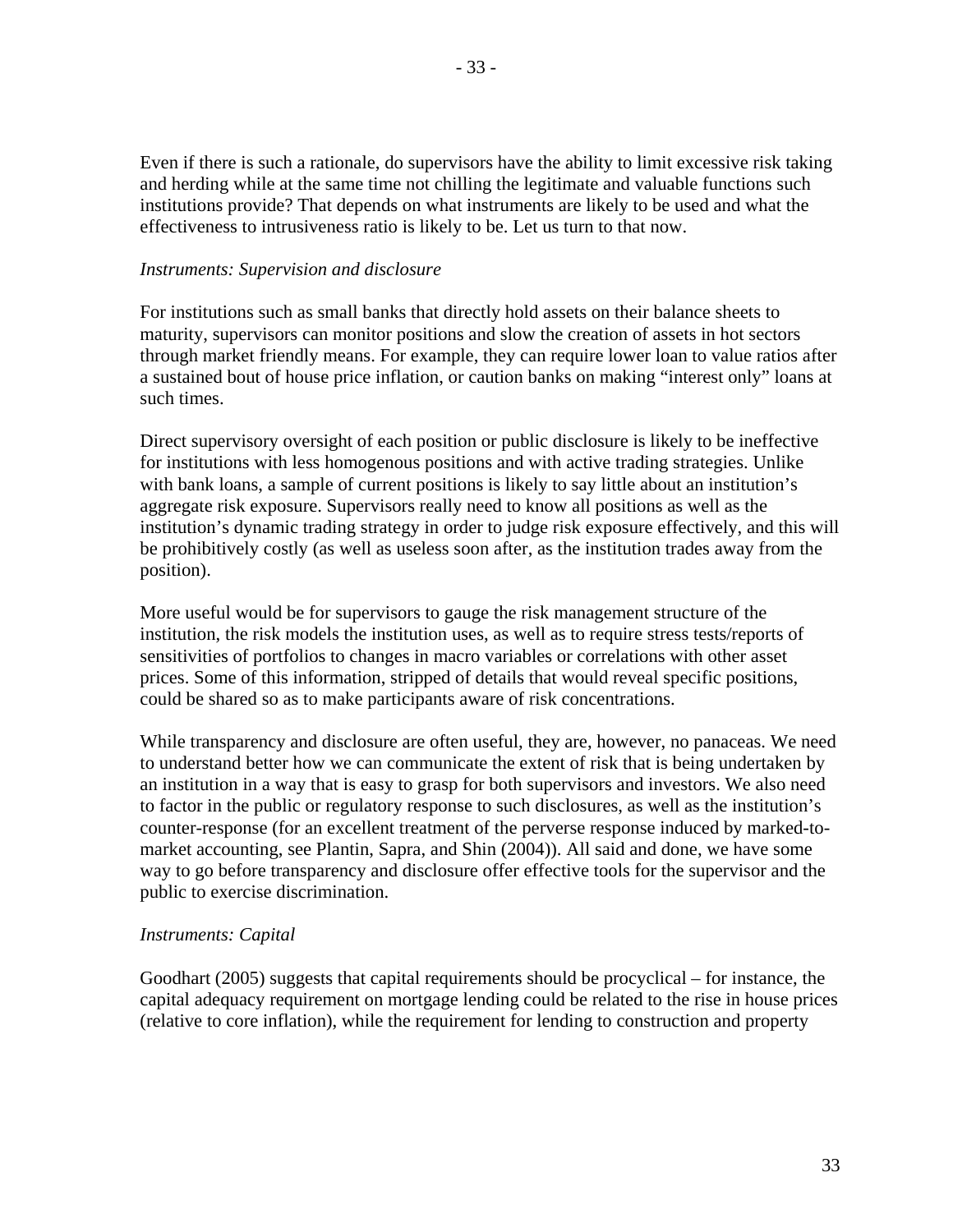Even if there is such a rationale, do supervisors have the ability to limit excessive risk taking and herding while at the same time not chilling the legitimate and valuable functions such institutions provide? That depends on what instruments are likely to be used and what the effectiveness to intrusiveness ratio is likely to be. Let us turn to that now.

#### *Instruments: Supervision and disclosure*

For institutions such as small banks that directly hold assets on their balance sheets to maturity, supervisors can monitor positions and slow the creation of assets in hot sectors through market friendly means. For example, they can require lower loan to value ratios after a sustained bout of house price inflation, or caution banks on making "interest only" loans at such times.

Direct supervisory oversight of each position or public disclosure is likely to be ineffective for institutions with less homogenous positions and with active trading strategies. Unlike with bank loans, a sample of current positions is likely to say little about an institution's aggregate risk exposure. Supervisors really need to know all positions as well as the institution's dynamic trading strategy in order to judge risk exposure effectively, and this will be prohibitively costly (as well as useless soon after, as the institution trades away from the position).

More useful would be for supervisors to gauge the risk management structure of the institution, the risk models the institution uses, as well as to require stress tests/reports of sensitivities of portfolios to changes in macro variables or correlations with other asset prices. Some of this information, stripped of details that would reveal specific positions, could be shared so as to make participants aware of risk concentrations.

While transparency and disclosure are often useful, they are, however, no panaceas. We need to understand better how we can communicate the extent of risk that is being undertaken by an institution in a way that is easy to grasp for both supervisors and investors. We also need to factor in the public or regulatory response to such disclosures, as well as the institution's counter-response (for an excellent treatment of the perverse response induced by marked-tomarket accounting, see Plantin, Sapra, and Shin (2004)). All said and done, we have some way to go before transparency and disclosure offer effective tools for the supervisor and the public to exercise discrimination.

### *Instruments: Capital*

Goodhart (2005) suggests that capital requirements should be procyclical – for instance, the capital adequacy requirement on mortgage lending could be related to the rise in house prices (relative to core inflation), while the requirement for lending to construction and property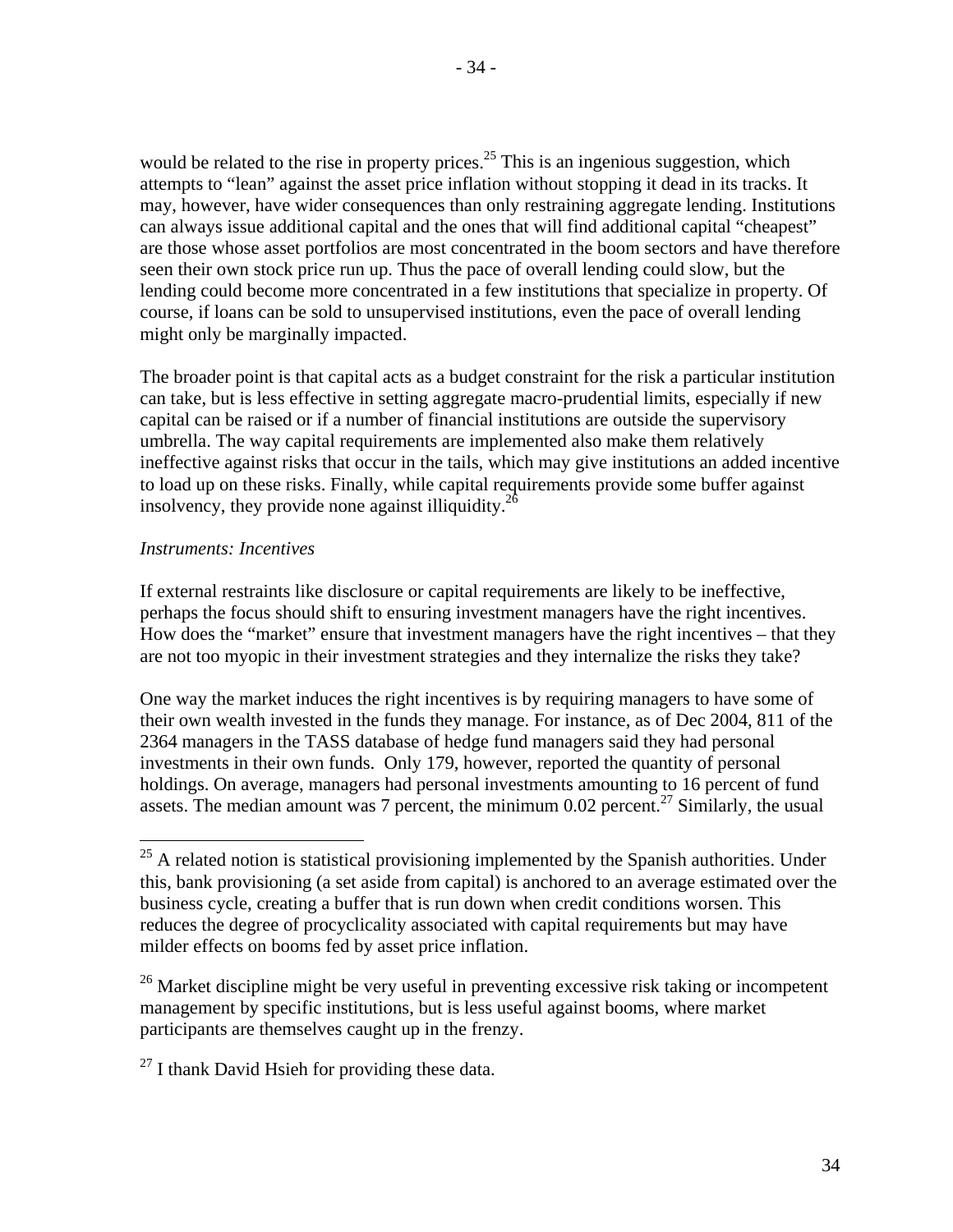would be related to the rise in property prices.<sup>25</sup> This is an ingenious suggestion, which attempts to "lean" against the asset price inflation without stopping it dead in its tracks. It may, however, have wider consequences than only restraining aggregate lending. Institutions can always issue additional capital and the ones that will find additional capital "cheapest" are those whose asset portfolios are most concentrated in the boom sectors and have therefore seen their own stock price run up. Thus the pace of overall lending could slow, but the lending could become more concentrated in a few institutions that specialize in property. Of course, if loans can be sold to unsupervised institutions, even the pace of overall lending might only be marginally impacted.

The broader point is that capital acts as a budget constraint for the risk a particular institution can take, but is less effective in setting aggregate macro-prudential limits, especially if new capital can be raised or if a number of financial institutions are outside the supervisory umbrella. The way capital requirements are implemented also make them relatively ineffective against risks that occur in the tails, which may give institutions an added incentive to load up on these risks. Finally, while capital requirements provide some buffer against insolvency, they provide none against illiquidity.<sup>26</sup>

### *Instruments: Incentives*

1

If external restraints like disclosure or capital requirements are likely to be ineffective, perhaps the focus should shift to ensuring investment managers have the right incentives. How does the "market" ensure that investment managers have the right incentives – that they are not too myopic in their investment strategies and they internalize the risks they take?

One way the market induces the right incentives is by requiring managers to have some of their own wealth invested in the funds they manage. For instance, as of Dec 2004, 811 of the 2364 managers in the TASS database of hedge fund managers said they had personal investments in their own funds. Only 179, however, reported the quantity of personal holdings. On average, managers had personal investments amounting to 16 percent of fund assets. The median amount was 7 percent, the minimum  $0.02$  percent.<sup>27</sup> Similarly, the usual

<span id="page-36-1"></span><sup>26</sup> Market discipline might be very useful in preventing excessive risk taking or incompetent management by specific institutions, but is less useful against booms, where market participants are themselves caught up in the frenzy.

<span id="page-36-2"></span> $^{27}$  I thank David Hsieh for providing these data.

<span id="page-36-0"></span> $25$  A related notion is statistical provisioning implemented by the Spanish authorities. Under this, bank provisioning (a set aside from capital) is anchored to an average estimated over the business cycle, creating a buffer that is run down when credit conditions worsen. This reduces the degree of procyclicality associated with capital requirements but may have milder effects on booms fed by asset price inflation.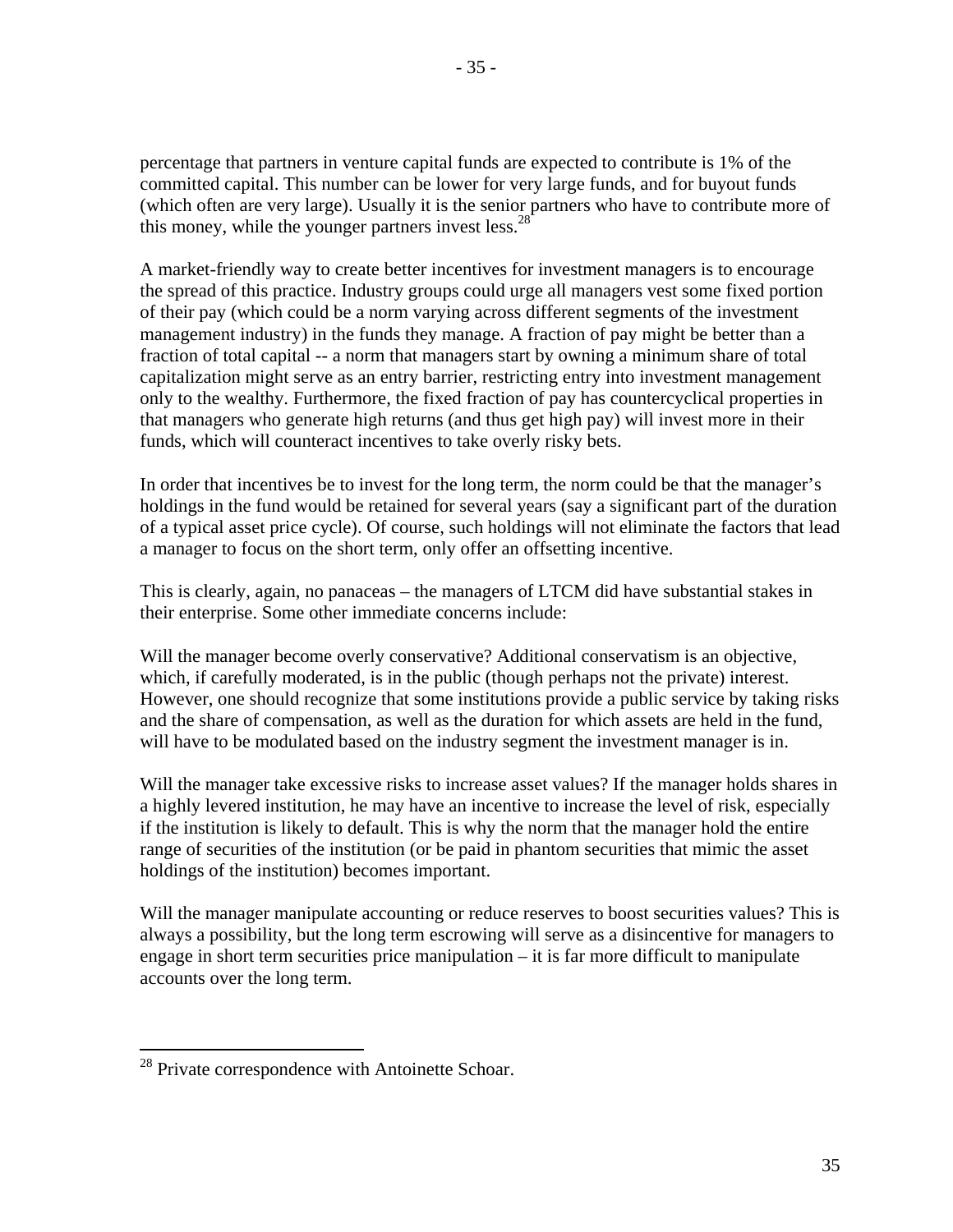percentage that partners in venture capital funds are expected to contribute is 1% of the committed capital. This number can be lower for very large funds, and for buyout funds (which often are very large). Usually it is the senior partners who have to contribute more of this money, while the younger partners invest less. $28^{\circ}$  $28^{\circ}$ 

A market-friendly way to create better incentives for investment managers is to encourage the spread of this practice. Industry groups could urge all managers vest some fixed portion of their pay (which could be a norm varying across different segments of the investment management industry) in the funds they manage. A fraction of pay might be better than a fraction of total capital -- a norm that managers start by owning a minimum share of total capitalization might serve as an entry barrier, restricting entry into investment management only to the wealthy. Furthermore, the fixed fraction of pay has countercyclical properties in that managers who generate high returns (and thus get high pay) will invest more in their funds, which will counteract incentives to take overly risky bets.

In order that incentives be to invest for the long term, the norm could be that the manager's holdings in the fund would be retained for several years (say a significant part of the duration of a typical asset price cycle). Of course, such holdings will not eliminate the factors that lead a manager to focus on the short term, only offer an offsetting incentive.

This is clearly, again, no panaceas – the managers of LTCM did have substantial stakes in their enterprise. Some other immediate concerns include:

Will the manager become overly conservative? Additional conservatism is an objective, which, if carefully moderated, is in the public (though perhaps not the private) interest. However, one should recognize that some institutions provide a public service by taking risks and the share of compensation, as well as the duration for which assets are held in the fund, will have to be modulated based on the industry segment the investment manager is in.

Will the manager take excessive risks to increase asset values? If the manager holds shares in a highly levered institution, he may have an incentive to increase the level of risk, especially if the institution is likely to default. This is why the norm that the manager hold the entire range of securities of the institution (or be paid in phantom securities that mimic the asset holdings of the institution) becomes important.

Will the manager manipulate accounting or reduce reserves to boost securities values? This is always a possibility, but the long term escrowing will serve as a disincentive for managers to engage in short term securities price manipulation – it is far more difficult to manipulate accounts over the long term.

 $\overline{a}$ 

<span id="page-37-0"></span><sup>&</sup>lt;sup>28</sup> Private correspondence with Antoinette Schoar.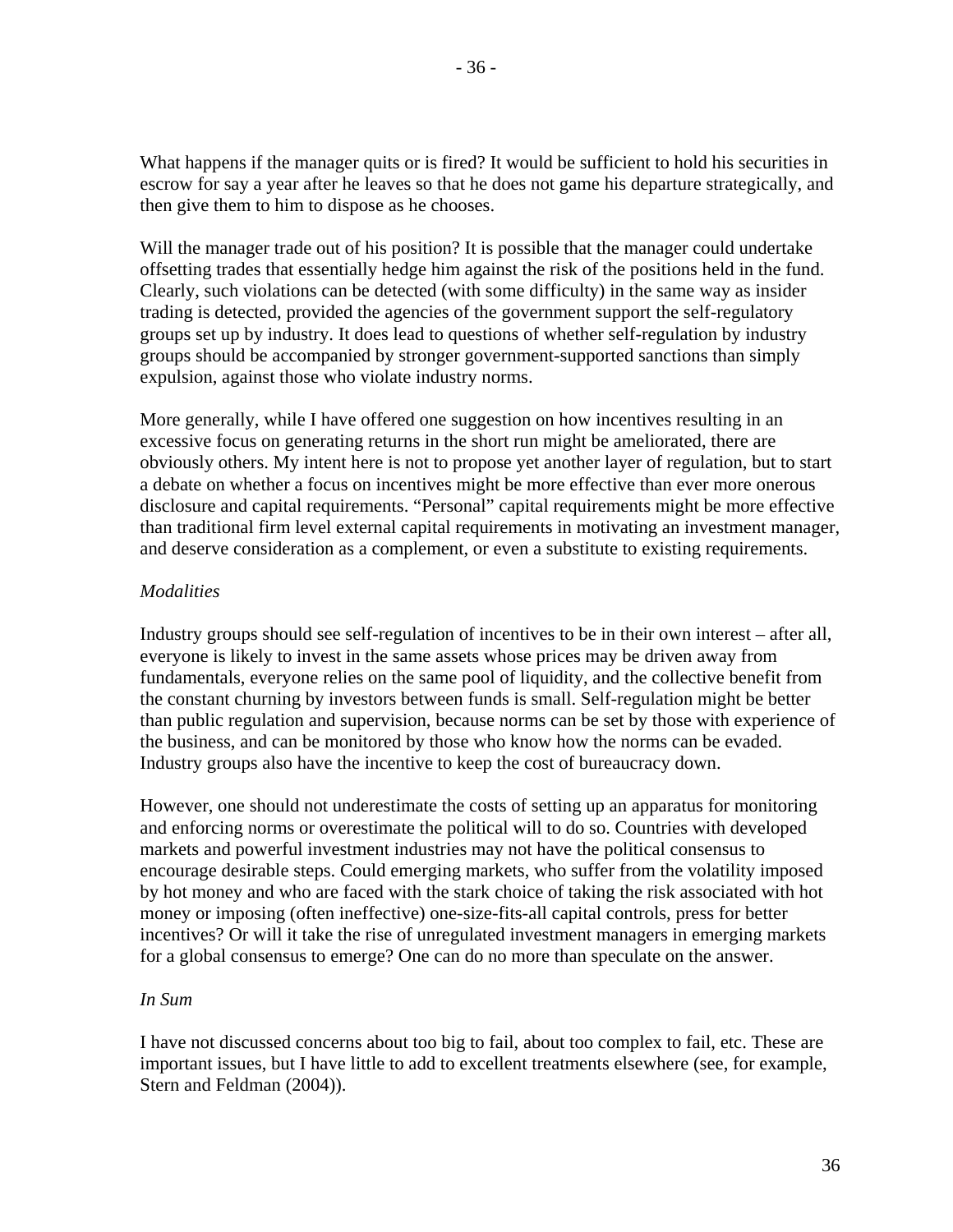- 36 -

What happens if the manager quits or is fired? It would be sufficient to hold his securities in escrow for say a year after he leaves so that he does not game his departure strategically, and then give them to him to dispose as he chooses.

Will the manager trade out of his position? It is possible that the manager could undertake offsetting trades that essentially hedge him against the risk of the positions held in the fund. Clearly, such violations can be detected (with some difficulty) in the same way as insider trading is detected, provided the agencies of the government support the self-regulatory groups set up by industry. It does lead to questions of whether self-regulation by industry groups should be accompanied by stronger government-supported sanctions than simply expulsion, against those who violate industry norms.

More generally, while I have offered one suggestion on how incentives resulting in an excessive focus on generating returns in the short run might be ameliorated, there are obviously others. My intent here is not to propose yet another layer of regulation, but to start a debate on whether a focus on incentives might be more effective than ever more onerous disclosure and capital requirements. "Personal" capital requirements might be more effective than traditional firm level external capital requirements in motivating an investment manager, and deserve consideration as a complement, or even a substitute to existing requirements.

# *Modalities*

Industry groups should see self-regulation of incentives to be in their own interest – after all, everyone is likely to invest in the same assets whose prices may be driven away from fundamentals, everyone relies on the same pool of liquidity, and the collective benefit from the constant churning by investors between funds is small. Self-regulation might be better than public regulation and supervision, because norms can be set by those with experience of the business, and can be monitored by those who know how the norms can be evaded. Industry groups also have the incentive to keep the cost of bureaucracy down.

However, one should not underestimate the costs of setting up an apparatus for monitoring and enforcing norms or overestimate the political will to do so. Countries with developed markets and powerful investment industries may not have the political consensus to encourage desirable steps. Could emerging markets, who suffer from the volatility imposed by hot money and who are faced with the stark choice of taking the risk associated with hot money or imposing (often ineffective) one-size-fits-all capital controls, press for better incentives? Or will it take the rise of unregulated investment managers in emerging markets for a global consensus to emerge? One can do no more than speculate on the answer.

### *In Sum*

I have not discussed concerns about too big to fail, about too complex to fail, etc. These are important issues, but I have little to add to excellent treatments elsewhere (see, for example, Stern and Feldman (2004)).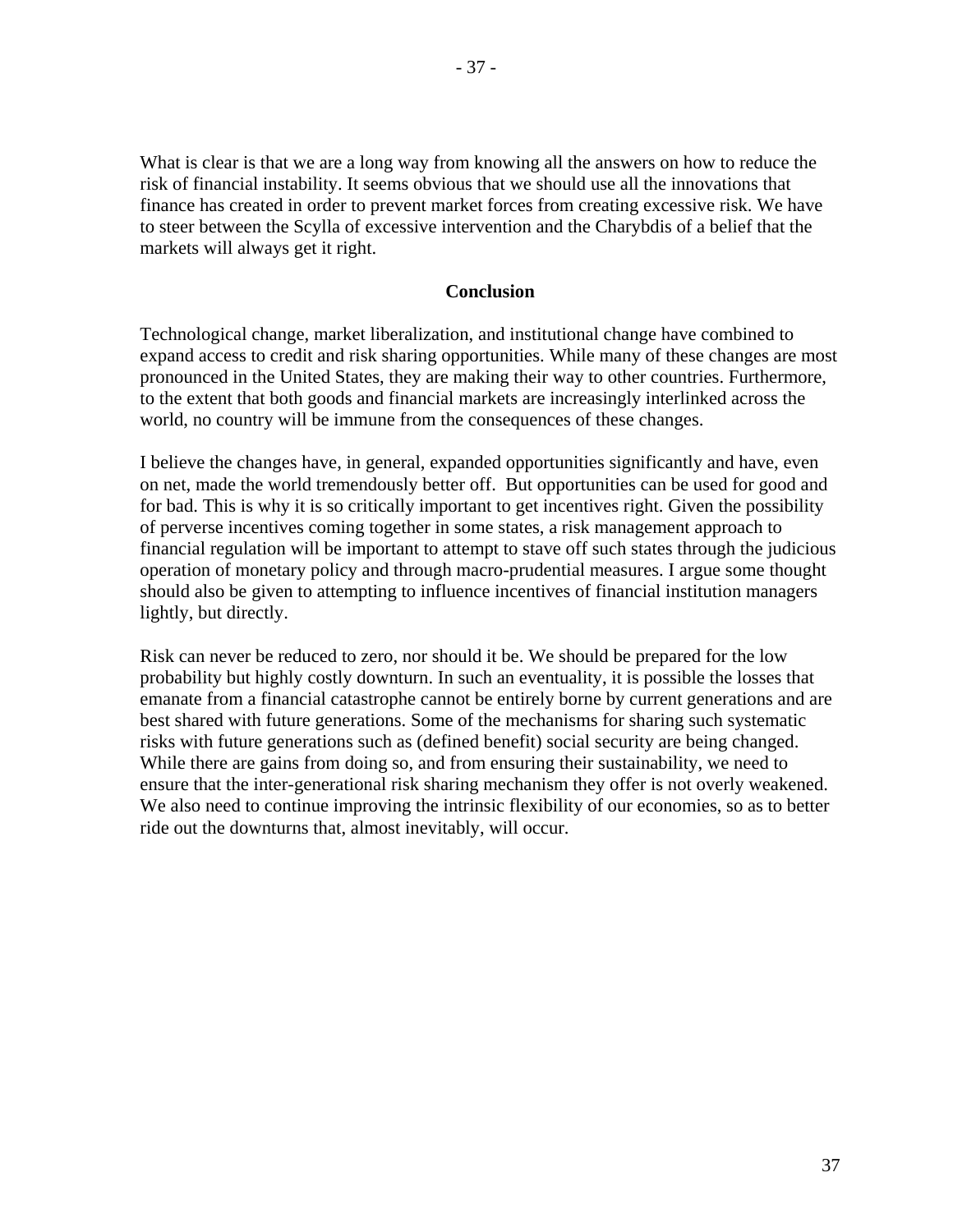What is clear is that we are a long way from knowing all the answers on how to reduce the risk of financial instability. It seems obvious that we should use all the innovations that finance has created in order to prevent market forces from creating excessive risk. We have to steer between the Scylla of excessive intervention and the Charybdis of a belief that the markets will always get it right.

#### **Conclusion**

Technological change, market liberalization, and institutional change have combined to expand access to credit and risk sharing opportunities. While many of these changes are most pronounced in the United States, they are making their way to other countries. Furthermore, to the extent that both goods and financial markets are increasingly interlinked across the world, no country will be immune from the consequences of these changes.

I believe the changes have, in general, expanded opportunities significantly and have, even on net, made the world tremendously better off. But opportunities can be used for good and for bad. This is why it is so critically important to get incentives right. Given the possibility of perverse incentives coming together in some states, a risk management approach to financial regulation will be important to attempt to stave off such states through the judicious operation of monetary policy and through macro-prudential measures. I argue some thought should also be given to attempting to influence incentives of financial institution managers lightly, but directly.

Risk can never be reduced to zero, nor should it be. We should be prepared for the low probability but highly costly downturn. In such an eventuality, it is possible the losses that emanate from a financial catastrophe cannot be entirely borne by current generations and are best shared with future generations. Some of the mechanisms for sharing such systematic risks with future generations such as (defined benefit) social security are being changed. While there are gains from doing so, and from ensuring their sustainability, we need to ensure that the inter-generational risk sharing mechanism they offer is not overly weakened. We also need to continue improving the intrinsic flexibility of our economies, so as to better ride out the downturns that, almost inevitably, will occur.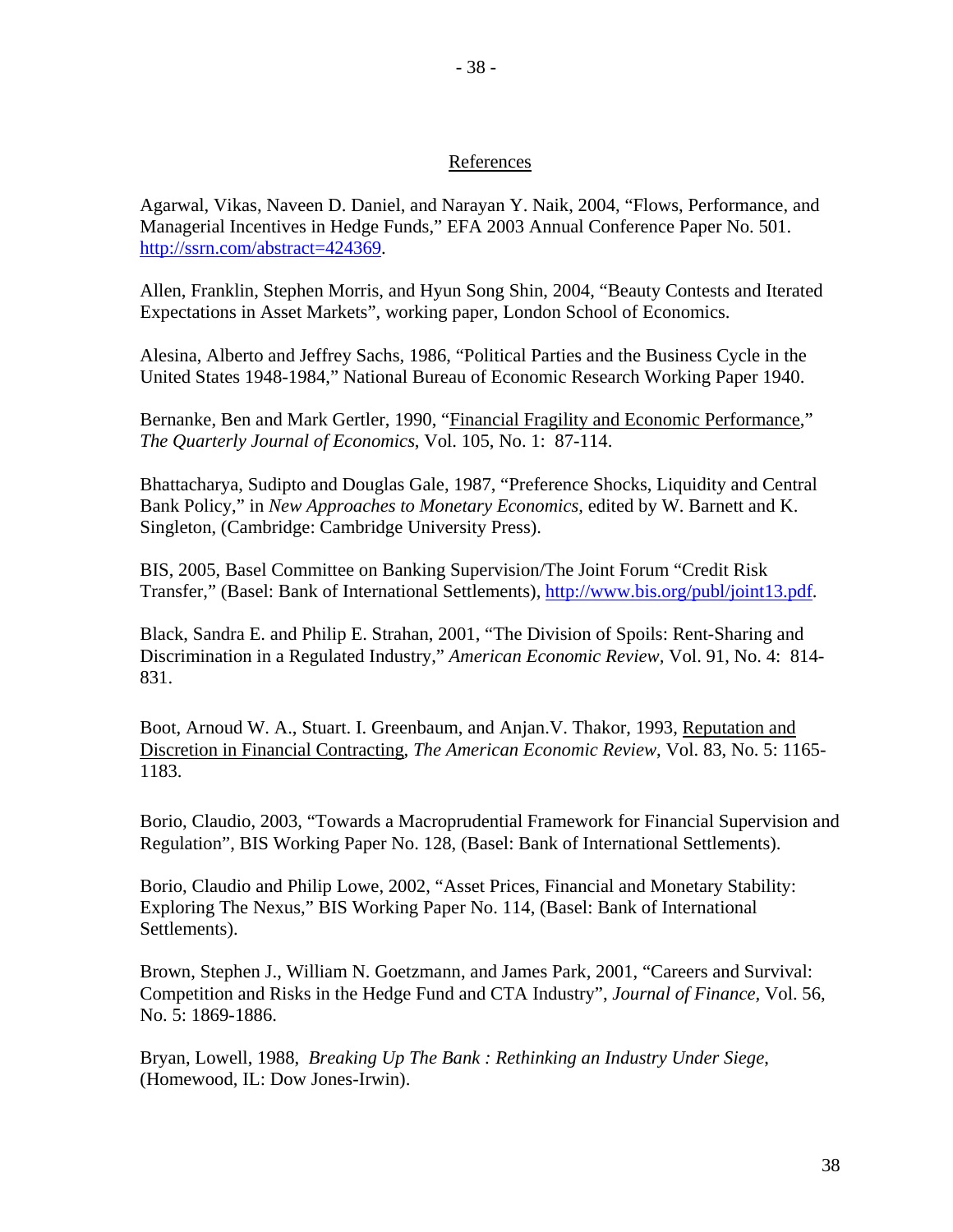#### References

Agarwal, Vikas, Naveen D. Daniel, and Narayan Y. Naik, 2004, "Flows, Performance, and Managerial Incentives in Hedge Funds," EFA 2003 Annual Conference Paper No. 501. <http://ssrn.com/abstract=424369>.

Allen, Franklin, Stephen Morris, and Hyun Song Shin, 2004, "Beauty Contests and Iterated Expectations in Asset Markets", working paper, London School of Economics.

Alesina, Alberto and Jeffrey Sachs, 1986, "Political Parties and the Business Cycle in the United States 1948-1984," National Bureau of Economic Research Working Paper 1940.

Bernanke, Ben and Mark Gertler, 1990, "Financial Fragility and Economic Performance," *The Quarterly Journal of Economics*, Vol. 105, No. 1: 87-114.

Bhattacharya, Sudipto and Douglas Gale, 1987, "Preference Shocks, Liquidity and Central Bank Policy," in *New Approaches to Monetary Economics,* edited by W. Barnett and K. Singleton, (Cambridge: Cambridge University Press).

BIS, 2005, Basel Committee on Banking Supervision/The Joint Forum "Credit Risk Transfer," (Basel: Bank of International Settlements), <http://www.bis.org/publ/joint13.pdf>.

Black, Sandra E. and Philip E. Strahan, 2001, "The Division of Spoils: Rent-Sharing and Discrimination in a Regulated Industry," *American Economic Review,* Vol. 91, No. 4: 814- 831.

Boot, Arnoud W. A., Stuart. I. Greenbaum, and Anjan.V. Thakor, 1993, Reputation and Discretion in Financial Contracting, *The American Economic Review*, Vol. 83, No. 5: 1165- 1183.

Borio, Claudio, 2003, "Towards a Macroprudential Framework for Financial Supervision and Regulation", BIS Working Paper No. 128, (Basel: Bank of International Settlements).

Borio, Claudio and Philip Lowe, 2002, "Asset Prices, Financial and Monetary Stability: Exploring The Nexus," BIS Working Paper No. 114, (Basel: Bank of International Settlements).

Brown, Stephen J., William N. Goetzmann, and James Park, 2001, "Careers and Survival: Competition and Risks in the Hedge Fund and CTA Industry", *Journal of Finance,* Vol. 56, No. 5: 1869-1886.

Bryan, Lowell, 1988, *Breaking Up The Bank : Rethinking an Industry Under Siege*, (Homewood, IL: Dow Jones-Irwin).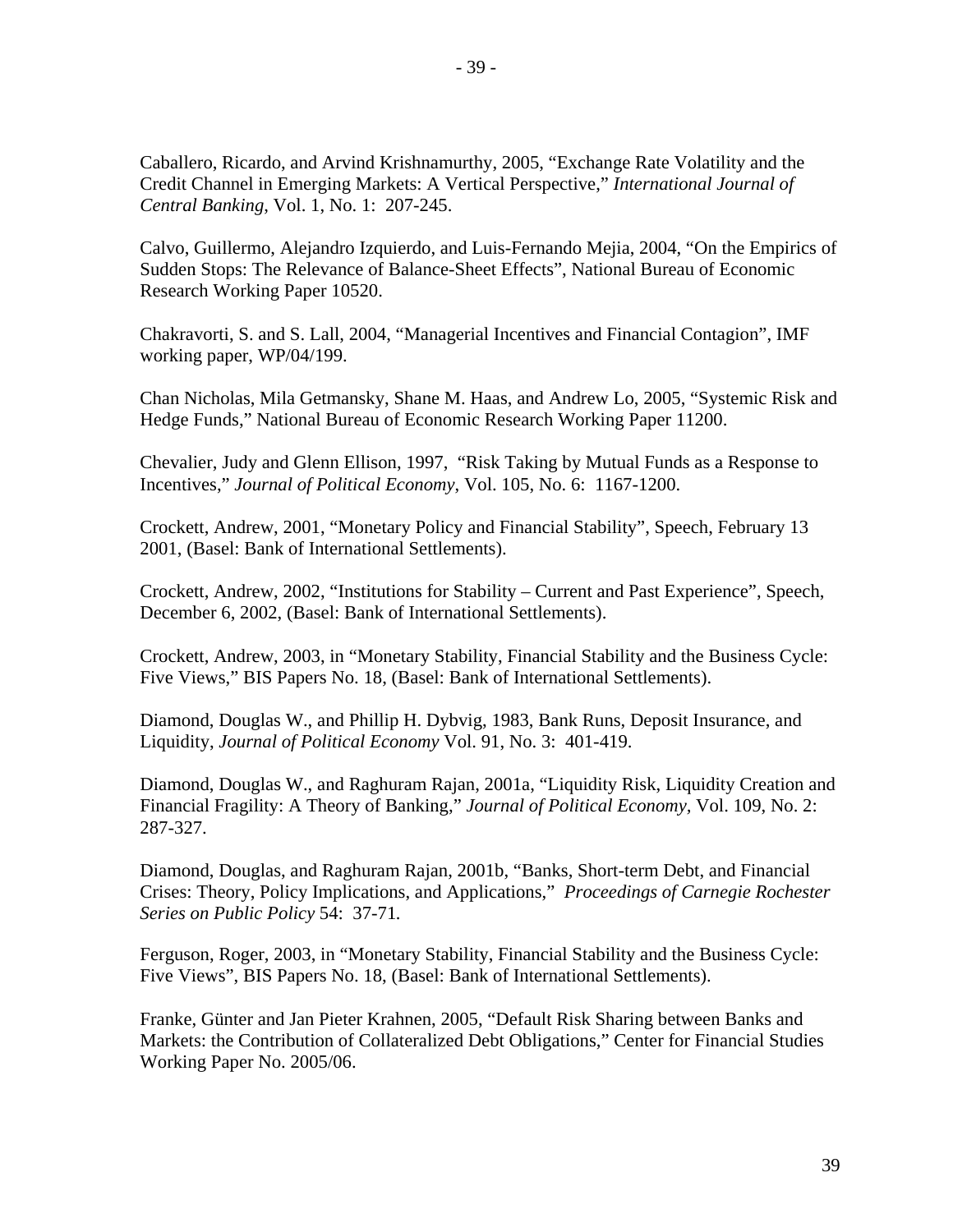Caballero, Ricardo, and Arvind Krishnamurthy, 2005, "Exchange Rate Volatility and the Credit Channel in Emerging Markets: A Vertical Perspective," *International Journal of Central Banking*, Vol. 1, No. 1: 207-245.

Calvo, Guillermo, Alejandro Izquierdo, and Luis-Fernando Mejia, 2004, ["On the Empirics of](http://www.nber.org/papers/w10520)  [Sudden Stops: The Relevance of Balance-Sheet Effects"](http://www.nber.org/papers/w10520), National Bureau of Economic Research Working Paper 10520.

Chakravorti, S. and S. Lall, 2004, "Managerial Incentives and Financial Contagion", IMF working paper, WP/04/199.

Chan Nicholas, Mila Getmansky, Shane M. Haas, and Andrew Lo, 2005, "Systemic Risk and Hedge Funds," National Bureau of Economic Research Working Paper 11200.

Chevalier, Judy and Glenn Ellison, 1997, "Risk Taking by Mutual Funds as a Response to Incentives," *Journal of Political Economy*, Vol. 105, No. 6: 1167-1200.

Crockett, Andrew, 2001, "Monetary Policy and Financial Stability", Speech, February 13 2001, (Basel: Bank of International Settlements).

Crockett, Andrew, 2002, "Institutions for Stability – Current and Past Experience", Speech, December 6, 2002, (Basel: Bank of International Settlements).

Crockett, Andrew, 2003, in "Monetary Stability, Financial Stability and the Business Cycle: Five Views," BIS Papers No. 18, (Basel: Bank of International Settlements).

Diamond, Douglas W., and Phillip H. Dybvig, 1983, Bank Runs, Deposit Insurance, and Liquidity, *Journal of Political Economy* Vol. 91, No. 3: 401-419.

Diamond, Douglas W., and Raghuram Rajan, 2001a, "Liquidity Risk, Liquidity Creation and Financial Fragility: A Theory of Banking," *Journal of Political Economy,* Vol. 109, No. 2: 287-327.

Diamond, Douglas, and Raghuram Rajan, 2001b, "Banks, Short-term Debt, and Financial Crises: Theory, Policy Implications, and Applications," *Proceedings of Carnegie Rochester Series on Public Policy* 54: 37-71*.*

Ferguson, Roger, 2003, in "Monetary Stability, Financial Stability and the Business Cycle: Five Views", BIS Papers No. 18, (Basel: Bank of International Settlements).

Franke, Günter and Jan Pieter Krahnen, 2005, "Default Risk Sharing between Banks and Markets: the Contribution of Collateralized Debt Obligations," Center for Financial Studies Working Paper No. 2005/06.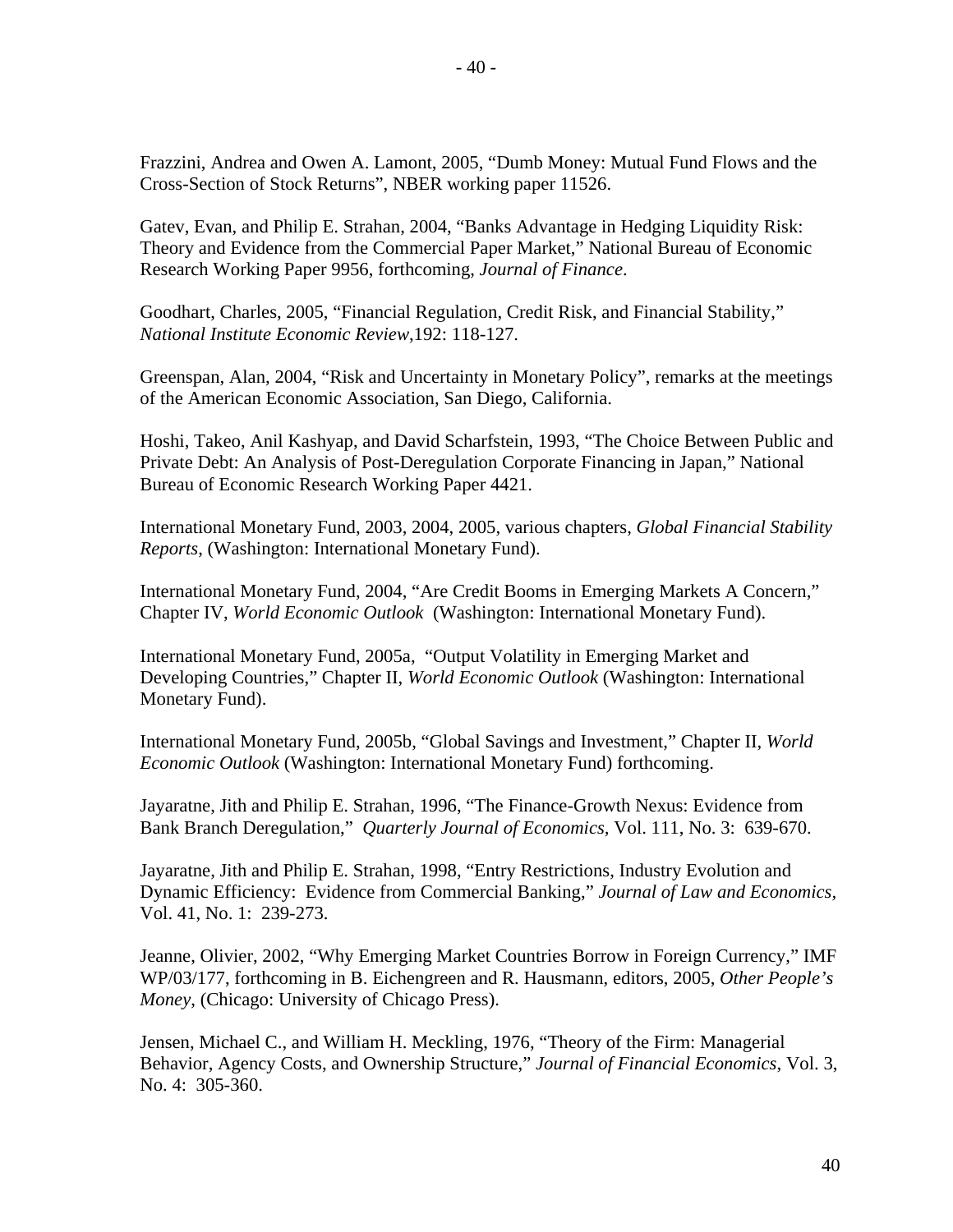Frazzini, Andrea and Owen A. Lamont, 2005, "Dumb Money: Mutual Fund Flows and the Cross-Section of Stock Returns", NBER working paper 11526.

Gatev, Evan, and Philip E. Strahan, 2004, "Banks Advantage in Hedging Liquidity Risk: Theory and Evidence from the Commercial Paper Market," National Bureau of Economic Research Working Paper 9956, forthcoming, *Journal of Finance*.

Goodhart, Charles, 2005, "Financial Regulation, Credit Risk, and Financial Stability," *National Institute Economic Review*,192: 118-127.

Greenspan, Alan, 2004, "Risk and Uncertainty in Monetary Policy", remarks at the meetings of the American Economic Association, San Diego, California.

Hoshi, Takeo, Anil Kashyap, and David Scharfstein, 1993, "The Choice Between Public and Private Debt: An Analysis of Post-Deregulation Corporate Financing in Japan," National Bureau of Economic Research Working Paper 4421.

International Monetary Fund, 2003, 2004, 2005, various chapters, *Global Financial Stability Reports*, (Washington: International Monetary Fund).

International Monetary Fund, 2004, "Are Credit Booms in Emerging Markets A Concern," Chapter IV, *World Economic Outlook* (Washington: International Monetary Fund).

International Monetary Fund, 2005a, "Output Volatility in Emerging Market and Developing Countries," Chapter II, *World Economic Outlook* (Washington: International Monetary Fund).

International Monetary Fund, 2005b, "Global Savings and Investment," Chapter II, *World Economic Outlook* (Washington: International Monetary Fund) forthcoming.

Jayaratne, Jith and Philip E. Strahan, 1996, "The Finance-Growth Nexus: Evidence from Bank Branch Deregulation," *Quarterly Journal of Economics,* Vol. 111, No. 3: 639-670.

Jayaratne, Jith and Philip E. Strahan, 1998, "Entry Restrictions, Industry Evolution and Dynamic Efficiency: Evidence from Commercial Banking," *Journal of Law and Economics,*  Vol. 41, No. 1: 239-273.

Jeanne, Olivier, 2002, "Why Emerging Market Countries Borrow in Foreign Currency," IMF WP/03/177, forthcoming in B. Eichengreen and R. Hausmann, editors, 2005, *Other People's Money*, (Chicago: University of Chicago Press).

Jensen, Michael C., and William H. Meckling, 1976, "Theory of the Firm: Managerial Behavior, Agency Costs, and Ownership Structure," *Journal of Financial Economics*, Vol. 3, No. 4: 305-360.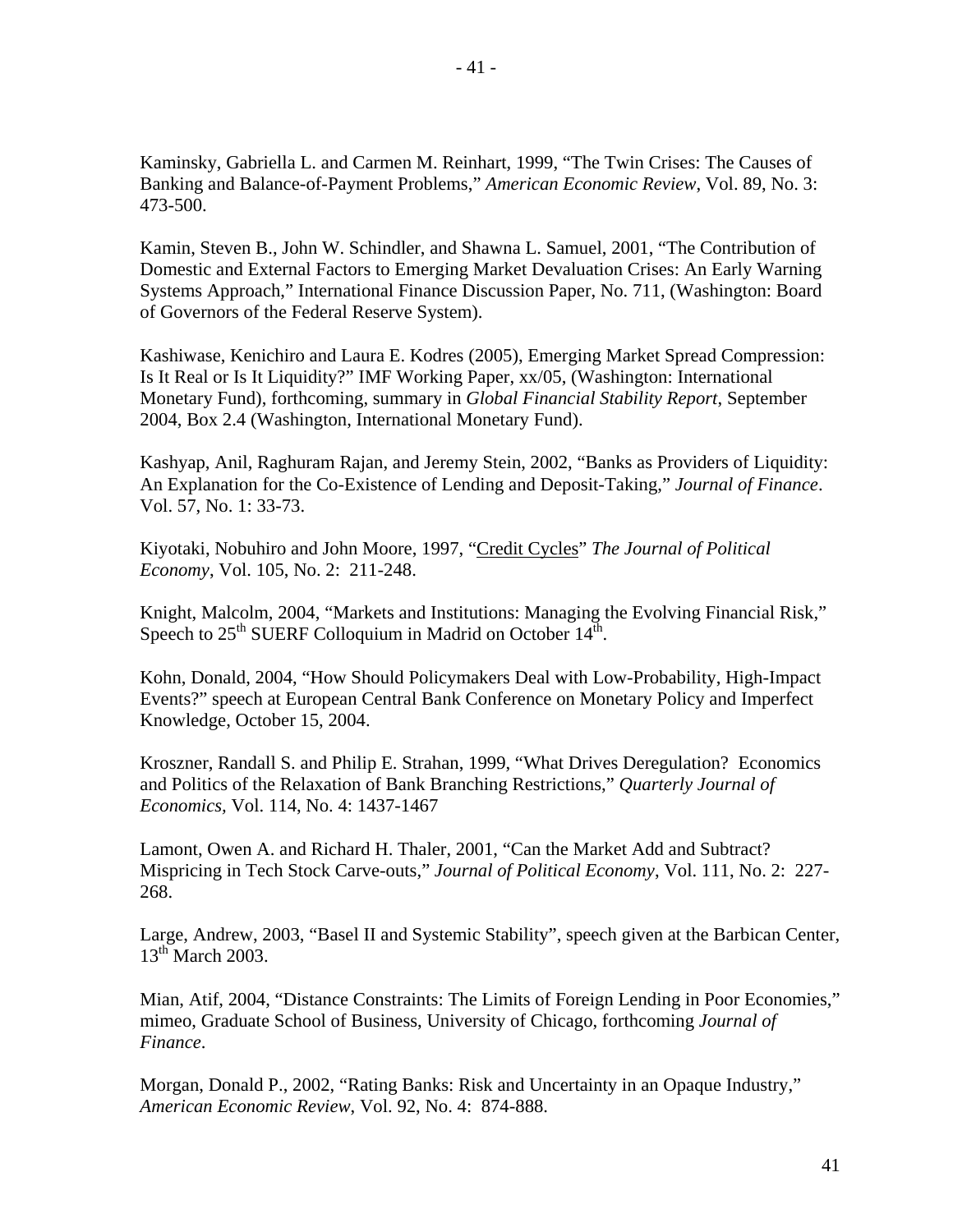Kaminsky, Gabriella L. and Carmen M. Reinhart, 1999, "The Twin Crises: The Causes of Banking and Balance-of-Payment Problems," *American Economic Review*, Vol. 89, No. 3: 473-500.

Kamin, Steven B., John W. Schindler, and Shawna L. Samuel, 2001, "The Contribution of Domestic and External Factors to Emerging Market Devaluation Crises: An Early Warning Systems Approach," International Finance Discussion Paper, No. 711, (Washington: Board of Governors of the Federal Reserve System).

Kashiwase, Kenichiro and Laura E. Kodres (2005), Emerging Market Spread Compression: Is It Real or Is It Liquidity?" IMF Working Paper, xx/05, (Washington: International Monetary Fund), forthcoming, summary in *Global Financial Stability Report*, September 2004, Box 2.4 (Washington, International Monetary Fund).

Kashyap, Anil, Raghuram Rajan, and Jeremy Stein, 2002, "Banks as Providers of Liquidity: An Explanation for the Co-Existence of Lending and Deposit-Taking," *Journal of Finance*. Vol. 57, No. 1: 33-73.

Kiyotaki, Nobuhiro and John Moore, 1997, "Credit Cycles" *The Journal of Political Economy*, Vol. 105, No. 2: 211-248.

Knight, Malcolm, 2004, "Markets and Institutions: Managing the Evolving Financial Risk," Speech to  $25<sup>th</sup>$  SUERF Colloquium in Madrid on October  $14<sup>th</sup>$ .

Kohn, Donald, 2004, "How Should Policymakers Deal with Low-Probability, High-Impact Events?" speech at European Central Bank Conference on Monetary Policy and Imperfect Knowledge, October 15, 2004.

Kroszner, Randall S. and Philip E. Strahan, 1999, "What Drives Deregulation? Economics and Politics of the Relaxation of Bank Branching Restrictions," *Quarterly Journal of Economics,* Vol. 114, No. 4: 1437-1467

Lamont, Owen A. and Richard H. Thaler, 2001, "Can the Market Add and Subtract? Mispricing in Tech Stock Carve-outs," *Journal of Political Economy*, Vol. 111, No. 2: 227- 268.

Large, Andrew, 2003, "Basel II and Systemic Stability", speech given at the Barbican Center,  $13<sup>th</sup>$  March 2003.

Mian, Atif, 2004, "Distance Constraints: The Limits of Foreign Lending in Poor Economies," mimeo, Graduate School of Business, University of Chicago, forthcoming *Journal of Finance*.

Morgan, Donald P., 2002, "Rating Banks: Risk and Uncertainty in an Opaque Industry," *American Economic Review*, Vol. 92, No. 4: 874-888.